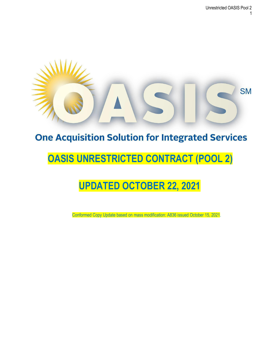

# **One Acquisition Solution for Integrated Services**

# **OASIS UNRESTRICTED CONTRACT (POOL 2)**

# **UPDATED OCTOBER 22, 2021**

Conformed Copy Update based on mass modification: A836 issued October 15, 2021.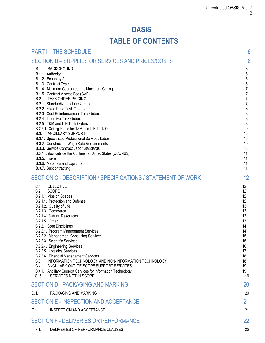## **OASIS**

## **TABLE OF CONTENTS**

| <b>PART I - THE SCHEDULE</b>                                                                                                                                                                                                                                                                                                                                                                                                                                                                                                                                                                                                                                                                                                                                                    | 6                                                                                                                                                                                                                            |
|---------------------------------------------------------------------------------------------------------------------------------------------------------------------------------------------------------------------------------------------------------------------------------------------------------------------------------------------------------------------------------------------------------------------------------------------------------------------------------------------------------------------------------------------------------------------------------------------------------------------------------------------------------------------------------------------------------------------------------------------------------------------------------|------------------------------------------------------------------------------------------------------------------------------------------------------------------------------------------------------------------------------|
| SECTION B - SUPPLIES OR SERVICES AND PRICES/COSTS                                                                                                                                                                                                                                                                                                                                                                                                                                                                                                                                                                                                                                                                                                                               | 6                                                                                                                                                                                                                            |
| <b>BACKGROUND</b><br>B.1.<br>B.1.1. Authority<br>B.1.2. Economy Act<br>B.1.3. Contract Type<br>B.1.4. Minimum Guarantee and Maximum Ceiling<br>B.1.5. Contract Access Fee (CAF)<br>TASK ORDER PRICING<br>B.2.<br>B.2.1. Standardized Labor Categories<br>B.2.2. Fixed Price Task Orders<br>B.2.3. Cost Reimbursement Task Orders<br>B.2.4. Incentive Task Orders<br>B.2.5. T&M and L-H Task Orders<br>B.2.5.1. Ceiling Rates for T&M and L-H Task Orders<br><b>B.3. ANCILLARY SUPPORT</b><br>B.3.1. Specialized Professional Services Labor<br>B.3.2. Construction Wage Rate Requirements<br>B.3.3. Service Contract Labor Standards<br>B.3.4. Labor outside the Continental United States (OCONUS)<br>B.3.5. Travel<br>B.3.6. Materials and Equipment<br>B.3.7. Subcontracting | 6<br>$\boldsymbol{6}$<br>$\boldsymbol{6}$<br>$\boldsymbol{6}$<br>$\overline{7}$<br>$\overline{7}$<br>$\overline{7}$<br>$\boldsymbol{7}$<br>8<br>8<br>$\bf 8$<br>$\bf 8$<br>9<br>10<br>10<br>10<br>10<br>11<br>11<br>11<br>11 |
| SECTION C - DESCRIPTION / SPECIFICATIONS / STATEMENT OF WORK                                                                                                                                                                                                                                                                                                                                                                                                                                                                                                                                                                                                                                                                                                                    | 12                                                                                                                                                                                                                           |
| <b>OBJECTIVE</b><br>C.1.<br>C.2.<br><b>SCOPE</b><br>C.2.1. Mission Spaces<br>C.2.1.1. Protection and Defense<br>C.2.1.2. Quality of Life<br>C.2.1.3. Commerce<br>C.2.1.4. Natural Resources<br>C.2.1.5. Other<br>C.2.2. Core Disciplines<br>C.2.2.1. Program Management Services<br>C.2.2.2. Management Consulting Services<br>C.2.2.3. Scientific Services<br>C.2.2.4. Engineering Services<br>C.2.2.5. Logistics Services<br>C.2.2.6. Financial Management Services<br>C.3.<br>INFORMATION TECHNOLOGY AND NON-INFORMATION TECHNOLOGY<br>C.4.<br>ANCILLARY OUT-OF-SCOPE SUPPORT SERVICES<br>C.4.1. Ancillary Support Services for Information Technology<br>C.5.<br>SERVICES NOT IN SCOPE                                                                                      | 12<br>12<br>12<br>12<br>13<br>13<br>13<br>13<br>14<br>14<br>15<br>15<br>16<br>17<br>18<br>18<br>19<br>19<br>19                                                                                                               |
| <b>SECTION D - PACKAGING AND MARKING</b>                                                                                                                                                                                                                                                                                                                                                                                                                                                                                                                                                                                                                                                                                                                                        | 20                                                                                                                                                                                                                           |
| $D.1$ .<br>PACKAGING AND MARKING                                                                                                                                                                                                                                                                                                                                                                                                                                                                                                                                                                                                                                                                                                                                                | 20                                                                                                                                                                                                                           |
| <b>SECTION E - INSPECTION AND ACCEPTANCE</b>                                                                                                                                                                                                                                                                                                                                                                                                                                                                                                                                                                                                                                                                                                                                    | 21                                                                                                                                                                                                                           |
| $E.1$ .<br>INSPECTION AND ACCEPTANCE                                                                                                                                                                                                                                                                                                                                                                                                                                                                                                                                                                                                                                                                                                                                            | 21                                                                                                                                                                                                                           |
| <b>SECTION F - DELIVERIES OR PERFORMANCE</b>                                                                                                                                                                                                                                                                                                                                                                                                                                                                                                                                                                                                                                                                                                                                    | 22                                                                                                                                                                                                                           |

F.1. DELIVERIES OR [PERFORMANCE](#page-21-1) CLAUSES **22**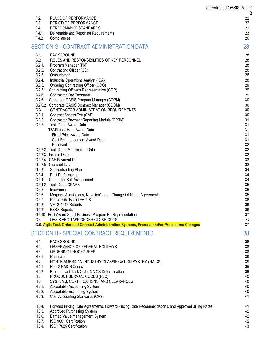|         |                                                                                                   | 22 |
|---------|---------------------------------------------------------------------------------------------------|----|
| F.2.    | PLACE OF PERFORMANCE                                                                              |    |
| F.3.    | PERIOD OF PERFORMANCE                                                                             | 22 |
| F.4.    | PERFORMANCE STANDARDS                                                                             | 22 |
|         |                                                                                                   |    |
| F.4.1.  | Deliverable and Reporting Requirements                                                            | 23 |
| F.4.2.  | Compliances                                                                                       | 26 |
|         |                                                                                                   |    |
|         | SECTION G - CONTRACT ADMINISTRATION DATA                                                          | 28 |
|         |                                                                                                   |    |
|         |                                                                                                   |    |
| $G.1$ . | <b>BACKGROUND</b>                                                                                 | 28 |
| G.2.    | ROLES AND RESPONSIBILITIES OF KEY PERSONNEL                                                       | 28 |
| G.2.1.  | Program Manager (PM)                                                                              | 28 |
| G.2.2.  |                                                                                                   |    |
|         | Contracting Officer (CO)                                                                          | 28 |
| G.2.3.  | Ombudsman                                                                                         | 28 |
| G.2.4.  | Industrial Operations Analyst (IOA)                                                               | 28 |
|         |                                                                                                   |    |
| G.2.5.  | Ordering Contracting Officer (OCO)                                                                | 29 |
|         | G.2.5.1. Contracting Officer's Representative (COR)                                               | 29 |
| G.2.6.  | Contractor Key Personnel                                                                          | 29 |
|         |                                                                                                   | 30 |
|         | G.2.6.1. Corporate OASIS Program Manager (COPM)                                                   |    |
|         | G.2.6.2. Corporate OASIS Contract Manager (COCM)                                                  | 30 |
| G.3.    | CONTRACTOR ADMINISTRATION REQUIREMENTS                                                            | 30 |
|         | G.3.1. Contract Access Fee (CAF)                                                                  | 30 |
|         |                                                                                                   |    |
| G.3.2.  | <b>Contractor Payment Reporting Module (CPRM)</b>                                                 | 31 |
|         | G.3.2.1. Task Order Award Data                                                                    | 31 |
|         | T&M/Labor Hour Award Data                                                                         | 31 |
|         |                                                                                                   |    |
|         | <b>Fixed Price Award Data</b>                                                                     | 31 |
|         | Cost Reimbursement Award Data                                                                     | 31 |
|         | Reserved                                                                                          | 32 |
|         | G.3.2.2. Task Order Modification Data                                                             | 32 |
|         |                                                                                                   |    |
|         | G.3.2.3. Invoice Data                                                                             | 32 |
|         | G.3.2.4. CAF Payment Data                                                                         | 33 |
|         | G.3.2.5. Closeout Data                                                                            | 33 |
|         |                                                                                                   |    |
|         | G.3.3. Subcontracting Plan                                                                        | 34 |
|         | G.3.4. Past Performance                                                                           | 34 |
|         | G.3.4.1. Contractor Self-Assessment                                                               | 34 |
|         |                                                                                                   |    |
|         | G.3.4.2. Task Order CPARS                                                                         | 35 |
| G.3.5.  | Insurance                                                                                         | 35 |
| G.3.6.  | Mergers, Acquisitions, Novation's, and Change-Of-Name Agreements                                  | 35 |
| G.3.7.  |                                                                                                   | 36 |
|         | Responsibility and FAPIIS                                                                         |    |
| G.3.8.  | VETS-4212 Reports                                                                                 | 36 |
| G.3.9.  | <b>FSRS Reports</b>                                                                               | 36 |
|         | G.3.10. Post Award Small Business Program Re-Representation                                       | 37 |
|         |                                                                                                   |    |
| G.4.    | OASIS AND TASK ORDER CLOSE-OUTS                                                                   | 37 |
|         | G.5. Agile Task Order and Contract Administration Systems, Process and/or Procedures Changes      | 37 |
|         |                                                                                                   |    |
|         | SECTION H - SPECIAL CONTRACT REQUIREMENTS                                                         | 38 |
|         |                                                                                                   |    |
| H.1.    | <b>BACKGROUND</b>                                                                                 | 38 |
| H.2.    | OBSERVANCE OF FEDERAL HOLIDAYS                                                                    |    |
|         |                                                                                                   | 38 |
| H.3.    | ORDERING PROCEDURES                                                                               | 38 |
| H.3.1.  | Reserved                                                                                          | 39 |
| H.4.    |                                                                                                   | 39 |
|         | NORTH AMERICAN INDUSTRY CLASSIFICATION SYSTEM (NAICS)                                             |    |
| H.4.1.  | Pool 2 NAICS Codes                                                                                | 39 |
| H.4.2.  | Predominant Task Order NAICS Determination                                                        | 39 |
| H.5.    | PRODUCT SERVICE CODES (PSC)                                                                       | 40 |
|         |                                                                                                   |    |
| H.6.    | SYSTEMS, CERTIFICATIONS, AND CLEARANCES                                                           | 40 |
| H.6.1.  | Acceptable Accounting System                                                                      | 40 |
| H.6.2.  | Acceptable Estimating System                                                                      | 40 |
|         |                                                                                                   |    |
| H.6.3.  | Cost Accounting Standards (CAS)                                                                   | 41 |
|         |                                                                                                   |    |
| H.6.4.  | Forward Pricing Rate Agreements, Forward Pricing Rate Recommendations, and Approved Billing Rates | 41 |
| H.6.5.  | Approved Purchasing System                                                                        | 42 |
|         |                                                                                                   |    |
| H.6.6.  | Earned Value Management System                                                                    | 42 |
| H.6.7.  | ISO 9001 Certification,                                                                           | 42 |
| H.6.8.  | ISO 17025 Certification,                                                                          | 43 |
|         |                                                                                                   |    |
|         |                                                                                                   |    |

 $\hat{\boldsymbol{\delta}}$ 

Unrestricted OASIS Pool 2

3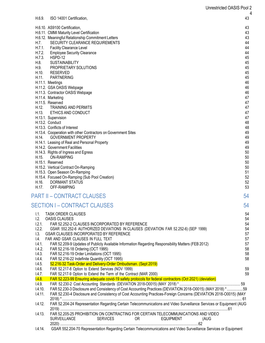|                  |                                                                                                                                       | 4        |
|------------------|---------------------------------------------------------------------------------------------------------------------------------------|----------|
| H.6.9.           | ISO 14001 Certification,                                                                                                              | 43       |
|                  | H.6.10. AS9100 Certification,                                                                                                         | 43       |
|                  | H.6.11. CMMI Maturity Level Certification                                                                                             | 43       |
|                  | H.6.12. Meaningful Relationship Commitment Letters                                                                                    | 43       |
| H.7.             | SECURITY CLEARANCE REQUIREMENTS                                                                                                       | 44       |
| H.7.2.           | H.7.1. Facility Clearance Level<br><b>Employee Security Clearance</b>                                                                 | 44<br>44 |
| H.7.3.           | HSPD-12                                                                                                                               | 45       |
| H.8.             | <b>SUSTAINABILITY</b>                                                                                                                 | 45       |
| H.9.             | PROPRIETARY SOLUTIONS                                                                                                                 | 45       |
| H.10.<br>H.11.   | <b>RESERVED</b><br>PARTNERING                                                                                                         | 45<br>45 |
|                  | H.11.1. Meetings                                                                                                                      | 46       |
|                  | H.11.2. GSA OASIS Webpage                                                                                                             | 46       |
|                  | H.11.3. Contractor OASIS Webpage                                                                                                      | 46       |
|                  | H.11.4. Marketing                                                                                                                     | 47       |
| H.12.            | H.11.5. Reserved<br><b>TRAINING AND PERMITS</b>                                                                                       | 47<br>47 |
| H.13.            | ETHICS AND CONDUCT                                                                                                                    | 47       |
|                  | H.13.1. Supervision                                                                                                                   | 47       |
|                  | H.13.2. Conduct                                                                                                                       | 48       |
|                  | H.13.3. Conflicts of Interest                                                                                                         | 48       |
| H.14.            | H.13.4. Cooperation with other Contractors on Government Sites<br><b>GOVERNMENT PROPERTY</b>                                          | 49<br>49 |
|                  | H.14.1. Leasing of Real and Personal Property                                                                                         | 49       |
|                  | H.14.2. Government Facilities                                                                                                         | 49       |
|                  | H.14.3. Rights of Ingress and Egress                                                                                                  | 50       |
| H.15.            | <b>ON-RAMPING</b>                                                                                                                     | 50       |
|                  | H.15.1. Reserved<br>H.15.2. Vertical Contract On-Ramping                                                                              | 50<br>50 |
|                  | H.15.3. Open Season On-Ramping                                                                                                        | 51       |
|                  | H.15.4. Focused On-Ramping (Sub Pool Creation)                                                                                        | 52       |
| H.16.            | <b>DORMANT STATUS</b>                                                                                                                 | 52       |
| H.17.            | OFF-RAMPING                                                                                                                           | 53       |
|                  | <b>PART II - CONTRACT CLAUSES</b>                                                                                                     | 54       |
|                  | <b>SECTION I - CONTRACT CLAUSES</b>                                                                                                   | 54       |
| 1.1.             | <b>TASK ORDER CLAUSES</b>                                                                                                             | 54       |
| 1.2.             | OASIS CLAUSES                                                                                                                         | 54       |
| 1.2.1.<br>1.2.2. | FAR 52.252-2 CLAUSES INCORPORATED BY REFERENCE<br>GSAR 552.252-6 AUTHORIZED DEVIATIONS IN CLAUSES (DEVIATION FAR 52.252-6) (SEP 1999) | 54<br>54 |
| 1.3.             | GSAR CLAUSES INCORPORATED BY REFERENCE                                                                                                | 57       |
| 1.4.             | FAR AND GSAR CLAUSES IN FULL TEXT                                                                                                     | 57       |
| 1.4.1.           | FAR 52.209-9 Updates of Publicly Available Information Regarding Responsibility Matters (FEB 2012)                                    | 57       |
| 1.4.2.<br>1.4.3. | FAR 52.216-18 Ordering (OCT 1995)<br>FAR 52.216-19 Order Limitations (OCT 1995)                                                       | 58<br>58 |
| 1.4.4.           | FAR 52.216-22 Indefinite Quantity (OCT 1995)                                                                                          | 58       |
| 1.4.5.           | 52.216-32 Task-Order and Delivery-Order Ombudsman. (Sept 2019)                                                                        |          |
| 1.4.6.           | FAR 52.217-8 Option to Extend Services (NOV 1999)                                                                                     | 59       |
| 1.4.7.           | FAR 52.217-9 Option to Extend the Term of the Contract (MAR 2000)                                                                     | 59       |
| 1.4.8.<br>1.4.9. | FAR 52.223-99 Ensuring adequate covid-19 safety protocols for federal contractors (Oct 2021) (deviation)                              |          |
| 1.4.10.          | FAR 52.230-3 Disclosure and Consistency of Cost Accounting Practices (DEVIATION 2018-O0015) (MAY 2018) *59                            |          |
| 1.4.11.          | FAR 52.230-4 Disclosure and Consistency of Cost Accounting Practices-Foreign Concerns (DEVIATION 2018-00015) (MAY                     |          |
|                  |                                                                                                                                       |          |
| 1.4.12.          | FAR 52.204-24 Representation Regarding Certain Telecommunications and Video Surveillance Services or Equipment (AUG                   |          |
| 1.4.13.          | FAR 52.205-25 PROHIBITION ON CONTRACTING FOR CERTAIN TELECOMMUNICATIONS AND VIDEO                                                     |          |
|                  | (AUG                                                                                                                                  |          |
|                  |                                                                                                                                       |          |
| 1.4.14.          | GSAR 552.204-70 Representation Regarding Certain Telecommunications and Video Surveillance Services or Equipment                      |          |

Unrestricted OASIS Pool 2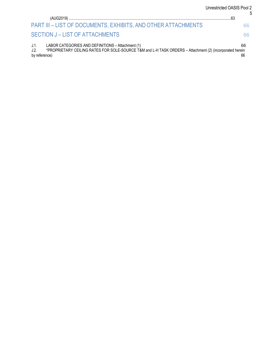|                                                                                                                                                                                              | Unrestricted OASIS Pool 2 |
|----------------------------------------------------------------------------------------------------------------------------------------------------------------------------------------------|---------------------------|
|                                                                                                                                                                                              |                           |
| <b>PART III - LIST OF DOCUMENTS, EXHIBITS, AND OTHER ATTACHMENTS</b>                                                                                                                         | 66                        |
| SECTION J - LIST OF ATTACHMENTS                                                                                                                                                              | 66                        |
| LABOR CATEGORIES AND DEFINITIONS - Attachment (1)<br>J.1<br>*PROPRIETARY CEILING RATES FOR SOLE-SOURCE T&M and L-H TASK ORDERS - Attachment (2) (incorporated herein<br>J.2<br>by reference) | 66<br>66                  |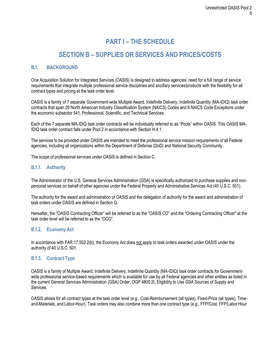## **PART I – THE SCHEDULE**

### **SECTION B – SUPPLIES OR SERVICES AND PRICES/COSTS**

#### **B.1. BACKGROUND**

One Acquisition Solution for Integrated Services (OASIS) is designed to address agencies' need for a full range of service requirements that integrate multiple professional service disciplines and ancillary services/products with the flexibility for all contract types and pricing at the task order level.

OASIS is a family of 7 separate Government-wide Multiple Award, Indefinite Delivery, Indefinite Quantity (MA-IDIQ) task order contracts that span 29 North American Industry Classification System (NAICS) Codes and 6 NAICS Code Exceptions under the economic subsector 541, Professional, Scientific, and Technical Services.

Each of the 7 separate MA-IDIQ task order contracts will be individually referred to as "Pools" within OASIS. This OASIS MA-IDIQ task order contract falls under Pool 2 in accordance with Section H.4.1.

The services to be provided under OASIS are intended to meet the professional service mission requirements of all Federal agencies, including all organizations within the Department of Defense (DoD) and National Security Community.

The scope of professional services under OASIS is defined in Section C.

#### **B.1.1. Authority**

The Administrator of the U.S. General Services Administration (GSA) is specifically authorized to purchase supplies and nonpersonal services on behalf of other agencies under the Federal Property and Administrative Services Act (40 U.S.C. 501).

The authority for the award and administration of OASIS and the delegation of authority for the award and administration of task orders under OASIS are defined in Section G.

Hereafter, the "OASIS Contracting Officer" will be referred to as the "OASIS CO" and the "Ordering Contracting Officer" at the task order level will be referred to as the "OCO".

#### **B.1.2. Economy Act**

In accordance with FAR 17.502-2(b), the Economy Act does not apply to task orders awarded under OASIS under the authority of 40 U.S.C. 501.

#### <span id="page-5-0"></span>**B.1.3. Contract Type**

OASIS is a family of Multiple Award, Indefinite Delivery, Indefinite Quantity (MA-IDIQ) task order contracts for Governmentwide professional service-based requirements which is available for use by all Federal agencies and other entities as listed in the current General Services Administration (GSA) Order, OGP 4800.2I, Eligibility to Use GSA Sources of Supply and Services.

OASIS allows for all contract types at the task order level (e.g., Cost-Reimbursement (all types), Fixed-Price (all types), Timeand-Materials, and Labor-Hour). Task orders may also combine more than one contract type (e.g., FFP/Cost, FFP/Labor Hour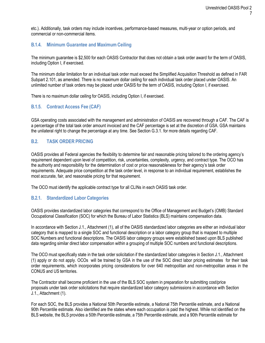etc.). Additionally, task orders may include incentives, performance-based measures, multi-year or option periods, and commercial or non-commercial items.

#### <span id="page-6-0"></span>**B.1.4. Minimum Guarantee and Maximum Ceiling**

The minimum guarantee is \$2,500 for each OASIS Contractor that does not obtain a task order award for the term of OASIS, including Option I, if exercised.

The minimum dollar limitation for an individual task order must exceed the Simplified Acquisition Threshold as defined in FAR Subpart 2.101, as amended. There is no maximum dollar ceiling for each individual task order placed under OASIS. An unlimited number of task orders may be placed under OASIS for the term of OASIS, including Option I, if exercised.

There is no maximum dollar ceiling for OASIS, including Option I, if exercised.

#### <span id="page-6-1"></span>**B.1.5. Contract Access Fee (CAF)**

GSA operating costs associated with the management and administration of OASIS are recovered through a CAF. The CAF is a percentage of the total task order amount invoiced and the CAF percentage is set at the discretion of GSA. GSA maintains the unilateral right to change the percentage at any time. See Section G.3.1. for more details regarding CAF.

#### <span id="page-6-2"></span>**B.2. TASK ORDER PRICING**

OASIS provides all Federal agencies the flexibility to determine fair and reasonable pricing tailored to the ordering agency's requirement dependent upon level of competition, risk, uncertainties, complexity, urgency, and contract type. The OCO has the authority and responsibility for the determination of cost or price reasonableness for their agency's task order requirements. Adequate price competition at the task order level, in response to an individual requirement, establishes the most accurate, fair, and reasonable pricing for that requirement.

The OCO must identify the applicable contract type for all CLINs in each OASIS task order.

#### <span id="page-6-3"></span>**B.2.1. Standardized Labor Categories**

OASIS provides standardized labor categories that correspond to the Office of Management and Budget's (OMB) Standard Occupational Classification (SOC) for which the Bureau of Labor Statistics (BLS) maintains compensation data.

In accordance with Section J.1., Attachment (1), all of the OASIS standardized labor categories are either an individual labor category that is mapped to a single SOC and functional description or a labor category group that is mapped to multiple SOC Numbers and functional descriptions. The OASIS labor category groups were established based upon BLS published data regarding similar direct labor compensation within a grouping of multiple SOC numbers and functional descriptions.

The OCO must specifically state in the task order solicitation if the standardized labor categories in Section J.1., Attachment (1) apply or do not apply. OCOs will be trained by GSA in the use of the SOC direct labor pricing estimates for their task order requirements, which incorporates pricing considerations for over 640 metropolitan and non-metropolitan areas in the CONUS and US territories.

The Contractor shall become proficient in the use of the BLS SOC system in preparation for submitting cost/price proposals under task order solicitations that require standardized labor category submissions in accordance with Section J.1., Attachment (1).

For each SOC, the BLS provides a National 50th Percentile estimate, a National 75th Percentile estimate, and a National 90th Percentile estimate. Also identified are the states where each occupation is paid the highest. While not identified on the BLS website, the BLS provides a 50th Percentile estimate, a 75th Percentile estimate, and a 90th Percentile estimate for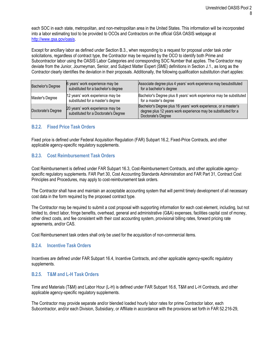each SOC in each state, metropolitan, and non-metropolitan area in the United States. This information will be incorporated into a labor estimating tool to be provided to OCOs and Contractors on the official GSA OASIS webpage at [http://www.gsa.gov/oasis.](http://www.gsa.gov/oasis)

Except for ancillary labor as defined under Section B.3., when responding to a request for proposal under task order solicitations, regardless of contract type, the Contractor may be required by the OCO to identify both Prime and Subcontractor labor using the OASIS Labor Categories and corresponding SOC Number that applies. The Contractor may deviate from the Junior, Journeyman, Senior, and Subject Matter Expert (SME) definitions in Section J.1., as long as the Contractor clearly identifies the deviation in their proposals. Additionally, the following qualification substitution chart applies:

| <b>Bachelor's Degree</b> | 6 years' work experience may be<br>substituted for a bachelor's degree   | Associate degree plus 4 years' work experience may besubstituted<br>for a bachelor's degree                                                            |
|--------------------------|--------------------------------------------------------------------------|--------------------------------------------------------------------------------------------------------------------------------------------------------|
| Master's Degree          | 12 years' work experience may be<br>substituted for a master's degree    | Bachelor's Degree plus 8 years' work experience may be substituted<br>for a master's degree                                                            |
| Doctorate's Degree       | 20 years' work experience may be<br>substituted for a Doctorate's Degree | Bachelor's Degree plus 16 years' work experience, or a master's<br>degree plus 12 years work experience may be substituted for a<br>Doctorate's Degree |

#### <span id="page-7-0"></span>**B.2.2. Fixed Price Task Orders**

Fixed price is defined under Federal Acquisition Regulation (FAR) Subpart 16.2, Fixed-Price Contracts, and other applicable agency-specific regulatory supplements.

#### <span id="page-7-1"></span>**B.2.3. Cost Reimbursement Task Orders**

Cost Reimbursement is defined under FAR Subpart 16.3, Cost-Reimbursement Contracts, and other applicable agencyspecific regulatory supplements. FAR Part 30, Cost Accounting Standards Administration and FAR Part 31, Contract Cost Principles and Procedures, may apply to cost-reimbursement task orders.

The Contractor shall have and maintain an acceptable accounting system that will permit timely development of all necessary cost data in the form required by the proposed contract type.

The Contractor may be required to submit a cost proposal with supporting information for each cost element, including, but not limited to, direct labor, fringe benefits, overhead, general and administrative (G&A) expenses, facilities capital cost of money, other direct costs, and fee consistent with their cost accounting system, provisional billing rates, forward pricing rate agreements, and/or CAS.

Cost Reimbursement task orders shall only be used for the acquisition of non-commercial items.

#### <span id="page-7-2"></span>**B.2.4. Incentive Task Orders**

Incentives are defined under FAR Subpart 16.4, Incentive Contracts, and other applicable agency-specific regulatory supplements.

#### <span id="page-7-3"></span>**B.2.5. T&M and L-H Task Orders**

Time and Materials (T&M) and Labor Hour (L-H) is defined under FAR Subpart 16.6, T&M and L-H Contracts, and other applicable agency-specific regulatory supplements.

The Contractor may provide separate and/or blended loaded hourly labor rates for prime Contractor labor, each Subcontractor, and/or each Division, Subsidiary, or Affiliate in accordance with the provisions set forth in FAR 52.216-29,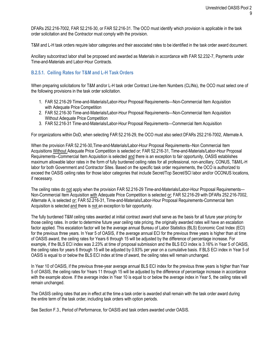DFARs 252.216-7002, FAR 52.216-30, or FAR 52.216-31. The OCO must identify which provision is applicable in the task order solicitation and the Contractor must comply with the provision.

T&M and L-H task orders require labor categories and their associated rates to be identified in the task order award document.

Ancillary subcontract labor shall be proposed and awarded as Materials in accordance with FAR 52.232-7, Payments under Time-and-Materials and Labor-Hour Contracts.

#### <span id="page-8-0"></span>**B.2.5.1. Ceiling Rates for T&M and L-H Task Orders**

When preparing solicitations for T&M and/or L-H task order Contract Line-Item Numbers (CLINs), the OCO must select one of the following provisions in the task order solicitation.

- 1. FAR 52.216-29 Time-and-Materials/Labor-Hour Proposal Requirements—Non-Commercial Item Acquisition with Adequate Price Competition
- 2. FAR 52.216-30 Time-and-Materials/Labor-Hour Proposal Requirements—Non-Commercial Item Acquisition Without Adequate Price Competition
- 3. FAR 52.216-31 Time-and-Materials/Labor-Hour Proposal Requirements—Commercial Item Acquisition

For organizations within DoD, when selecting FAR 52.216-29, the OCO must also select DFARs 252.216-7002, Alternate A.

When the provision FAR 52.216-30,Time-and-Materials/Labor-Hour Proposal Requirements--Non Commercial Item Acquisitions Without Adequate Price Competition is selected or; FAR 52.216-31, Time-and-Materials/Labor-Hour Proposal Requirements--Commercial Item Acquisition is selected and there is an exception to fair opportunity, OASIS establishes maximum allowable labor rates in the form of fully burdened ceiling rates for all professional, non-ancillary, CONUS, T&M/L-H labor for both Government and Contractor Sites. Based on the specific task order requirements, the OCO is authorized to exceed the OASIS ceiling rates for those labor categories that include Secret/Top Secret/SCI labor and/or OCONUS locations, if necessary.

The ceiling rates do not apply when the provision FAR 52.216-29 Time-and-Materials/Labor-Hour Proposal Requirements— Non-Commercial Item Acquisition with Adequate Price Competition is selected or; FAR 52.216-29 with DFARs 252.216-7002, Alternate A, is selected or; FAR 52.216-31, Time-and-Materials/Labor-Hour Proposal Requirements-Commercial Item Acquisition is selected and there is not an exception to fair opportunity.

The fully burdened T&M ceiling rates awarded at initial contract award shall serve as the basis for all future year pricing for those ceiling rates. In order to determine future year ceiling rate pricing, the originally awarded rates will have an escalation factor applied. This escalation factor will be the average annual Bureau of Labor Statistics (BLS) Economic Cost Index (ECI) for the previous three years. In Year 5 of OASIS, if the average annual ECI for the previous three years is higher than at time of OASIS award, the ceiling rates for Years 6 through 15 will be adjusted by the difference of percentage increase. For example, if the BLS ECI index was 2.23% at time of proposal submission and the BLS ECI index is 3.16% in Year 5 of OASIS, the ceiling rates for years 6 through 15 will be adjusted by 0.93% per year on a cumulative basis. If BLS ECI index in Year 5 of OASIS is equal to or below the BLS ECI index at time of award, the ceiling rates will remain unchanged.

In Year 10 of OASIS, if the previous three-year average annual BLS ECI index for the previous three years is higher than Year 5 of OASIS, the ceiling rates for Years 11 through 15 will be adjusted by the difference of percentage increase in accordance with the example above. If the average index in Year 10 is equal to or below the average index in Year 5, the ceiling rates will remain unchanged.

The OASIS ceiling rates that are in effect at the time a task order is awarded shall remain with the task order award during the entire term of the task order, including task orders with option periods.

See Section F.3., Period of Performance, for OASIS and task orders awarded under OASIS.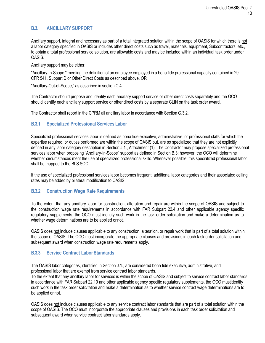#### <span id="page-9-0"></span>**B.3. ANCILLARY SUPPORT**

Ancillary support, integral and necessary as part of a total integrated solution within the scope of OASIS for which there is not a labor category specified in OASIS or includes other direct costs such as travel, materials, equipment, Subcontractors, etc., to obtain a total professional service solution, are allowable costs and may be included within an individual task order under OASIS.

Ancillary support may be either:

"Ancillary-In-Scope," meeting the definition of an employee employed in a bona fide professional capacity contained in 29 CFR 541, Subpart D or Other Direct Costs as described above, OR

"Ancillary-Out-of-Scope," as described in section C.4.

The Contractor should propose and identify each ancillary support service or other direct costs separately and the OCO should identify each ancillary support service or other direct costs by a separate CLIN on the task order award.

The Contractor shall report in the CPRM all ancillary labor in accordance with Section G.3.2.

#### <span id="page-9-1"></span>**B.3.1. Specialized Professional Services Labor**

Specialized professional services labor is defined as bona fide executive, administrative, or professional skills for which the expertise required, or duties performed are within the scope of OASIS but, are so specialized that they are not explicitly defined in any labor category description in Section J.1., Attachment (1). The Contractor may propose specialized professional services labor when proposing "Ancillary-In-Scope" support as defined in Section B.3; however, the OCO will determine whether circumstances merit the use of specialized professional skills. Whenever possible, this specialized professional labor shall be mapped to the BLS SOC.

If the use of specialized professional services labor becomes frequent, additional labor categories and their associated ceiling rates may be added by bilateral modification to OASIS.

#### <span id="page-9-2"></span>**B.3.2. Construction Wage Rate Requirements**

To the extent that any ancillary labor for construction, alteration and repair are within the scope of OASIS and subject to the construction wage rate requirements in accordance with FAR Subpart 22.4 and other applicable agency specific regulatory supplements, the OCO must identify such work in the task order solicitation and make a determination as to whether wage determinations are to be applied or not.

OASIS does not include clauses applicable to any construction, alteration, or repair work that is part of a total solution within the scope of OASIS. The OCO must incorporate the appropriate clauses and provisions in each task order solicitation and subsequent award when construction wage rate requirements apply.

#### <span id="page-9-3"></span>**B.3.3. Service Contract Labor Standards**

The OASIS labor categories, identified in Section J.1., are considered bona fide executive, administrative, and professional labor that are exempt from service contract labor standards.

To the extent that any ancillary labor for services is within the scope of OASIS and subject to service contract labor standards in accordance with FAR Subpart 22.10 and other applicable agency specific regulatory supplements, the OCO mustidentify such work in the task order solicitation and make a determination as to whether service contract wage determinations are to be applied or not.

OASIS does not include clauses applicable to any service contract labor standards that are part of a total solution within the scope of OASIS. The OCO must incorporate the appropriate clauses and provisions in each task order solicitation and subsequent award when service contract labor standards apply.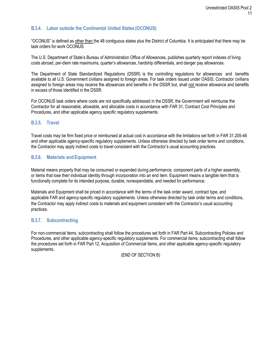#### <span id="page-10-0"></span>**B.3.4. Labor outside the Continental United States (OCONUS)**

"OCONUS" is defined as other than the 48 contiguous states plus the District of Columbia. It is anticipated that there may be task orders for work OCONUS.

The U.S. Department of State's Bureau of Administration Office of Allowances, publishes quarterly report indexes of living costs abroad, per-diem rate maximums, quarter's allowances, hardship differentials, and danger pay allowances.

The Department of State Standardized Regulations (DSSR) is the controlling regulations for allowances and benefits available to all U.S. Government civilians assigned to foreign areas. For task orders issued under OASIS, Contractor civilians assigned to foreign areas may receive the allowances and benefits in the DSSR but, shall not receive allowance and benefits in excess of those identified in the DSSR.

For OCONUS task orders where costs are not specifically addressed in the DSSR, the Government will reimburse the Contractor for all reasonable, allowable, and allocable costs in accordance with FAR 31, Contract Cost Principles and Procedures, and other applicable agency specific regulatory supplements.

#### <span id="page-10-1"></span>**B.3.5. Travel**

Travel costs may be firm fixed price or reimbursed at actual cost in accordance with the limitations set forth in FAR 31.205-46 and other applicable agency-specific regulatory supplements. Unless otherwise directed by task order terms and conditions, the Contractor may apply indirect costs to travel consistent with the Contractor's usual accounting practices.

#### <span id="page-10-2"></span>**B.3.6. Materials and Equipment**

Material means property that may be consumed or expended during performance, component parts of a higher assembly, or items that lose their individual identity through incorporation into an end item. Equipment means a tangible item that is functionally complete for its intended purpose, durable, nonexpendable, and needed for performance.

Materials and Equipment shall be priced in accordance with the terms of the task order award, contract type, and applicable FAR and agency-specific regulatory supplements. Unless otherwise directed by task order terms and conditions, the Contractor may apply indirect costs to materials and equipment consistent with the Contractor's usual accounting practices.

#### <span id="page-10-3"></span>**B.3.7. Subcontracting**

For non-commercial items, subcontracting shall follow the procedures set forth in FAR Part 44, Subcontracting Policies and Procedures, and other applicable agency-specific regulatory supplements. For commercial items, subcontracting shall follow the procedures set forth in FAR Part 12, Acquisition of Commercial Items, and other applicable agency-specific regulatory supplements.

(END OF SECTION B)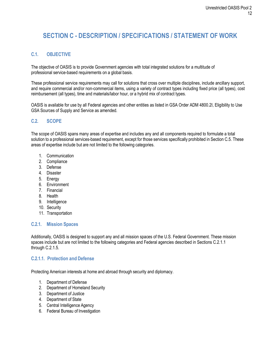## <span id="page-11-0"></span>**SECTION C - DESCRIPTION / SPECIFICATIONS / STATEMENT OF WORK**

#### <span id="page-11-1"></span>**C.1. OBJECTIVE**

The objective of OASIS is to provide Government agencies with total integrated solutions for a multitude of professional service-based requirements on a global basis.

These professional service requirements may call for solutions that cross over multiple disciplines, include ancillary support, and require commercial and/or non-commercial items, using a variety of contract types including fixed price (all types), cost reimbursement (all types), time and materials/labor hour, or a hybrid mix of contract types.

OASIS is available for use by all Federal agencies and other entities as listed in GSA Order ADM 4800.2I, Eligibility to Use GSA Sources of Supply and Service as amended.

#### <span id="page-11-2"></span>**C.2. SCOPE**

The scope of OASIS spans many areas of expertise and includes any and all components required to formulate a total solution to a professional services-based requirement, except for those services specifically prohibited in Section C.5. These areas of expertise include but are not limited to the following categories.

- 1. Communication
- 2. Compliance
- 3. Defense
- 4. Disaster
- 5. Energy
- 6. Environment
- 7. Financial
- 8. Health
- 9. Intelligence
- 10. Security
- 11. Transportation

#### <span id="page-11-3"></span>**C.2.1. Mission Spaces**

Additionally, OASIS is designed to support any and all mission spaces of the U.S. Federal Government. These mission spaces include but are not limited to the following categories and Federal agencies described in Sections C.2.1.1 through C.2.1.5.

#### <span id="page-11-4"></span>**C.2.1.1. Protection and Defense**

Protecting American interests at home and abroad through security and diplomacy.

- 1. Department of Defense
- 2. Department of Homeland Security
- 3. Department of Justice
- 4. Department of State
- 5. Central Intelligence Agency
- 6. Federal Bureau of Investigation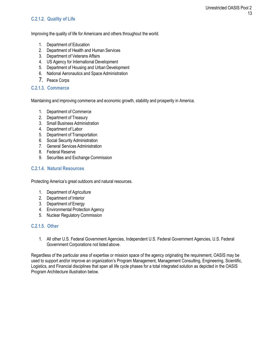## <span id="page-12-0"></span>**C.2.1.2. Quality of Life**

Improving the quality of life for Americans and others throughout the world.

- 1. Department of Education
- 2. Department of Health and Human Services
- 3. Department of Veterans Affairs
- 4. US Agency for International Development
- 5. Department of Housing and Urban Development
- 6. National Aeronautics and Space Administration
- 7. Peace Corps

#### <span id="page-12-1"></span>**C.2.1.3. Commerce**

Maintaining and improving commerce and economic growth, stability and prosperity in America.

- 1. Department of Commerce
- 2. Department of Treasury
- 3. Small Business Administration
- 4. Department of Labor
- 5. Department of Transportation
- 6. Social Security Administration
- 7. General Services Administration
- 8. Federal Reserve
- 9. Securities and Exchange Commission

#### <span id="page-12-2"></span>**C.2.1.4. Natural Resources**

Protecting America's great outdoors and natural resources.

- 1. Department of Agriculture
- 2. Department of Interior
- 3. Department of Energy
- 4. Environmental Protection Agency
- 5. Nuclear Regulatory Commission

#### <span id="page-12-3"></span>**C.2.1.5. Other**

1. All other U.S. Federal Government Agencies, Independent U.S. Federal Government Agencies, U.S. Federal Government Corporations not listed above.

Regardless of the particular area of expertise or mission space of the agency originating the requirement, OASIS may be used to support and/or improve an organization's Program Management, Management Consulting, Engineering, Scientific, Logistics, and Financial disciplines that span all life cycle phases for a total integrated solution as depicted in the OASIS Program Architecture illustration below.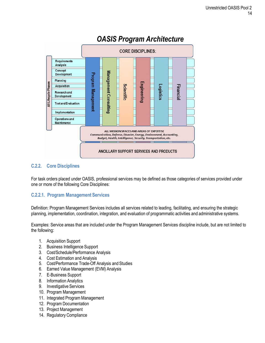

#### <span id="page-13-0"></span>**C.2.2. Core Disciplines**

For task orders placed under OASIS, professional services may be defined as those categories of services provided under one or more of the following Core Disciplines:

#### <span id="page-13-1"></span>**C.2.2.1. Program Management Services**

Definition: Program Management Services includes all services related to leading, facilitating, and ensuring the strategic planning, implementation, coordination, integration, and evaluation of programmatic activities and administrative systems.

Examples: Service areas that are included under the Program Management Services discipline include, but are not limited to the following:

- 1. Acquisition Support
- 2. Business Intelligence Support
- 3. Cost/Schedule/Performance Analysis
- 4. Cost Estimation and Analysis
- 5. Cost/Performance Trade-Off Analysis and Studies
- 6. Earned Value Management (EVM) Analysis
- 7. E-Business Support
- 8. Information Analytics
- 9. Investigative Services
- 10. Program Management
- 11. Integrated Program Management
- 12. Program Documentation
- 13. Project Management
- 14. Regulatory Compliance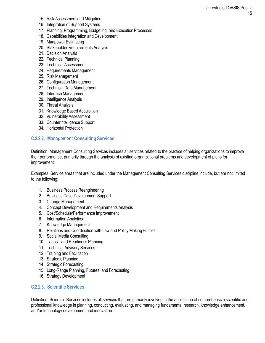- 15. Risk Assessment and Mitigation
- 16. Integration of Support Systems
- 17. Planning, Programming, Budgeting, and Execution Processes
- 18. Capabilities Integration and Development
- 19. Manpower Estimating
- 20. Stakeholder Requirements Analysis
- 21. Decision Analysis
- 22. Technical Planning
- 23. Technical Assessment
- 24. Requirements Management
- 25. Risk Management
- 26. Configuration Management
- 27. Technical Data Management
- 28. Interface Management
- 29. Intelligence Analysis
- 30. Threat Analysis
- 31. Knowledge Based Acquisition
- 32. Vulnerability Assessment
- 33. Counterintelligence Support
- 34. Horizontal Protection

#### <span id="page-14-0"></span>**C.2.2.2. Management Consulting Services**

Definition: Management Consulting Services includes all services related to the practice of helping organizations to improve their performance, primarily through the analysis of existing organizational problems and development of plans for improvement.

Examples: Service areas that are included under the Management Consulting Services discipline include, but are not limited to the following:

- 1. Business Process Reengineering
- 2. Business Case Development Support
- 3. Change Management
- 4. Concept Development and Requirements Analysis
- 5. Cost/Schedule/Performance Improvement
- 6. Information Analytics
- 7. Knowledge Management
- 8. Relations and Coordination with Law and Policy Making Entities
- 9. Social Media Consulting
- 10. Tactical and Readiness Planning
- 11. Technical Advisory Services
- 12. Training and Facilitation
- 13. Strategic Planning
- 14. Strategic Forecasting
- 15. Long-Range Planning, Futures, and Forecasting
- 16. Strategy Development

#### <span id="page-14-1"></span>**C.2.2.3. Scientific Services**

Definition: Scientific Services includes all services that are primarily involved in the application of comprehensive scientific and professional knowledge in planning, conducting, evaluating, and managing fundamental research, knowledge enhancement, and/or technology development and innovation.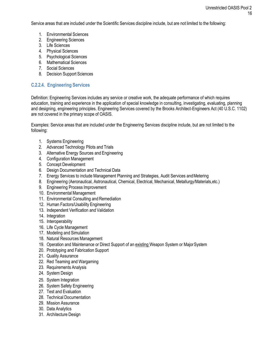Service areas that are included under the Scientific Services discipline include, but are not limited to the following:

- 1. Environmental Sciences
- 2. Engineering Sciences
- 3. Life Sciences
- 4. Physical Sciences
- 5. Psychological Sciences
- 6. Mathematical Sciences
- 7. Social Sciences
- 8. Decision Support Sciences

#### <span id="page-15-0"></span>**C.2.2.4. Engineering Services**

Definition: Engineering Services includes any service or creative work, the adequate performance of which requires education, training and experience in the application of special knowledge in consulting, investigating, evaluating, planning and designing, engineering principles. Engineering Services covered by the Brooks Architect-Engineers Act (40 U.S.C. 1102) are not covered in the primary scope of OASIS.

Examples: Service areas that are included under the Engineering Services discipline include, but are not limited to the following:

- 1. Systems Engineering
- 2. Advanced Technology Pilots and Trials
- 3. Alternative Energy Sources and Engineering
- 4. Configuration Management
- 5. Concept Development
- 6. Design Documentation and Technical Data
- 7. Energy Services to include Management Planning and Strategies, Audit Services andMetering
- 8. Engineering (Aeronautical, Astronautical, Chemical, Electrical, Mechanical, Metallurgy/Materials,etc.)
- 9. Engineering Process Improvement
- 10. Environmental Management
- 11. Environmental Consulting and Remediation
- 12. Human Factors/Usability Engineering
- 13. Independent Verification and Validation
- 14. Integration
- 15. Interoperability
- 16. Life Cycle Management
- 17. Modeling and Simulation
- 18. Natural Resources Management
- 19. Operation and Maintenance or Direct Support of an existing Weapon System or MajorSystem
- 20. Prototyping and Fabrication Support
- 21. Quality Assurance
- 22. Red Teaming and Wargaming
- 23. Requirements Analysis
- 24. System Design
- 25. System Integration
- 26. System Safety Engineering
- 27. Test and Evaluation
- 28. Technical Documentation
- 29. Mission Assurance
- 30. Data Analytics
- 31. Architecture Design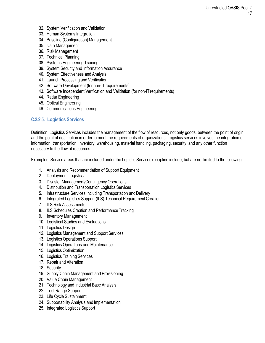- 32. System Verification and Validation
- 33. Human Systems Integration
- 34. Baseline (Configuration) Management
- 35. Data Management
- 36. Risk Management
- 37. Technical Planning
- 38. Systems Engineering Training
- 39. System Security and Information Assurance
- 40. System Effectiveness and Analysis
- 41. Launch Processing and Verification
- 42. Software Development (for non-IT requirements)
- 43. Software Independent Verification and Validation (for non-IT requirements)
- 44. Radar Engineering
- 45. Optical Engineering
- 46. Communications Engineering

#### <span id="page-16-0"></span>**C.2.2.5. Logistics Services**

Definition: Logistics Services includes the management of the flow of resources, not only goods, between the point of origin and the point of destination in order to meet the requirements of organizations. Logistics services involves the integration of information[, transportation, inventory,](http://en.wikipedia.org/wiki/Transportation) [warehousing, material handling,](http://en.wikipedia.org/wiki/Warehousing) [packaging, security, a](http://en.wikipedia.org/wiki/Packaging)nd any other function necessary to the flow of resources.

Examples: Service areas that are included under the Logistic Services discipline include, but are not limited to the following:

- 1. Analysis and Recommendation of Support Equipment
- 2. Deployment Logistics
- 3. Disaster Management/Contingency Operations
- 4. Distribution and Transportation Logistics Services
- 5. Infrastructure Services Including Transportation and Delivery
- 6. Integrated Logistics Support (ILS) Technical Requirement Creation
- 7. ILS Risk Assessments
- 8. ILS Schedules Creation and Performance Tracking
- 9. Inventory Management
- 10. Logistical Studies and Evaluations
- 11. Logistics Design
- 12. Logistics Management and Support Services
- 13. Logistics Operations Support
- 14. Logistics Operations and Maintenance
- 15. Logistics Optimization
- 16. Logistics Training Services
- 17. Repair and Alteration
- 18. Security
- 19. Supply Chain Management and Provisioning
- 20. Value Chain Management
- 21. Technology and Industrial Base Analysis
- 22. Test Range Support
- 23. Life Cycle Sustainment
- 24. Supportability Analysis and Implementation
- 25. Integrated Logistics Support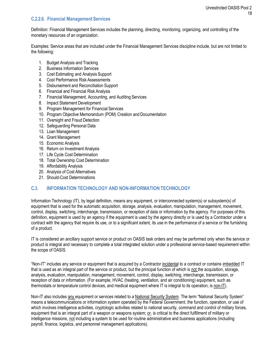#### <span id="page-17-0"></span>**C.2.2.6. Financial Management Services**

Definition: Financial Management Services includes the [planning, directing,](http://www.businessdictionary.com/definition/planning.html) [monitoring, organizing, a](http://www.businessdictionary.com/definition/monitoring.html)n[d controlling o](http://www.businessdictionary.com/definition/controlling.html)f the [monetary](http://www.businessdictionary.com/definition/monetary.html) [resources o](http://www.businessdictionary.com/definition/monetary.html)f an [organization.](http://www.businessdictionary.com/definition/organization.html)

Examples: Service areas that are included under the Financial Management Services discipline include, but are not limited to the following:

- 1. Budget Analysis and Tracking
- 2. Business Information Services
- 3. Cost Estimating and Analysis Support
- 4. Cost Performance Risk Assessments
- 5. Disbursement and Reconciliation Support
- 6. Financial and Financial Risk Analysis
- 7. Financial Management, Accounting, and Auditing Services
- 8. Impact Statement Development
- 9. Program Management for Financial Services
- 10. Program Objective Memorandum (POM) Creation and Documentation
- 11. Oversight and Fraud Detection
- 12. Safeguarding Personal Data
- 13. Loan Management
- 14. Grant Management
- 15. Economic Analysis
- 16. Return on Investment Analysis
- 17. Life Cycle Cost Determination
- 18. Total Ownership Cost Determination
- 19. Affordability Analysis
- 20. Analysis of Cost Alternatives
- 21. Should-Cost Determinations

#### <span id="page-17-1"></span>**C.3. INFORMATION TECHNOLOGY AND NON-INFORMATIONTECHNOLOGY**

Information Technology (IT), by legal definition, means any equipment, or interconnected system(s) or subsystem(s) of equipment that is used for the automatic acquisition, storage, analysis, evaluation, manipulation, management, movement, control, display, switching, interchange, transmission, or reception of data or information by the agency. For purposes of this definition, equipment is used by an agency if the equipment is used by the agency directly or is used by a Contractor under a contract with the agency that require its use, or to a significant extent, its use in the performance of a service or the furnishing of a product.

IT is considered an ancillary support service or product on OASIS task orders and may be performed only when the service or product is integral and necessary to complete a total integrated solution under a professional service-based requirement within the scope of OASIS.

"Non-IT" includes any service or equipment that is acquired by a Contractor incidental to a contract or contains imbedded IT that is used as an integral part of the service or product, but the principal function of which is not the acquisition, storage, analysis, evaluation, manipulation, management, movement, control, display, switching, interchange, transmission, or reception of data or information. (For example, HVAC (heating, ventilation, and air conditioning) equipment, such as thermostats or temperature control devices, and medical equipment where IT is integral to its operation, is non-IT).

Non-IT also includes any equipment or services related to a National Security System. The term "National Security System" means a telecommunications or information system operated by the Federal Government, the function, operation, or use of which involves intelligence activities, cryptologic activities related to national security, command and control of military forces, equipment that is an integral part of a weapon or weapons system; or, is critical to the direct fulfillment of military or intelligence missions, not including a system to be used for routine administrative and business applications (including payroll, finance, logistics, and personnel management applications).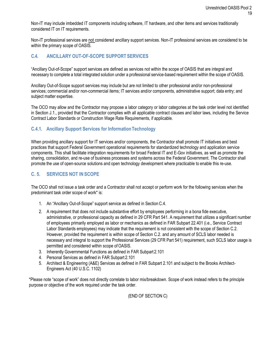Non-IT may include imbedded IT components including software, IT hardware, and other items and services traditionally considered IT on IT requirements.

Non-IT professional services are not considered ancillary support services. Non-IT professional services are considered to be within the primary scope of OASIS.

#### <span id="page-18-0"></span>**C.4. ANCILLARY OUT-OF-SCOPE SUPPORT SERVICES**

"Ancillary Out-of-Scope" support services are defined as services not within the scope of OASIS that are integral and necessary to complete a total integrated solution under a professional service-based requirement within the scope of OASIS.

Ancillary Out-of-Scope support services may include but are not limited to other professional and/or non-professional services; commercial and/or non-commercial items; IT services and/or components, administrative support; data entry; and subject matter expertise.

The OCO may allow and the Contractor may propose a labor category or labor categories at the task order level not identified in Section J.1., provided that the Contractor complies with all applicable contract clauses and labor laws, including the Service Contract Labor Standards or Construction Wage Rate Requirements, if applicable.

#### <span id="page-18-1"></span>**C.4.1. Ancillary Support Services for InformationTechnology**

When providing ancillary support for IT services and/or components, the Contractor shall promote IT initiatives and best practices that support Federal Government operational requirements for standardized technology and application service components. This shall facilitate integration requirements for broad Federal IT and E-Gov initiatives, as well as promote the sharing, consolidation, and re-use of business processes and systems across the Federal Government. The Contractor shall promote the use of open-source solutions and open technology development where practicable to enable this re-use.

#### <span id="page-18-2"></span>**C. 5. SERVICES NOT IN SCOPE**

The OCO shall not issue a task order and a Contractor shall not accept or perform work for the following services when the predominant task order scope of work\* is:

- 1. An "Ancillary Out-of-Scope" support service as defined in SectionC.4.
- 2. A requirement that does not include substantive effort by employees performing in a bona fide executive, administrative, or professional capacity as defined in 29 CFR Part 541. A requirement that utilizes a significant number of employees primarily employed as labor or mechanics as defined in FAR Subpart 22.401 (i.e., Service Contract Labor Standards employees) may indicate that the requirement is not consistent with the scope of Section C.2. However, provided the requirement is within scope of Section C.2. and any amount of SCLS labor needed is necessary and integral to support the Professional Services (29 CFR Part 541) requirement, such SCLS labor usage is permitted and considered within scope of OASIS.
- 3. Inherently Governmental Functions as defined in FAR Subpart 2.101
- 4. Personal Services as defined in FAR Subpart 2.101
- 5. Architect & Engineering (A&E) Services as defined in FAR Subpart 2.101 and subject to the Brooks Architect-Engineers Act (40 U.S.C. 1102)

\*Please note "scope of work" does not directly correlate to labor mix/breakdown. Scope of work instead refers to the principle purpose or objective of the work required under the task order.

(END OF SECTION C)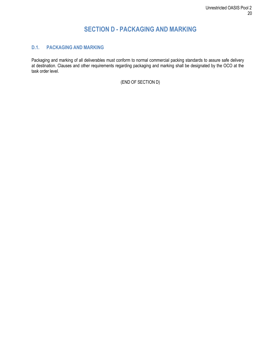### **SECTION D - PACKAGING AND MARKING**

#### <span id="page-19-1"></span><span id="page-19-0"></span>**D.1. PACKAGING AND MARKING**

Packaging and marking of all deliverables must conform to normal commercial packing standards to assure safe delivery at destination. Clauses and other requirements regarding packaging and marking shall be designated by the OCO at the task order level.

(END OF SECTION D)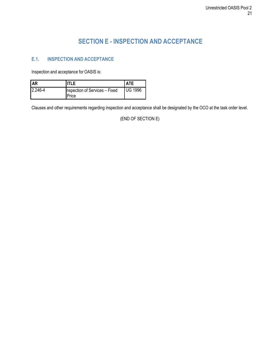## **SECTION E - INSPECTION AND ACCEPTANCE**

#### <span id="page-20-1"></span><span id="page-20-0"></span>**E.1. INSPECTION AND ACCEPTANCE**

Inspection and acceptance for OASIS is:

| <b>AR</b> | <b>ITLE</b>                                      | <b>ATE</b>     |
|-----------|--------------------------------------------------|----------------|
| 2.246-4   | Inspection of Services - Fixed<br><b>I</b> Price | <b>UG 1996</b> |

Clauses and other requirements regarding inspection and acceptance shall be designated by the OCO at the task order level.

(END OF SECTION E)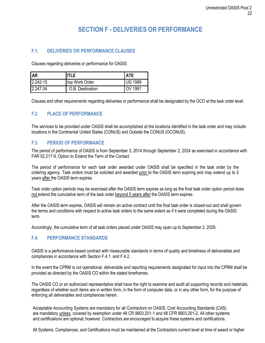## **SECTION F - DELIVERIES OR PERFORMANCE**

#### <span id="page-21-1"></span><span id="page-21-0"></span>**F.1. DELIVERIES OR PERFORMANCE CLAUSES**

Clauses regarding deliveries or performance for OASIS:

| <b>AR</b> | <b>ITLE</b>        | <b>LATE</b>    |
|-----------|--------------------|----------------|
| 2.242-15  | top Work Order     | <b>UG 1989</b> |
| 12.247-34 | . O.B. Destination | <b>OV 1991</b> |

Clauses and other requirements regarding deliveries or performance shall be designated by the OCO at the task order level.

#### <span id="page-21-2"></span>**F.2. PLACE OF PERFORMANCE**

The services to be provided under OASIS shall be accomplished at the locations identified in the task order and may include locations in the Continental United States (CONUS) and Outside the CONUS (OCONUS).

#### <span id="page-21-3"></span>**F.3. PERIOD OF PERFORMANCE**

The period of performance of OASIS is from September 3, 2014 through September 2, 2024 as exercised in accordance with FAR 52.217-9, Option to Extend the Term of the Contact.

The period of performance for each task order awarded under OASIS shall be specified in the task order by the ordering agency. Task orders must be solicited and awarded prior to the OASIS term expiring and may extend up to 5 years after the OASIS term expires.

Task order option periods may be exercised after the OASIS term expires as long as the final task order option period does not extend the cumulative term of the task order beyond 5 years after the OASIS term expires.

After the OASIS term expires, OASIS will remain an active contract until the final task order is closed-out and shall govern the terms and conditions with respect to active task orders to the same extent as if it were completed during the OASIS term.

Accordingly, the cumulative term of all task orders placed under OASIS may span up to September 2, 2029.

#### <span id="page-21-4"></span>**F.4. PERFORMANCE STANDARDS**

OASIS is a performance-based contract with measurable standards in terms of quality and timeliness of deliverables and compliances in accordance with Section F.4.1. and F.4.2.

In the event the CPRM is not operational, deliverable and reporting requirements designated for input into the CPRM shall be provided as directed by the OASIS CO within the stated timeframes.

The OASIS CO or an authorized representative shall have the right to examine and audit all supporting records and materials, regardless of whether such items are in written form, in the form of computer data, or in any other form, for the purpose of enforcing all deliverables and compliances herein.

Acceptable Accounting Systems are mandatory for all Contractors on OASIS. Cost Accounting Standards (CAS) are mandatory unless, covered by exemption under 48 CR 9903.201-1 and 48 CFR 9903.201-2. All other systems and certifications are optional; however, Contractors are encouraged to acquire these systems and certifications.

All Systems, Compliances, and Certifications must be maintained at the Contractors current level at time of award or higher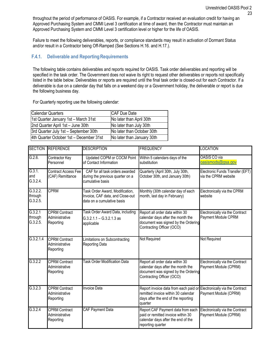throughout the period of performance of OASIS. For example, if a Contractor received an evaluation credit for having an Approved Purchasing System and CMMI Level 3 certification at time of award, then the Contractor must maintain an Approved Purchasing System and CMMI Level 3 certification level or higher for the life of OASIS.

Failure to meet the following deliverables, reports, or compliance standards may result in activation of Dormant Status and/or result in a Contractor being Off-Ramped (See Sections H.16. and H.17.).

#### <span id="page-22-0"></span>**F.4.1. Deliverable and ReportingRequirements**

The following table contains deliverables and reports required for OASIS. Task order deliverables and reporting will be specified in the task order. The Government does not waive its right to request other deliverables or reports not specifically listed in the table below. Deliverables or reports are required until the final task order is closed-out for each Contractor. If a deliverable is due on a calendar day that falls on a weekend day or a Government holiday, the deliverable or report is due the following business day.

For Quarterly reporting use the following calendar:

| Calendar Quarters                       | <b>CAF Due Date</b>        |
|-----------------------------------------|----------------------------|
| 1st Quarter January 1st - March 31st    | No later than April 30th   |
| 2nd Quarter April 1st - June 30th       | No later than July 30th    |
| 3rd Quarter July 1st - September 30th   | No later than October 30th |
| 4th Quarter October 1st - December 31st | No later than January 30th |

| <b>SECTION</b>                  | <b>REFERENCE</b>                                    | <b>DESCRIPTION</b>                                                                                | <b>FREQUENCY</b>                                                                                                                         | <b>LOCATION</b>                                          |
|---------------------------------|-----------------------------------------------------|---------------------------------------------------------------------------------------------------|------------------------------------------------------------------------------------------------------------------------------------------|----------------------------------------------------------|
| G.2.6.                          | Contractor Key<br>Personnel                         | Updated COPM or COCM Point<br>of Contact Information                                              | Within 5 calendars days of the<br>substitution                                                                                           | OASIS CO via<br>oasismods@gsa.gov                        |
| G.3.1.<br>and<br>G.3.2.4.       | <b>Contract Access Fee</b><br>(CAF) Remittance      | CAF for all task orders awarded<br>during the previous quarter on a<br>cumulative basis           | Quarterly (April 30th, July 30th,<br>October 30th, and January 30th)                                                                     | Electronic Funds Transfer (EFT)<br>via the CPRM website  |
| G.3.2.2.<br>through<br>G.3.2.5. | <b>CPRM</b>                                         | Task Order Award, Modification,<br>Invoice, CAF data, and Close-out<br>data on a cumulative basis | Monthly (30th calendar day of each<br>month, last day in February)                                                                       | Electronically via the CPRM<br>website                   |
| G.3.2.1<br>through<br>G.3.2.5.  | <b>CPRM Contract</b><br>Administrative<br>Reporting | Task Order Award Data, including<br>$G.3.2.1.1 - G.3.2.1.3$ as<br>applicable                      | Report all order data within 30<br>calendar days after the month the<br>document was signed by the Ordering<br>Contracting Officer (OCO) | Electronically via the Contract<br>Payment Module CPRM   |
| G.3.2.1.4                       | <b>CPRM Contract</b><br>Administrative<br>Reporting | Limitations on Subcontracting<br><b>Reporting Data</b>                                            | Not Required                                                                                                                             | Not Required                                             |
| G.3.2.2                         | <b>CPRM Contract</b><br>Administrative<br>Reporting | <b>Task Order Modification Data</b>                                                               | Report all order data within 30<br>calendar days after the month the<br>document was signed by the Ordering<br>Contracting Officer (OCO) | Electronically via the Contract<br>Payment Module (CPRM) |
| G.3.2.3                         | <b>CPRM Contract</b><br>Administrative<br>Reporting | <b>Invoice Data</b>                                                                               | Report invoice data from each paid or<br>remitted invoice within 30 calendar<br>days after the end of the reporting<br>quarter           | Electronically via the Contract<br>Payment Module (CPRM) |
| G.3.2.4                         | <b>CPRM Contract</b><br>Administrative<br>Reporting | CAF Payment Data                                                                                  | Report CAF Payment data from each<br>paid or remitted invoice within 30<br>calendar days after the end of the<br>reporting quarter       | Electronically via the Contract<br>Payment Module (CPRM) |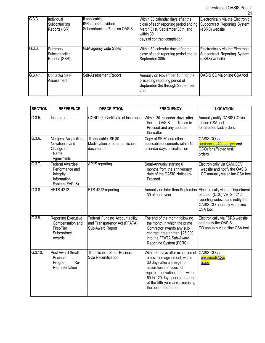|          |                                               |                                                                                |                                                                                                                                                            | 24                                                                                  |
|----------|-----------------------------------------------|--------------------------------------------------------------------------------|------------------------------------------------------------------------------------------------------------------------------------------------------------|-------------------------------------------------------------------------------------|
| G.3.3.   | Individual<br>Subcontracting<br>Reports (ISR) | If applicable,<br><b>ISRs from Individual</b><br>Subcontracting Plans on OASIS | Within 30 calendar days after the<br>close of each reporting period ending<br>March 31st, September 30th, and<br>within 30<br>days of contract completion. | Electronically via the Electronic<br>Subcontract Reporting System<br>(eSRS) website |
| G.3.3.   | Summary<br>Subcontracting<br>Reports (SSR)    | GSA agency wide SSRs                                                           | Within 30 calendar days after the<br>close of each reporting period ending<br>September 30th                                                               | Electronically via the Electronic<br>Subcontract Reporting System<br>(eSRS) website |
| G.3.4.1. | Contactor Self-<br>Assessment                 | Self-Assessment Report                                                         | Annually on November 15th for the<br>preceding reporting period of<br>September 3rd through September<br>2nd                                               | OASIS CO via online CSA tool                                                        |

| <b>SECTION</b> | <b>REFERENCE</b>                                                                         | <b>DESCRIPTION</b>                                                                        | <b>FREQUENCY</b>                                                                                                                                                                                                                                                | <b>LOCATION</b>                                                                                                                                                                |
|----------------|------------------------------------------------------------------------------------------|-------------------------------------------------------------------------------------------|-----------------------------------------------------------------------------------------------------------------------------------------------------------------------------------------------------------------------------------------------------------------|--------------------------------------------------------------------------------------------------------------------------------------------------------------------------------|
| G.3.5.         | Insurance                                                                                | CORD 25, Certificate of Insurance                                                         | Within 30 calendar days after<br><b>OASIS</b><br>Notice-to-<br>the<br>Proceed and any updates<br>thereafter                                                                                                                                                     | Annually notify OASIS CO via<br>online CSA tool<br>for affected task orders                                                                                                    |
| G.3.6.         | Mergers, Acquisitions,<br>Novation's, and<br>Change-of-<br>Name<br>Agreements            | If applicable, SF 30<br>Modification or other applicable<br>documents                     | Copy of SF 30 and other<br>applicable documents within 45<br>calendar days of finalization                                                                                                                                                                      | OASIS CO via<br>oasismods@gsa.gov and<br>OCOsfor affected task<br>orders                                                                                                       |
| G.3.7.         | <b>Federal Awardee</b><br>Performance and<br>Integrity<br>Information<br>System (FAPIIS) | <b>APIIS reporting</b>                                                                    | Semi-Annually starting 6<br>months from the anniversary<br>date of the OASIS Notice-to-<br>Proceed.                                                                                                                                                             | Electronically via SAM.GOV<br>website and notify the OASIS<br>CO annually via online CSA tool                                                                                  |
| G.3.8.         | <b>VETS-4212</b>                                                                         | ETS-4212 reporting                                                                        | 30 of each year                                                                                                                                                                                                                                                 | Annually no later than September Electronically via the Department<br>of Labor (DOL) VETS-4212<br>reporting website and notify the<br>OASIS CO annually via online<br>CSA tool |
| G.3.9.         | <b>Reporting Executive</b><br>Compensation and<br>First-Tier<br>Subcontract<br>Awards    | <b>Federal Funding Accountability</b><br>and Transparency Act (FFATA)<br>Sub-Award Report | The end of the month following<br>the month in which the prime<br>Contractor awards any sub-<br>contract greater than \$25,000<br>into the FFATA Sub-Award<br>Reporting System (FSRS)                                                                           | Electronically via FSRS website<br>and notify the OASIS<br>CO annually via online CSA tool                                                                                     |
| G.3.10.        | Post Award Small<br><b>Business</b><br>Re-<br>Program<br>Representation                  | If applicable, Small Business<br>Size Recertification                                     | Within 30 days after execution of<br>a novation agreement; within<br>30 days after a merger or<br>acquisition that does not<br>require a novation; and, within<br>60 to 120 days prior to the end<br>of the fifth year and exercising<br>the option thereafter. | OASIS CO via<br>oasismods@gs<br>a.gov                                                                                                                                          |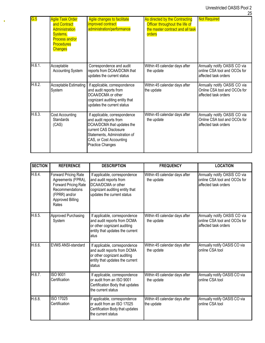|        |                                                                                                                                |                                                                                                                                                                                                        |                                                                                                                | 25                                                                                   |
|--------|--------------------------------------------------------------------------------------------------------------------------------|--------------------------------------------------------------------------------------------------------------------------------------------------------------------------------------------------------|----------------------------------------------------------------------------------------------------------------|--------------------------------------------------------------------------------------|
| G.5    | <b>Agile Task Order</b><br>and Contract<br>Administration<br>Systems,<br>Process and/or<br><b>Procedures</b><br><b>Changes</b> | Agile changes to facilitate<br>improved contract<br>administration/performance                                                                                                                         | As directed by the Contracting<br>Officer throughout the life of<br>the master contract and all task<br>orders | <b>Not Required</b>                                                                  |
| H.6.1. | Acceptable<br>Accounting System                                                                                                | Correspondence and audit<br>reports from DCAA/DCMA that<br>updates the current status                                                                                                                  | Within 45 calendar days after<br>the update                                                                    | Annually notify OASIS CO via<br>online CSA tool and OCOs for<br>affected task orders |
| H.6.2. | Acceptable Estimating<br>System                                                                                                | If applicable, correspondence<br>and audit reports from<br>DCAA/DCMA or other<br>cognizant auditing entity that<br>updates the current status                                                          | Within 45 calendar days after<br>the update                                                                    | Annually notify OASIS CO via<br>Online CSA tool and OCOs for<br>affected task orders |
| H.6.3. | Cost Accounting<br><b>Standards</b><br>(CAS)                                                                                   | If applicable, correspondence<br>and audit reports from<br>DCAA/DCMA that updates the<br>current CAS Disclosure<br>Statements, Administration of<br>CAS, or Cost Accounting<br><b>Practice Changes</b> | Within 45 calendar days after<br>the update                                                                    | Annually notify OASIS CO via<br>Online CSA tool and OCOs for<br>affected task orders |

 $\hat{\mathbf{z}}$ 

| <b>SECTION</b> | <b>REFERENCE</b>                                                                                                                           | <b>DESCRIPTION</b>                                                                                                                            | <b>FREQUENCY</b>                            | <b>LOCATION</b>                                                                      |
|----------------|--------------------------------------------------------------------------------------------------------------------------------------------|-----------------------------------------------------------------------------------------------------------------------------------------------|---------------------------------------------|--------------------------------------------------------------------------------------|
| H.6.4.         | Forward Pricing Rate<br>Agreements (FPRA),<br>Forward Pricing Rate<br>Recommendations<br>(FPRR) and/or<br><b>Approved Billing</b><br>Rates | If applicable, correspondence<br>and audit reports from<br>DCAA/DCMA or other<br>cognizant auditing entity that<br>updates the current status | Within 45 calendar days after<br>the update | Annually notify OASIS CO via<br>online CSA tool and OCOs for<br>affected task orders |
| H.6.5.         | Approved Purchasing<br>System                                                                                                              | If applicable, correspondence<br>and audit reports from DCMA<br>or other cognizant auditing<br>entity that updates the current<br>atus        | Within 45 calendar days after<br>the update | Annually notify OASIS CO via<br>online CSA tool and OCOs for<br>affected task orders |
| $H.6.6$ .      | <b>EVMS ANSI-standard</b>                                                                                                                  | If applicable, correspondence<br>and audit reports from DCMA<br>or other cognizant auditing<br>entity that updates the current<br>status      | Within 45 calendar days after<br>the update | Annually notify OASIS CO via<br>online CSA tool                                      |
| H.6.7.         | <b>ISO 9001</b><br>Certification                                                                                                           | If applicable, correspondence<br>or audit from an ISO 9001<br>Certification Body that updates<br>the current status                           | Within 45 calendar days after<br>the update | Annually notify OASIS CO via<br>online CSA tool                                      |
| H.6.8.         | <b>ISO 17025</b><br>Certification                                                                                                          | If applicable, correspondence<br>or audit from an ISO 17025<br>Certification Body that updates<br>the current status                          | Within 45 calendar days after<br>the update | Annually notify OASIS CO via<br>online CSA tool                                      |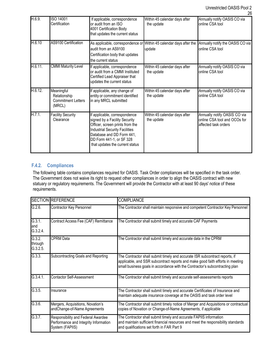|         |                                                                   |                                                                                                                                                                                                                                        |                                             | 26                                                                                   |
|---------|-------------------------------------------------------------------|----------------------------------------------------------------------------------------------------------------------------------------------------------------------------------------------------------------------------------------|---------------------------------------------|--------------------------------------------------------------------------------------|
| H.6.9.  | ISO 14001<br>Certification                                        | If applicable, correspondence<br>or audit from an ISO<br>4001 Certification Body<br>that updates the current status                                                                                                                    | Within 45 calendar days after<br>the update | Annually notify OASIS CO via<br>online CSA tool                                      |
| H.6.10  | AS9100 Certification                                              | As applicable, correspondence or<br>audit from an AS9100<br>Certification body that updates<br>the current status                                                                                                                      | Within 45 calendar days after the<br>update | Annually notify the OASIS CO via<br>online CSA tool                                  |
| H.6.11. | <b>CMMI Maturity Level</b>                                        | If applicable, correspondence<br>or audit from a CMMI Instituted<br>Certified Lead Appraiser that<br>updates the current status                                                                                                        | Within 45 calendar days after<br>the update | Annually notify OASIS CO via<br>online CSA tool                                      |
| H.6.12. | Meaningful<br>Relationship<br><b>Commitment Letters</b><br>(MRCL) | If applicable, any change of<br>entity or commitment identified<br>in any MRCL submitted                                                                                                                                               | Within 45 calendar days after<br>the update | Annually notify OASIS CO via<br>online CSA tool                                      |
| H.7.1.  | <b>Facility Security</b><br>Clearance                             | If applicable, correspondence<br>signed by a Facility Security<br>Officer, screen prints from the<br><b>Industrial Security Facilities</b><br>Database and DD Form 441,<br>DD Form 441-1, or SF 328<br>that updates the current status | Within 45 calendar days after<br>the update | Annually notify OASIS CO via<br>online CSA tool and OCOs for<br>affected task orders |

#### <span id="page-25-0"></span>**F.4.2. Compliances**

The following table contains compliances required for OASIS. Task Order compliances will be specified in the task order. The Government does not waive its right to request other compliances in order to align the OASIS contract with new statuary or regulatory requirements. The Government will provide the Contractor with at least 90 days' notice of these requirements.

|                               | <b>SECTION REFERENCE</b>                                                                       | <b>COMPLIANCE</b>                                                                                                                                                                                                                             |
|-------------------------------|------------------------------------------------------------------------------------------------|-----------------------------------------------------------------------------------------------------------------------------------------------------------------------------------------------------------------------------------------------|
| G.2.6.                        | Contractor Key Personnel                                                                       | The Contractor shall maintain responsive and competent Contractor Key Personnel                                                                                                                                                               |
| G.3.1.<br>and<br>G.3.2.4.     | Contract Access Fee (CAF) Remittance                                                           | The Contractor shall submit timely and accurate CAF Payments                                                                                                                                                                                  |
| G.3.2.<br>through<br>G.3.2.5. | <b>CPRM</b> Data                                                                               | The Contractor shall submit timely and accurate data in the CPRM                                                                                                                                                                              |
| G.3.3.                        | Subcontracting Goals and Reporting                                                             | The Contractor shall submit timely and accurate ISR subcontract reports, if<br>applicable, and SSR subcontract reports and make good faith efforts in meeting<br>small business goals in accordance with the Contractor's subcontracting plan |
| G.3.4.1.                      | <b>Contactor Self-Assessment</b>                                                               | The Contractor shall submit timely and accurate self-assessments reports                                                                                                                                                                      |
| G.3.5.                        | Insurance                                                                                      | The Contractor shall submit timely and accurate Certificates of Insurance and<br>maintain adequate insurance coverage at the OASIS and task order level                                                                                       |
| G.3.6.                        | Mergers, Acquisitions, Novation's<br>andChange-of-Name Agreements                              | The Contractor shall submit timely notice of Merger and Acquisitions or contractual<br>copies of Novation or Change-of-Name Agreements, if applicable                                                                                         |
| G.3.7.                        | Responsibility and Federal Awardee<br>Performance and Integrity Information<br>System (FAPIIS) | The Contractor shall submit timely and accurate FAPIIS information<br>and maintain sufficient financial resources and meet the responsibility standards<br>and qualifications set forth in FAR Part 9                                         |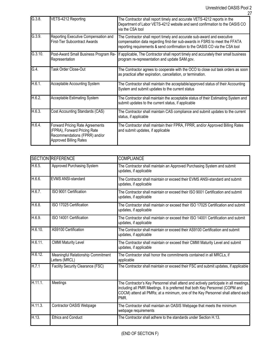|         |                                                                                                                                          | 27                                                                                                                                                                                                                                    |
|---------|------------------------------------------------------------------------------------------------------------------------------------------|---------------------------------------------------------------------------------------------------------------------------------------------------------------------------------------------------------------------------------------|
| G.3.8.  | VETS-4212 Reporting                                                                                                                      | The Contractor shall report timely and accurate VETS-4212 reports in the<br>Department of Labor VETS-4212 website and send confirmation to the OASIS CO<br>via the CSA tool                                                           |
| G.3.9.  | Reporting Executive Compensation and<br><b>First-Tier Subcontract Awards</b>                                                             | The Contractor shall report timely and accurate sub-award and executive<br>compensation data regarding first-tier sub-awards in FSRS to meet the FFATA<br>reporting requirements & send confirmation to the OASIS CO via the CSA tool |
| G.3.10. | Post-Award Small Business Program Re-<br>Representation                                                                                  | If applicable, The Contractor shall report timely and accurately their small business<br>program re-representation and update SAM.gov.                                                                                                |
| G.4.    | Task Order Close-Out                                                                                                                     | The Contractor agrees to cooperate with the OCO to close out task orders as soon<br>as practical after expiration, cancellation, or termination.                                                                                      |
| H.6.1.  | Acceptable Accounting System                                                                                                             | The Contractor shall maintain the acceptable/approved status of their Accounting<br>System and submit updates to the current status                                                                                                   |
| H.6.2.  | <b>Acceptable Estimating System</b>                                                                                                      | The Contractor shall maintain the acceptable status of their Estimating System and<br>submit updates to the current status, if applicable                                                                                             |
| H.6.3.  | Cost Accounting Standards (CAS)                                                                                                          | The Contractor shall maintain CAS compliance and submit updates to the current<br>status, if applicable                                                                                                                               |
| H.6.4.  | <b>Forward Pricing Rate Agreements</b><br>(FPRA), Forward Pricing Rate<br>Recommendations (FPRR) and/or<br><b>Approved Billing Rates</b> | The Contractor shall maintain their FPRA, FPRR, and/or Approved Billing Rates<br>and submit updates, if applicable                                                                                                                    |

|         | <b>SECTION REFERENCE</b>                             | <b>COMPLIANCE</b>                                                                                                                                                                                                                                                 |
|---------|------------------------------------------------------|-------------------------------------------------------------------------------------------------------------------------------------------------------------------------------------------------------------------------------------------------------------------|
| H.6.5.  | <b>Approved Purchasing System</b>                    | The Contractor shall maintain an Approved Purchasing System and submit<br>updates, if applicable                                                                                                                                                                  |
| H.6.6   | <b>EVMS ANSI-standard</b>                            | The Contractor shall maintain or exceed their EVMS ANSI-standard and submit<br>updates, if applicable                                                                                                                                                             |
| H.6.7.  | ISO 9001 Certification                               | The Contractor shall maintain or exceed their ISO 9001 Certification and submit<br>updates, if applicable                                                                                                                                                         |
| H.6.8.  | ISO 17025 Certification                              | The Contractor shall maintain or exceed their ISO 17025 Certification and submit<br>updates, if applicable                                                                                                                                                        |
| H.6.9.  | ISO 14001 Certification                              | The Contractor shall maintain or exceed their ISO 14001 Certification and submit<br>updates, if applicable                                                                                                                                                        |
| H.6.10. | AS9100 Certification                                 | The Contractor shall maintain or exceed their AS9100 Certification and submit<br>updates, if applicable                                                                                                                                                           |
| H.6.11. | <b>CMMI Maturity Level</b>                           | The Contractor shall maintain or exceed their CMMI Maturity Level and submit<br>updates, if applicable                                                                                                                                                            |
| H.6.12. | Meaningful Relationship Commitment<br>Letters (MRCL) | The Contractor shall honor the commitments contained in all MRCLs, if<br>applicable                                                                                                                                                                               |
| H.7.1   | <b>Facility Security Clearance (FSC)</b>             | The Contractor shall maintain or exceed their FSC and submit updates, if applicable                                                                                                                                                                               |
| H.11.1. | Meetings                                             | The Contractor's Key Personnel shall attend and actively participate in all meetings,<br>including all PMR Meetings. It is preferred that both Key Personnel (COPM and<br>COCM) attend all PMRs; at a minimum, one of the Key Personnel shall attend each<br>PMR. |
| H.11.3. | Contractor OASIS Webpage                             | The Contractor shall maintain an OASIS Webpage that meets the minimum<br>webpage requirements                                                                                                                                                                     |
| H.13.   | <b>Ethics and Conduct</b>                            | The Contractor shall adhere to the standards under Section H.13.                                                                                                                                                                                                  |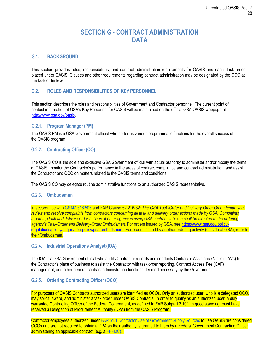### **SECTION G - CONTRACT ADMINISTRATION DATA**

#### <span id="page-27-1"></span><span id="page-27-0"></span>**G.1. BACKGROUND**

This section provides roles, responsibilities, and contract administration requirements for OASIS and each task order placed under OASIS. Clauses and other requirements regarding contract administration may be designated by the OCO at the task order level.

#### <span id="page-27-2"></span>**G.2. ROLES AND RESPONSIBILITIES OF KEY PERSONNEL**

This section describes the roles and responsibilities of Government and Contractor personnel. The current point of contact information of GSA's Key Personnel for OASIS will be maintained on the official GSA OASIS webpage at [http://www.gsa.gov/oasis.](http://www.gsa.gov/oasis)

#### <span id="page-27-3"></span>**G.2.1. Program Manager (PM)**

The OASIS PM is a GSA Government official who performs various programmatic functions for the overall success of the OASIS program.

#### <span id="page-27-4"></span>**G.2.2. Contracting Officer (CO)**

The OASIS CO is the sole and exclusive GSA Government official with actual authority to administer and/or modify the terms of OASIS, monitor the Contractor's performance in the areas of contract compliance and contract administration, and assist the Contractor and OCO on matters related to the OASIS terms and conditions.

The OASIS CO may delegate routine administrative functions to an authorized OASIS representative.

#### <span id="page-27-5"></span>**G.2.3. Ombudsman**

In accordance wit[h GSAM 516.505 a](https://www.acquisition.gov/content/part-516-types-contracts#FYMUACIX)nd FAR Clause 52.216-32: *The GSA Task-Order and Delivery Order Ombudsman shall review and resolve complaints from contractors concerning all task and delivery order actions made by GSA. Complaints regarding task and delivery order actions of other agencies using GSA contract vehicles shall be directed to the ordering agency's Task-Order and Delivery-Order Ombudsman.* For orders issued by GSA, see [https://www.gsa.gov/policy](https://www.gsa.gov/policy-regulations/policy/acquisition-policy/gsa-ombudsman)[regulations/policy/acquisition-policy/gsa-ombudsman](https://www.gsa.gov/policy-regulations/policy/acquisition-policy/gsa-ombudsman) . For orders issued by another ordering activity (outside of GSA), refer to their Ombudsman.

#### <span id="page-27-6"></span>**G.2.4. Industrial Operations Analyst (IOA)**

The IOA is a GSA Government official who audits Contractor records and conducts Contractor Assistance Visits (CAVs) to the Contractor's place of business to assist the Contractor with task order reporting, Contract Access Fee (CAF) management, and other general contract administration functions deemed necessary by the Government.

#### <span id="page-27-7"></span>**G.2.5. Ordering Contracting Officer (OCO)**

For purposes of OASIS Contracts authorized users are identified as OCOs. Only an authorized user, who is a delegated OCO, may solicit, award, and administer a task order under OASIS Contracts. In order to qualify as an authorized user, a duly warranted Contracting Officer of the Federal Government, as defined in FAR Subpart 2.101, in good standing, must have received a Delegation of Procurement Authority (DPA) from the OASIS Program.

Contractor employees authorized under [FAR 51.1 Contractor Use of Government Supply Sources t](https://www.acquisition.gov/far/subpart-51.1)o use OASIS are considered OCOs and are not required to obtain a DPA as their authority is granted to them by a Federal Government Contracting Officer administering an applicable contract (e.g.,a [FFRDC\).](https://www.nsf.gov/statistics/ffrdclist/)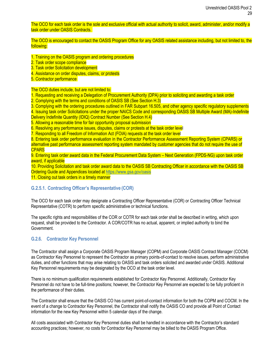The OCO for each task order is the sole and exclusive official with actual authority to solicit, award, administer, and/or modify a task order under OASIS Contracts.

The OCO is encouraged to contact the OASIS Program Office for any OASIS related assistance including, but not limited to, the following:

1. Training on the OASIS program and ordering procedures

- 2. Task order scope compliance
- 3. Task order Solicitation development
- 4. Assistance on order disputes, claims, or protests

5. Contractor performance

The OCO duties include, but are not limited to:

1. Requesting and receiving a Delegation of Procurement Authority (DPA) prior to soliciting and awarding a task order

2. Complying with the terms and conditions of OASIS SB (See Section H.3)

3. Complying with the ordering procedures outlined in FAR Subpart 16.505, and other agency specific regulatory supplements

4. Issuing task order Solicitations under the proper NAICS Code and corresponding OASIS SB Multiple Award (MA)-Indefinite Delivery Indefinite Quantity (IDIQ) Contract Number (See Section H.4)

5. Allowing a reasonable time for fair opportunity proposal submission

6. Resolving any performance issues, disputes, claims or protests at the task order level

7. Responding to all Freedom of Information Act (FOIA) requests at the task order level

8. Entering task order performance evaluation in the Contractor Performance Assessment Reporting System (CPARS) or alternative past performance assessment reporting system mandated by customer agencies that do not require the use of **CPARS** 

9. Entering task order award data in the Federal Procurement Data System - Next Generation (FPDS-NG) upon task order award, if applicable

10. Providing Solicitation and task order award data to the OASIS SB Contracting Officer in accordance with the OASIS SB Ordering Guide and Appendices located at <https://www.gsa.gov/oasis>

11. Closing out task orders in a timely manner

#### <span id="page-28-0"></span>**G.2.5.1. Contracting Officer's Representative (COR)**

The OCO for each task order may designate a Contracting Officer Representative (COR) or Contracting Officer Technical Representative (COTR) to perform specific administrative or technical functions.

The specific rights and responsibilities of the COR or COTR for each task order shall be described in writing, which upon request, shall be provided to the Contractor. A COR/COTR has no actual, apparent, or implied authority to bind the Government.

#### <span id="page-28-1"></span>**G.2.6. Contractor Key Personnel**

The Contractor shall assign a Corporate OASIS Program Manager (COPM) and Corporate OASIS Contract Manager (COCM) as Contractor Key Personnel to represent the Contractor as primary points-of-contact to resolve issues, perform administrative duties, and other functions that may arise relating to OASIS and task orders solicited and awarded under OASIS. Additional Key Personnel requirements may be designated by the OCO at the task order level.

There is no minimum qualification requirements established for Contractor Key Personnel. Additionally, Contractor Key Personnel do not have to be full-time positions; however, the Contractor Key Personnel are expected to be fully proficient in the performance of their duties.

The Contractor shall ensure that the OASIS CO has current point-of-contact information for both the COPM and COCM. In the event of a change to Contractor Key Personnel, the Contractor shall notify the OASIS CO and provide all Point of Contact information for the new Key Personnel within 5 calendar days of the change.

All costs associated with Contractor Key Personnel duties shall be handled in accordance with the Contractor's standard accounting practices; however, no costs for Contractor Key Personnel may be billed to the OASIS Program Office.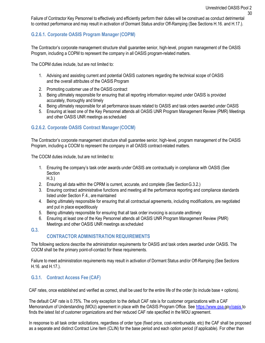Failure of Contractor Key Personnel to effectively and efficiently perform their duties will be construed as conduct detrimental to contract performance and may result in activation of Dormant Status and/or Off-Ramping (See Sections H.16. and H.17.).

#### <span id="page-29-0"></span>**G.2.6.1. Corporate OASIS Program Manager (COPM)**

The Contractor's corporate management structure shall guarantee senior, high-level, program management of the OASIS Program, including a COPM to represent the company in all OASIS program-related matters.

The COPM duties include, but are not limited to:

- 1. Advising and assisting current and potential OASIS customers regarding the technical scope of OASIS and the overall attributes of the OASIS Program
- 2. Promoting customer use of the OASIS contract
- 3. Being ultimately responsible for ensuring that all reporting information required under OASIS is provided accurately, thoroughly and timely
- 4. Being ultimately responsible for all performance issues related to OASIS and task orders awarded under OASIS
- 5. Ensuring at least one of the Key Personnel attends all OASIS UNR Program Management Review (PMR) Meetings and other OASIS UNR meetings as scheduled

#### <span id="page-29-1"></span>**G.2.6.2. Corporate OASIS Contract Manager(COCM)**

The Contractor's corporate management structure shall guarantee senior, high-level, program management of the OASIS Program, including a COCM to represent the company in all OASIS contract-related matters.

The COCM duties include, but are not limited to:

- 1. Ensuring the company's task order awards under OASIS are contractually in compliance with OASIS (See **Section** H.3.)
- 2. Ensuring all data within the CPRM is current, accurate, and complete (See SectionG.3.2.)
- 3. Ensuring contract administrative functions and meeting all the performance reporting and compliance standards listed under Section F.4., aremaintained
- 4. Being ultimately responsible for ensuring that all contractual agreements, including modifications, are negotiated and put in place expeditiously
- 5. Being ultimately responsible for ensuring that all task order invoicing is accurate andtimely
- 6. Ensuring at least one of the Key Personnel attends all OASIS UNR Program Management Review (PMR) Meetings and other OASIS UNR meetings as scheduled

<span id="page-29-2"></span>**G.3.**

#### **CONTRACTOR ADMINISTRATION REQUIREMENTS**

The following sections describe the administration requirements for OASIS and task orders awarded under OASIS. The COCM shall be the primary point-of-contact for these requirements.

Failure to meet administration requirements may result in activation of Dormant Status and/or Off-Ramping (See Sections H.16. and H.17.).

#### <span id="page-29-3"></span>**G.3.1. Contract Access Fee (CAF)**

CAF rates, once established and verified as correct, shall be used for the entire life of the order (to include base + options).

The default CAF rate is 0.75%. The only exception to the default CAF rate is for customer organizations with a CAF Memorandum of Understanding (MOU) agreement in place with the OASIS Program Office. See [https://www.gsa.gov/oasis to](http://www.gsa.gov/oasis) finds the latest list of customer organizations and their reduced CAF rate specified in the MOU agreement.

In response to all task order solicitations, regardless of order type (fixed price, cost-reimbursable, etc) the CAF shall be proposed as a separate and distinct Contract Line Item (CLIN) for the base period and each option period (if applicable). For other than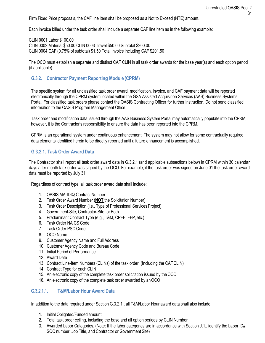Firm Fixed Price proposals, the CAF line item shall be proposed as a Not to Exceed (NTE) amount.

Each invoice billed under the task order shall include a separate CAF line item as in the following example:

CLIN 0001 Labor \$100.00 CLIN 0002 Material \$50.00 CLIN 0003 Travel \$50.00 Subtotal \$200.00 CLIN 0004 CAF (0.75% of subtotal) \$1.50 Total Invoice including CAF \$201.50

The OCO must establish a separate and distinct CAF CLIN in all task order awards for the base year(s) and each option period (if applicable).

#### <span id="page-30-0"></span>**G.3.2. Contractor Payment Reporting Module (CPRM)**

The specific system for all unclassified task order award, modification, invoice, and CAF payment data will be reported electronically through the CPRM system located within the GSA Assisted Acquisition Services (AAS) Business Systems Portal. For classified task orders please contact the OASIS Contracting Officer for further instruction. Do not send classified information to the OASIS Program Management Office.

Task order and modification data issued through the AAS Business System Portal may automatically populate into the CPRM; however, it is the Contractor's responsibility to ensure the data has been reported into the CPRM.

CPRM is an operational system under continuous enhancement. The system may not allow for some contractually required data elements identified herein to be directly reported until a future enhancement is accomplished.

#### <span id="page-30-1"></span>**G.3.2.1. Task Order Award Data**

The Contractor shall report all task order award data in G.3.2.1 (and applicable subsections below) in CPRM within 30 calendar days after month task order was signed by the OCO. For example, if the task order was signed on June 01 the task order award data must be reported by July 31.

Regardless of contract type, all task order award data shall include:

- 1. OASIS MA-IDIQ Contract Number
- 2. Task Order Award Number (**NOT** the Solicitation Number)
- 3. Task Order Description (i.e., Type of Professional Services Project)
- 4. Government-Site, Contractor-Site, or Both
- 5. Predominant Contract Type (e.g., T&M, CPFF, FFP, etc.)
- 6. Task Order NAICS Code
- 7. Task Order PSC Code
- 8. OCO Name
- 9. Customer Agency Name and Full Address
- 10. Customer Agency Code and Bureau Code
- 11. Initial Period of Performance
- 12. Award Date
- 13. Contract Line-Item Numbers (CLINs) of the task order. (Including the CAFCLIN)
- 14. Contract Type for each CLIN
- 15. An electronic copy of the complete task order solicitation issued by theOCO
- 16. An electronic copy of the complete task order awarded by anOCO

#### <span id="page-30-2"></span>**G.3.2.1.1. T&M/Labor Hour Award Data**

In addition to the data required under Section G.3.2.1., all T&M/Labor Hour award data shall also include:

- 1. Initial Obligated/Funded amount
- 2. Total task order ceiling, including the base and all option periods by CLIN Number
- 3. Awarded Labor Categories. (Note: If the labor categories are in accordance with Section J.1., identify the Labor ID#, SOC number, Job Title, and Contractor or Government Site)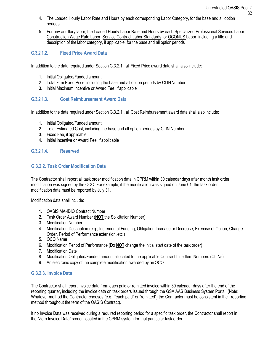- 4. The Loaded Hourly Labor Rate and Hours by each corresponding Labor Category, for the base and all option periods
- 5. For any ancillary labor, the Loaded Hourly Labor Rate and Hours by each Specialized Professional Services Labor, Construction Wage Rate Labor, Service Contract Labor Standards, or OCONUS Labor, including a title and description of the labor category, if applicable, for the base and all option periods

#### <span id="page-31-0"></span>**G.3.2.1.2. Fixed Price Award Data**

In addition to the data required under Section G.3.2.1., all Fixed Price award data shall also include:

- 1. Initial Obligated/Funded amount
- 2. Total Firm Fixed Price, including the base and all option periods by CLINNumber
- 3. Initial Maximum Incentive or Award Fee, if applicable

#### <span id="page-31-1"></span>**G.3.2.1.3. Cost Reimbursement Award Data**

In addition to the data required under Section G.3.2.1., all Cost Reimbursement award data shall also include:

- 1. Initial Obligated/Funded amount
- 2. Total Estimated Cost, including the base and all option periods by CLIN Number
- 3. Fixed Fee, if applicable
- 4. Initial Incentive or Award Fee, if applicable

#### <span id="page-31-2"></span>**G.3.2.1.4. Reserved**

#### <span id="page-31-3"></span>**G.3.2.2. Task Order Modification Data**

The Contractor shall report all task order modification data in CPRM within 30 calendar days after month task order modification was signed by the OCO. For example, if the modification was signed on June 01, the task order modification data must be reported by July 31.

Modification data shall include:

- 1. OASIS MA-IDIQ Contract Number
- 2. Task Order Award Number (**NOT** the Solicitation Number)
- 3. Modification Number
- 4. Modification Description (e.g., Incremental Funding, Obligation Increase or Decrease, Exercise of Option, Change Order, Period of Performance extension, etc.)
- 5. OCO Name
- 6. Modification Period of Performance (Do **NOT** change the initial start date of the task order)
- 7. Modification Date
- 8. Modification Obligated/Funded amount allocated to the applicable Contract Line Item Numbers (CLINs)
- 9. An electronic copy of the complete modification awarded by an OCO

#### <span id="page-31-4"></span>**G.3.2.3. Invoice Data**

The Contractor shall report invoice data from each paid or remitted invoice within 30 calendar days after the end of the reporting quarter, including the invoice data on task orders issued through the GSA AAS Business System Portal. (Note: Whatever method the Contractor chooses (e.g., "each paid" or "remitted") the Contractor must be consistent in their reporting method throughout the term of the OASIS Contract).

If no Invoice Data was received during a required reporting period for a specific task order, the Contractor shall report in the "Zero Invoice Data" screen located in the CPRM system for that particular task order.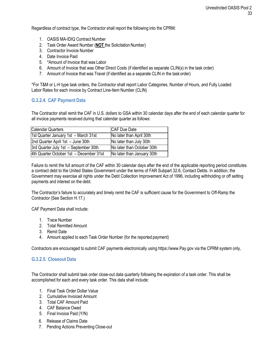Regardless of contract type, the Contractor shall report the following into the CPRM:

- 1. OASIS MA-IDIQ Contract Number
- 2. Task Order Award Number (**NOT** the Solicitation Number)
- 3. Contractor Invoice Number
- 4. Date Invoice Paid
- 5. \*Amount of Invoice that was Labor
- 6. Amount of Invoice that was Other Direct Costs (if identified as separate CLIN(s) in the task order)
- 7. Amount of Invoice that was Travel (if identified as a separate CLIN in the task order)

\*For T&M or L-H type task orders, the Contractor shall report Labor Categories, Number of Hours, and Fully Loaded Labor Rates for each invoice by Contract Line-Item Number (CLIN)

#### <span id="page-32-0"></span>**G.3.2.4. CAF Payment Data**

The Contractor shall remit the CAF in U.S. dollars to GSA within 30 calendar days after the end of each calendar quarter for all invoice payments received during that calendar quarter as follows:

| <b>Calendar Quarters</b>                | <b>CAF Due Date</b>        |
|-----------------------------------------|----------------------------|
| 1st Quarter January 1st - March 31st    | No later than April 30th   |
| 2nd Quarter April 1st - June 30th       | No later than July 30th    |
| 3rd Quarter July 1st - September 30th   | No later than October 30th |
| 4th Quarter October 1st - December 31st | No later than January 30th |

Failure to remit the full amount of the CAF within 30 calendar days after the end of the applicable reporting period constitutes a contract debt to the United States Government under the terms of FAR Subpart 32.6, Contact Debts. In addition, the Government may exercise all rights under the Debt Collection Improvement Act of 1996, including withholding or off setting payments and interest on the debt.

The Contractor's failure to accurately and timely remit the CAF is sufficient cause for the Government to Off-Ramp the Contractor (See Section H.17.)

CAF Payment Data shall include:

- 1. Trace Number
- 2. Total Remitted Amount
- 3. Remit Date
- 4. Amount applied to each Task Order Number (for the reported payment)

Contractors are encouraged to submit CAF payments electronically using htt[ps://www.Pay.gov](http://www.pay.gov/) via the CPRM system only,

#### <span id="page-32-1"></span>**G.3.2.5. Closeout Data**

The Contractor shall submit task order close-out data quarterly following the expiration of a task order. This shall be accomplished for each and every task order. This data shall include:

- 1. Final Task Order Dollar Value
- 2. Cumulative Invoiced Amount
- 3. Total CAF Amount Paid
- 4. CAF Balance Owed
- 5. Final Invoice Paid (Y/N)
- 6. Release of Claims Date
- 7. Pending Actions Preventing Close-out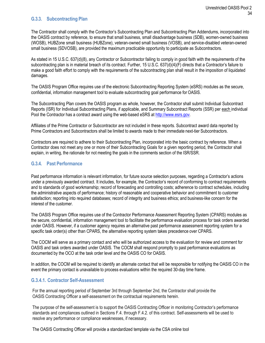#### <span id="page-33-0"></span>**G.3.3. Subcontracting Plan**

The Contractor shall comply with the Contractor's Subcontracting Plan and Subcontracting Plan Addendums, incorporated into the OASIS contract by reference, to ensure that small business, small disadvantage business (SDB), women-owned business (WOSB), HUBZone small business (HUBZone), veteran-owned small business (VOSB), and service-disabled veteran-owned small business (SDVOSB), are provided the maximum practicable opportunity to participate as Subcontractors.

As stated in 15 U.S.C. 637(d)(8), any Contractor or Subcontractor failing to comply in good faith with the requirements of the subcontracting plan is in material breach of its contract. Further, 15 U.S.C. 637(d)(4)(F) directs that a Contractor's failure to make a good faith effort to comply with the requirements of the subcontracting plan shall result in the imposition of liquidated damages.

The OASIS Program Office requires use of the electronic Subcontracting Reporting System (eSRS) modules as the secure, confidential, information management tool to evaluate subcontracting goal performance for OASIS.

The Subcontracting Plan covers the OASIS program as whole, however, the Contractor shall submit Individual Subcontract Reports (ISR) for Individual Subcontracting Plans, if applicable, and Summary Subcontract Reports (SSR) per each individual Pool the Contractor has a contract award using the web-based eSRS at [http://www.esrs.gov](http://www.esrs.gov/)*[.](http://www.esrs.gov/)*

Affiliates of the Prime Contractor or Subcontractor are not included in these reports. Subcontract award data reported by Prime Contractors and Subcontractors shall be limited to awards made to their immediate next-tier Subcontractors.

Contractors are required to adhere to their Subcontracting Plan, incorporated into the basic contract by reference. When a Contractor does not meet any one or more of their Subcontracting Goals for a given reporting period, the Contractor shall explain, in writing, the rationale for not meeting the goals in the comments section of the ISR/SSR.

#### <span id="page-33-1"></span>**G.3.4. Past Performance**

Past performance information is relevant information, for future source selection purposes, regarding a Contractor's actions under a previously awarded contract. It includes, for example, the Contractor's record of conforming to contract requirements and to standards of good workmanship; record of forecasting and controlling costs; adherence to contract schedules, including the administrative aspects of performance; history of reasonable and cooperative behavior and commitment to customer satisfaction; reporting into required databases; record of integrity and business ethics; and business-like concern for the interest of the customer.

The OASIS Program Office requires use of the Contractor Performance Assessment Reporting System (CPARS) modules as the secure, confidential, information management tool to facilitate the performance evaluation process for task orders awarded under OASIS. However, if a customer agency requires an alternative past performance assessment reporting system for a specific task order(s) other than CPARS, the alternative reporting system takes precedence over CPARS.

The COCM will serve as a primary contact and who will be authorized access to the evaluation for review and comment for OASIS and task orders awarded under OASIS. The COCM shall respond promptly to past performance evaluations as documented by the OCO at the task order level and the OASIS CO for OASIS.

In addition, the COCM will be required to identify an alternate contact that will be responsible for notifying the OASIS CO in the event the primary contact is unavailable to process evaluations within the required 30-day time frame.

#### <span id="page-33-2"></span>**G.3.4.1. Contractor Self-Assessment**

For the annual reporting period of September 3rd through September 2nd, the Contractor shall provide the OASIS Contracting Officer a self-assessment on the contractual requirements herein.

The purpose of the self-assessment is to support the OASIS Contracting Officer in monitoring Contractor's performance standards and compliances outlined in Sections F.4. through F.4.2. of this contract. Self-assessments will be used to resolve any performance or compliance weaknesses, if necessary.

<span id="page-33-3"></span>The OASIS Contracting Officer will provide a standardized template via the CSA online tool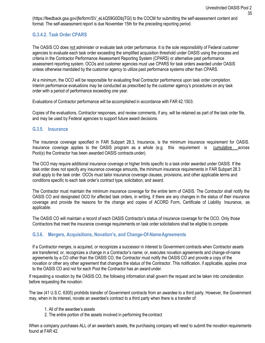(https://feedback.gsa.gov/jfe/form/SV\_eLkQ59G0DibjTGl) to the COCM for submitting the self-assessment content and format. The self-assessment report is due November 15th for the preceding reporting period.

#### **G.3.4.2. Task Order CPARS**

The OASIS CO does not administer or evaluate task order performance. It is the sole responsibility of Federal customer agencies to evaluate each task order exceeding the simplified acquisition threshold under OASIS using the process and criteria in the Contractor Performance Assessment Reporting System (CPARS) or alternative past performance assessment reporting system. OCOs and customer agencies must use CPARS for task orders awarded under OASIS unless otherwise mandated by the customer agency to utilize past performance systems other than CPARS.

At a minimum, the OCO will be responsible for evaluating final Contractor performance upon task order completion. Interim performance evaluations may be conducted as prescribed by the customer agency's procedures on any task order with a period of performance exceeding one year.

Evaluations of Contractor performance will be accomplished in accordance with FAR 42.1503.

<span id="page-34-0"></span>Copies of the evaluations, Contractor responses, and review comments, if any, will be retained as part of the task order file, and may be used by Federal agencies to support future award decisions.

#### **G.3.5. Insurance**

The insurance coverage specified in FAR Subpart 28.3, Insurance, is the minimum insurance requirement for OASIS. Insurance coverage applies to the OASIS program as a whole (e.g. this requirement is cumulative across Pool(s) the Contractor has been awarded OASIS contracts under).

The OCO may require additional insurance coverage or higher limits specific to a task order awarded under OASIS. If the task order does not specify any insurance coverage amounts, the minimum insurance requirements in FAR Subpart 28.3 shall apply to the task order. OCOs must tailor insurance coverage clauses, provisions, and other applicable terms and conditions specific to each task order's contract type, solicitation, and award.

The Contractor must maintain the minimum insurance coverage for the entire term of OASIS. The Contractor shall notify the OASIS CO and designated OCO for affected task orders, in writing, if there are any changes in the status of their insurance coverage and provide the reasons for the change and copies of ACORD Form, Certificate of Liability Insurance, as applicable.

<span id="page-34-1"></span>The OASIS CO will maintain a record of each OASIS Contractor's status of insurance coverage for the OCO. Only those Contractors that meet the insurance coverage requirements on task order solicitations shall be eligible to compete.

#### **G.3.6. Mergers, Acquisitions, Novation's, and Change-Of-NameAgreements**

If a Contractor merges, is acquired, or recognizes a successor in interest to Government contracts when Contractor assets are transferred; or, recognizes a change in a Contractor's name; or, executes novation agreements and change-of-name agreements by a CO other than the OASIS CO, the Contractor must notify the OASIS CO and provide a copy of the novation or other any other agreement that changes the status of the Contractor. This notification, if applicable, applies once to the OASIS CO and not for each Pool the Contractor has an award under.

If requesting a novation by the OASIS CO, the following information shall govern the request and be taken into consideration before requesting the novation:

The law (41 U.S.C. 6305) prohibits transfer of Government contracts from an awardee to a third party. However, the Government may, when in its interest, novate an awardee's contract to a third party when there is a transfer of:

- 1. All of the awardee's assets
- 2. The entire portion of the assets involved in performing the contract

When a company purchases ALL of an awardee's assets, the purchasing company will need to submit the novation requirements found at FAR 42.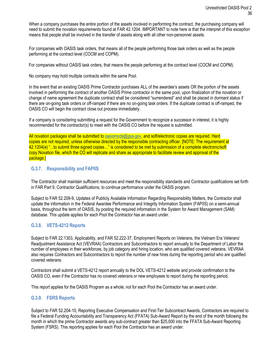When a company purchases the entire portion of the assets involved in performing the contract, the purchasing company will need to submit the novation requirements found at FAR 42.1204. IMPORTANT to note here is that the interpret of this exception means that people shall be involved in the transfer of assets along with all other non-personnel assets.

For companies with OASIS task orders, that means all of the people performing those task orders as well as the people performing at the contract level (COCM and COPM).

For companies without OASIS task orders, that means the people performing at the contract level (COCM and COPM).

No company may hold multiple contracts within the same Pool.

In the event that an existing OASIS Prime Contractor purchases ALL of the awardee's assets OR the portion of the assets involved in performing the contract of another OASIS Prime contractor in the same pool, upon finalization of the novation or change of name agreement the duplicate contract shall be considered "surrendered" and shall be placed in dormant status if there are on-going task orders or off-ramped if there are no on-going task orders. If the duplicate contract is off-ramped, the OASIS CO will begin the contract close out process immediately.

If a company is considering submitting a request for the Government to recognize a successor in interest, it is highly recommended for the contractor(s) to meet with the OASIS CO before the request is submitted.

All novation packages shall be submitted to [oasismods@gsa.gov,](mailto:oassimods@gsa.gov) and soft/electronic copies are required. Hard copies are not required, unless otherwise directed by the responsible contracting officer. [NOTE: The requirement at 42.1204(e) "...to submit three signed copies…" is considered to be met by submission of a complete electronic/soft copy Novation file, which the CO will replicate and share as appropriate to facilitate review and approval of the package.]

#### <span id="page-35-0"></span>**G.3.7. Responsibility and FAPIIS**

The Contractor shall maintain sufficient resources and meet the responsibility standards and Contractor qualifications set forth in FAR Part 9, Contractor Qualifications, to continue performance under the OASIS program.

Subject to FAR 52.209-9, Updates of Publicly Available Information Regarding Responsibility Matters, the Contractor shall update the information in the Federal Awardee Performance and Integrity Information System (FAPIIS) on a semi-annual basis, throughout the term of OASIS, by posting the required information in the System for Award Management (SAM) database. This update applies for each Pool the Contractor has an award under.

#### <span id="page-35-1"></span>**G.3.8. VETS-4212 Reports**

Subject to FAR 22.1303, Applicability, and FAR 52.222-37, Employment Reports on Veterans, the Vietnam Era Veterans' Readjustment Assistance Act (VEVRAA) Contractors and Subcontractors to report annually to the Department of Labor the number of employees in their workforces, by job category and hiring location, who are qualified covered veterans. VEVRAA also requires Contractors and Subcontractors to report the number of new hires during the reporting period who are qualified covered veterans.

Contractors shall submit a VETS-4212 report annually to the DOL VETS-4212 website and provide confirmation to the OASIS CO, even if the Contractor has no covered veterans or new employees to report during the reporting period.

This report applies for the OASIS Program as a whole, not for each Pool the Contractor has an award under.

#### <span id="page-35-2"></span>**G.3.9. FSRS Reports**

Subject to FAR 52.204-10, Reporting Executive Compensation and First-Tier Subcontract Awards, Contractors are required to file a Federal Funding Accountability and Transparency Act (FFATA) Sub-Award Report by the end of the month following the month in which the prime Contractor awards any sub-contract greater than \$25,000 into the FFATA Sub-Award Reporting System (FSRS). This reporting applies for each Pool the Contractor has an award under.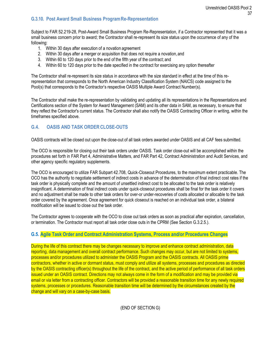#### <span id="page-36-0"></span>**G.3.10. Post Award Small Business ProgramRe-Representation**

Subject to FAR 52.219-28, Post-Award Small Business Program Re-Representation, if a Contractor represented that it was a small business concern prior to award; the Contractor shall re-represent its size status upon the occurrence of any of the following:

- 1. Within 30 days after execution of a novation agreement
- 2. Within 30 days after a merger or acquisition that does not require a novation,and
- 3. Within 60 to 120 days prior to the end of the fifth year of the contract; and
- 4. Within 60 to 120 days prior to the date specified in the contract for exercising any option thereafter

The Contractor shall re-represent its size status in accordance with the size standard in effect at the time of this rerepresentation that corresponds to the North American Industry Classification System (NAICS) code assigned to the Pool(s) that corresponds to the Contractor's respective OASIS Multiple Award Contract Number(s).

The Contractor shall make the re-representation by validating and updating all its representations in the Representations and Certifications section of the System for Award Management (SAM) and its other data in SAM, as necessary, to ensure that they reflect the Contractor's current status. The Contractor shall also notify the OASIS Contracting Officer in writing, within the timeframes specified above.

#### <span id="page-36-1"></span>**G.4. OASIS AND TASK ORDERCLOSE-OUTS**

OASIS contracts will be closed out upon the close-out of all task orders awarded under OASIS and all CAF fees submitted.

The OCO is responsible for closing out their task orders under OASIS. Task order close-out will be accomplished within the procedures set forth in FAR Part 4, Administrative Matters, and FAR Part 42, Contract Administration and Audit Services, and other agency specific regulatory supplements.

The OCO is encouraged to utilize FAR Subpart 42.708, Quick-Closeout Procedures, to the maximum extent practicable. The OCO has the authority to negotiate settlement of indirect costs in advance of the determination of final indirect cost rates if the task order is physically complete and the amount of unsettled indirect cost to be allocated to the task order is relatively insignificant. A determination of final indirect costs under quick-closeout procedures shall be final for the task order it covers and no adjustment shall be made to other task orders for over-or under-recoveries of costs allocated or allocable to the task order covered by the agreement. Once agreement for quick closeout is reached on an individual task order, a bilateral modification will be issued to close out the task order.

The Contractor agrees to cooperate with the OCO to close out task orders as soon as practical after expiration, cancellation, or termination. The Contractor must report all task order close outs in the CPRM (See Section G.3.2.5.).

#### **G.5. Agile Task Order and Contract Administration Systems, Process and/or Procedures Changes**

During the life of this contract there may be changes necessary to improve and enhance contract administration, data reporting, data management and overall contract performance. Such changes may occur, but are not limited to systems, processes and/or procedures utilized to administer the OASIS Program and the OASIS contracts. All OASIS prime contractors, whether in active or dormant status, must comply and utilize all systems, processes and procedures as directed by the OASIS contracting officer(s) throughout the life of the contract, and the active period of performance of all task orders issued under an OASIS contract. Directions may not always come in the form of a modification and may be provided via email or via letter from a contracting officer. Contractors will be provided a reasonable transition time for any newly required systems, processes or procedures. Reasonable transition time will be determined by the circumstances created by the change and will vary on a case-by-case basis.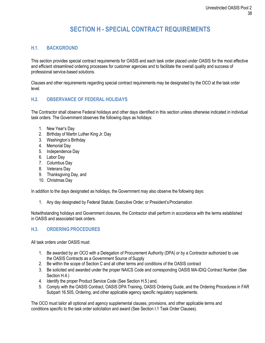## **SECTION H - SPECIAL CONTRACT REQUIREMENTS**

#### <span id="page-37-1"></span><span id="page-37-0"></span>**H.1. BACKGROUND**

This section provides special contract requirements for OASIS and each task order placed under OASIS for the most effective and efficient streamlined ordering processes for customer agencies and to facilitate the overall quality and success of professional service-based solutions.

Clauses and other requirements regarding special contract requirements may be designated by the OCO at the task order level.

#### <span id="page-37-2"></span>**H.2. OBSERVANCE OF FEDERAL HOLIDAYS**

The Contractor shall observe Federal holidays and other days identified in this section unless otherwise indicated in individual task orders. The Government observes the following days as holidays:

- 1. New Year's Day
- 2. Birthday of Martin Luther King Jr. Day
- 3. Washington's Birthday
- 4. Memorial Day
- 5. Independence Day
- 6. Labor Day
- 7. Columbus Day
- 8. Veterans Day
- 9. Thanksgiving Day, and
- 10. Christmas Day

In addition to the days designated as holidays, the Government may also observe the following days:

1. Any day designated by Federal Statute; Executive Order; or President's Proclamation

Notwithstanding holidays and Government closures, the Contractor shall perform in accordance with the terms established in OASIS and associated task orders.

#### <span id="page-37-3"></span>**H.3. ORDERING PROCEDURES**

All task orders under OASIS must:

- 1. Be awarded by an OCO with a Delegation of Procurement Authority (DPA) or by a Contractor authorized to use the OASIS Contracts as a Government Source of Supply
- 2. Be within the scope of Section C and all other terms and conditions of the OASIS contract
- 3. Be solicited and awarded under the proper NAICS Code and corresponding OASIS MA-IDIQ Contract Number (See Section H.4.)
- 4. Identify the proper Product Service Code (See Section H.5.) and,
- 5. Comply with the OASIS Contract, OASIS DPA Training, OASIS Ordering Guide, and the Ordering Procedures in FAR Subpart 16.505, Ordering, and other applicable agency specific regulatory supplements.

The OCO must tailor all optional and agency supplemental clauses, provisions, and other applicable terms and conditions specific to the task order solicitation and award (See Section I.1 Task Order Clauses).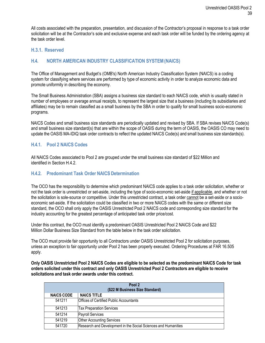All costs associated with the preparation, presentation, and discussion of the Contractor's proposal in response to a task order solicitation will be at the Contractor's sole and exclusive expense and each task order will be funded by the ordering agency at the task order level.

#### <span id="page-38-0"></span>**H.3.1. Reserved**

#### <span id="page-38-1"></span>**H.4. NORTH AMERICAN INDUSTRY CLASSIFICATION SYSTEM(NAICS)**

The Office of Management and Budget's (OMB's) North American Industry Classification System (NAICS) is a coding system for classifying where services are performed by type of economic activity in order to analyze economic data and promote uniformity in describing the economy.

The Small Business Administration (SBA) assigns a business size standard to each NAICS code, which is usually stated in number of employees or average annual receipts, to represent the largest size that a business (including its subsidiaries and affiliates) may be to remain classified as a small business by the SBA in order to qualify for small business socio-economic programs.

NAICS Codes and small business size standards are periodically updated and revised by SBA. If SBA revises NAICS Code(s) and small business size standard(s) that are within the scope of OASIS during the term of OASIS, the OASIS CO may need to update the OASIS MA-IDIQ task order contracts to reflect the updated NAICS Code(s) and small business size standards(s).

#### <span id="page-38-2"></span>**H.4.1. Pool 2 NAICS Codes**

All NAICS Codes associated to Pool 2 are grouped under the small business size standard of \$22 Million and identified in Section H.4.2.

#### <span id="page-38-3"></span>**H.4.2. Predominant Task Order NAICS Determination**

The OCO has the responsibility to determine which predominant NAICS code applies to a task order solicitation, whether or not the task order is unrestricted or set-aside, including the type of socio-economic set-aside if applicable, and whether or not the solicitation is sole-source or competitive. Under this unrestricted contract, a task order cannot be a set-aside or a socioeconomic set-aside. If the solicitation could be classified in two or more NAICS codes with the same or different size standard, the OCO shall only apply the OASIS Unrestricted Pool 2 NAICS code and corresponding size standard for the industry accounting for the greatest percentage of anticipated task order price/cost.

Under this contract, the OCO must identify a predominant OASIS Unrestricted Pool 2 NAICS Code and \$22 Million Dollar Business Size Standard from the table below in the task order solicitation.

The OCO must provide fair opportunity to all Contractors under OASIS Unrestricted Pool 2 for solicitation purposes, unless an exception to fair opportunity under Pool 2 has been properly executed. Ordering Procedures at FAR 16.505 apply.

**Only OASIS Unrestricted Pool 2 NAICS Codes are eligible to be selected as the predominant NAICS Code for task orders solicited under this contract and only OASIS Unrestricted Pool 2 Contractors are eligible to receive solicitations and task order awards under this contract.**

| Pool 2<br>(\$22 M Business Size Standard) |                                                                |  |
|-------------------------------------------|----------------------------------------------------------------|--|
| <b>NAICS CODE</b>                         | <b>NAICS TITLE</b>                                             |  |
| 541211                                    | Offices of Certified Public Accountants                        |  |
| 541213                                    | <b>Tax Preparation Services</b>                                |  |
| 541214                                    | Payroll Services                                               |  |
| 541219                                    | <b>Other Accounting Services</b>                               |  |
| 541720                                    | Research and Development in the Social Sciences and Humanities |  |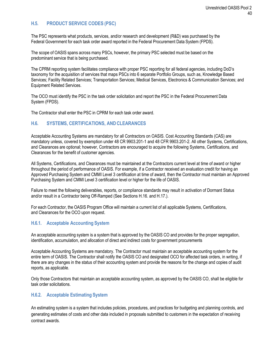#### <span id="page-39-0"></span>**H.5. PRODUCT SERVICE CODES (PSC)**

The PSC represents what products, services, and/or research and development (R&D) was purchased by the Federal Government for each task order award reported in the Federal Procurement Data System (FPDS).

The scope of OASIS spans across many PSCs, however, the primary PSC selected must be based on the predominant service that is being purchased.

The CPRM reporting system facilitates compliance with proper PSC reporting for all federal agencies, including DoD's taxonomy for the acquisition of services that maps PSCs into 6 separate Portfolio Groups, such as, Knowledge Based Services; Facility Related Services; Transportation Services; Medical Services, Electronics & Communication Services; and Equipment Related Services.

The OCO must identify the PSC in the task order solicitation and report the PSC in the Federal Procurement Data System (FPDS).

The Contractor shall enter the PSC in CPRM for each task order award.

#### <span id="page-39-1"></span>**H.6. SYSTEMS, CERTIFICATIONS, ANDCLEARANCES**

Acceptable Accounting Systems are mandatory for all Contractors on OASIS. Cost Accounting Standards (CAS) are mandatory unless, covered by exemption under 48 CR 9903.201-1 and 48 CFR 9903.201-2. All other Systems, Certifications, and Clearances are optional; however, Contractors are encouraged to acquire the following Systems, Certifications, and Clearances for the benefit of customer agencies.

All Systems, Certifications, and Clearances must be maintained at the Contractors current level at time of award or higher throughout the period of performance of OASIS. For example, if a Contractor received an evaluation credit for having an Approved Purchasing System and CMMI Level 3 certification at time of award, then the Contractor must maintain an Approved Purchasing System and CMMI Level 3 certification level or higher for the life of OASIS.

Failure to meet the following deliverables, reports, or compliance standards may result in activation of Dormant Status and/or result in a Contractor being Off-Ramped (See Sections H.16. and H.17.).

For each Contractor, the OASIS Program Office will maintain a current list of all applicable Systems, Certifications, and Clearances for the OCO upon request.

#### <span id="page-39-2"></span>**H.6.1. Acceptable Accounting System**

An acceptable accounting system is a system that is approved by the OASIS CO and provides for the proper segregation, identification, accumulation, and allocation of direct and indirect costs for government procurements

Acceptable Accounting Systems are mandatory. The Contractor must maintain an acceptable accounting system for the entire term of OASIS. The Contractor shall notify the OASIS CO and designated OCO for affected task orders, in writing, if there are any changes in the status of their accounting system and provide the reasons for the change and copies of audit reports, as applicable.

Only those Contractors that maintain an acceptable accounting system, as approved by the OASIS CO, shall be eligible for task order solicitations.

#### <span id="page-39-3"></span>**H.6.2. Acceptable Estimating System**

An estimating system is a system that includes policies, procedures, and practices for budgeting and planning controls, and generating estimates of costs and other data included in proposals submitted to customers in the expectation of receiving contract awards.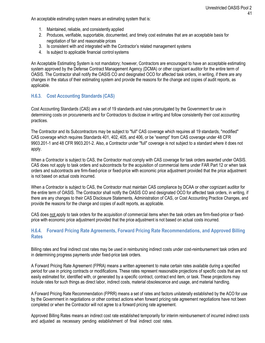An acceptable estimating system means an estimating system that is:

- 1. Maintained, reliable, and consistently applied
- 2. Produces, verifiable, supportable, documented, and timely cost estimates that are an acceptable basis for negotiation of fair and reasonable prices
- 3. Is consistent with and integrated with the Contractor's related management systems
- 4. Is subject to applicable financial control systems

An Acceptable Estimating System is not mandatory; however, Contractors are encouraged to have an acceptable estimating system approved by the Defense Contract Management Agency (DCMA) or other cognizant auditor for the entire term of OASIS. The Contractor shall notify the OASIS CO and designated OCO for affected task orders, in writing, if there are any changes in the status of their estimating system and provide the reasons for the change and copies of audit reports, as applicable.

#### <span id="page-40-0"></span>**H.6.3. Cost Accounting Standards (CAS)**

Cost Accounting Standards (CAS) are a set of 19 standards and rules promulgated by the Government for use in determining costs on procurements and for Contractors to disclose in writing and follow consistently their cost accounting practices.

The Contractor and its Subcontractors may be subject to "full" CAS coverage which requires all 19 standards, "modified" CAS coverage which requires Standards 401, 402, 405, and 406, or be "exempt" from CAS coverage under 48 CFR 9903.201-1 and 48 CFR 9903.201-2. Also, a Contractor under "full" coverage is not subject to a standard where it does not apply.

When a Contractor is subject to CAS, the Contractor must comply with CAS coverage for task orders awarded under OASIS. CAS does not apply to task orders and subcontracts for the acquisition of commercial items under FAR Part 12 or when task orders and subcontracts are firm-fixed-price or fixed-price with economic price adjustment provided that the price adjustment is not based on actual costs incurred.

When a Contractor is subject to CAS, the Contractor must maintain CAS compliance by DCAA or other cognizant auditor for the entire term of OASIS. The Contractor shall notify the OASIS CO and designated OCO for affected task orders, in writing, if there are any changes to their CAS Disclosure Statements, Administration of CAS, or Cost Accounting Practice Changes, and provide the reasons for the change and copies of audit reports, as applicable.

CAS does not apply to task orders for the acquisition of commercial items when the task orders are firm-fixed-price or fixedprice with economic price adjustment provided that the price adjustment is not based on actual costs incurred.

#### <span id="page-40-1"></span>**H.6.4. Forward Pricing Rate Agreements, Forward Pricing Rate Recommendations, and Approved Billing Rates**

Billing rates and final indirect cost rates may be used in reimbursing indirect costs under cost-reimbursement task orders and in determining progress payments under fixed-price task orders.

A Forward Pricing Rate Agreement (FPRA) means a written agreement to make certain rates available during a specified period for use in pricing contracts or modifications. These rates represent reasonable projections of specific costs that are not easily estimated for, identified with, or generated by a specific contract, contract end item, or task. These projections may include rates for such things as direct labor, indirect costs, material obsolescence and usage, and material handling.

A Forward Pricing Rate Recommendation (FPRR) means a set of rates and factors unilaterally established by the ACO for use by the Government in negotiations or other contract actions when forward pricing rate agreement negotiations have not been completed or when the Contractor will not agree to a forward pricing rate agreement.

Approved Billing Rates means an indirect cost rate established temporarily for interim reimbursement of incurred indirect costs and adjusted as necessary pending establishment of final indirect cost rates.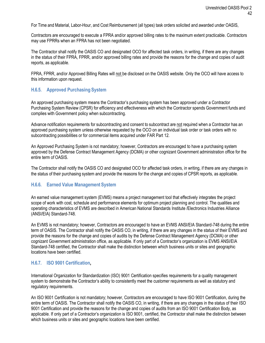For Time and Material, Labor-Hour, and Cost Reimbursement (all types) task orders solicited and awarded under OASIS,

Contractors are encouraged to execute a FPRA and/or approved billing rates to the maximum extent practicable. Contractors may use FPRRs when an FPRA has not been negotiated.

The Contractor shall notify the OASIS CO and designated OCO for affected task orders, in writing, if there are any changes in the status of their FPRA, FPRR, and/or approved billing rates and provide the reasons for the change and copies of audit reports, as applicable.

<span id="page-41-0"></span>FPRA, FPRR, and/or Approved Billing Rates will not be disclosed on the OASIS website. Only the OCO will have access to this information upon request.

#### **H.6.5. Approved Purchasing System**

An approved purchasing system means the Contractor's purchasing system has been approved under a Contractor Purchasing System Review (CPSR) for efficiency and effectiveness with which the Contractor spends Government funds and complies with Government policy when subcontracting.

Advance notification requirements for subcontracting and consent to subcontract are not required when a Contractor has an approved purchasing system unless otherwise requested by the OCO on an individual task order or task orders with no subcontracting possibilities or for commercial items acquired under FAR Part 12.

An Approved Purchasing System is not mandatory; however, Contractors are encouraged to have a purchasing system approved by the Defense Contract Management Agency (DCMA) or other cognizant Government administration office for the entire term of OASIS.

The Contractor shall notify the OASIS CO and designated OCO for affected task orders, in writing, if there are any changes in the status of their purchasing system and provide the reasons for the change and copies of CPSR reports, as applicable.

#### <span id="page-41-1"></span>**H.6.6. Earned Value Management System**

An earned value management system (EVMS) means a project management tool that effectively integrates the project scope of work with cost, schedule and performance elements for optimum project planning and control. The qualities and operating characteristics of EVMS are described in American National Standards Institute /Electronics Industries Alliance (ANSI/EIA) Standard-748.

An EVMS is not mandatory; however, Contractors are encouraged to have an EVMS ANSI/EIA Standard-748 during the entire term of OASIS. The Contractor shall notify the OASIS CO, in writing, if there are any changes in the status of their EVMS and provide the reasons for the change and copies of audits by the Defense Contract Management Agency (DCMA) or other cognizant Government administration office, as applicable. If only part of a Contractor's organization is EVMS ANSI/EIA Standard-748 certified, the Contractor shall make the distinction between which business units or sites and geographic locations have been certified.

#### <span id="page-41-2"></span>**H.6.7. ISO 9001 Certification,**

International Organization for Standardization (ISO) 9001 Certification specifies requirements for a quality management system to demonstrate the Contractor's ability to consistently meet the customer requirements as well as statutory and regulatory requirements.

An ISO 9001 Certification is not mandatory; however, Contractors are encouraged to have ISO 9001 Certification, during the entire term of OASIS. The Contractor shall notify the OASIS CO, in writing, if there are any changes in the status of their ISO 9001 Certification and provide the reasons for the change and copies of audits from an ISO 9001 Certification Body, as applicable. If only part of a Contractor's organization is ISO 9001, certified, the Contractor shall make the distinction between which business units or sites and geographic locations have been certified.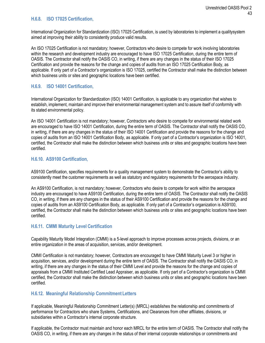#### <span id="page-42-0"></span>**H.6.8. ISO 17025 Certification,**

International Organization for Standardization (ISO) 17025 Certification, is used by laboratories to implement a qualitysystem aimed at improving their ability to consistently produce valid results.

An ISO 17025 Certification is not mandatory; however, Contractors who desire to compete for work involving laboratories within the research and development industry are encouraged to have ISO 17025 Certification, during the entire term of OASIS. The Contractor shall notify the OASIS CO, in writing, if there are any changes in the status of their ISO 17025 Certification and provide the reasons for the change and copies of audits from an ISO 17025 Certification Body, as applicable. If only part of a Contractor's organization is ISO 17025, certified the Contractor shall make the distinction between which business units or sites and geographic locations have been certified.

#### <span id="page-42-1"></span>**H.6.9. ISO 14001 Certification,**

International Organization for Standardization (ISO) 14001 Certification, is applicable to any organization that wishes to establish, implement, maintain and improve their environmental management system and to assure itself of conformity with its stated environmental policy.

An ISO 14001 Certification is not mandatory; however, Contractors who desire to compete for environmental related work are encouraged to have ISO 14001 Certification, during the entire term of OASIS. The Contractor shall notify the OASIS CO, in writing, if there are any changes in the status of their ISO 14001 Certification and provide the reasons for the change and copies of audits from an ISO 14001 Certification Body, as applicable. If only part of a Contractor's organization is ISO 14001, certified, the Contractor shall make the distinction between which business units or sites and geographic locations have been certified.

#### <span id="page-42-2"></span>**H.6.10. AS9100 Certification,**

AS9100 Certification, specifies requirements for a quality management system to demonstrate the Contractor's ability to consistently meet the customer requirements as well as statutory and regulatory requirements for the aerospace industry.

An AS9100 Certification, is not mandatory; however, Contractors who desire to compete for work within the aerospace industry are encouraged to have AS9100 Certification, during the entire term of OASIS. The Contractor shall notify the OASIS CO, in writing, if there are any changes in the status of their AS9100 Certification and provide the reasons for the change and copies of audits from an AS9100 Certification Body, as applicable. If only part of a Contractor's organization is AS9100, certified, the Contractor shall make the distinction between which business units or sites and geographic locations have been certified.

#### <span id="page-42-3"></span>**H.6.11. CMMI Maturity Level Certification**

Capability Maturity Model Integration (CMMI) is a 5-level approach to improve processes across projects, divisions, or an entire organization in the areas of acquisition, services, and/or development.

CMMI Certification is not mandatory; however, Contractors are encouraged to have CMMI Maturity Level 3 or higher in acquisition, services, and/or development during the entire term of OASIS. The Contractor shall notify the OASIS CO, in writing, if there are any changes in the status of their CMMI Level and provide the reasons for the change and copies of appraisals from a CMMI Instituted Certified Lead Appraiser, as applicable. If only part of a Contractor's organization is CMMI certified, the Contractor shall make the distinction between which business units or sites and geographic locations have been certified.

#### <span id="page-42-4"></span>**H.6.12. Meaningful Relationship Commitment Letters**

If applicable, Meaningful Relationship Commitment Letter(s) (MRCL) establishes the relationship and commitments of performance for Contractors who share Systems, Certifications, and Clearances from other affiliates, divisions, or subsidiaries within a Contractor's internal corporate structure.

If applicable, the Contractor must maintain and honor each MRCL for the entire term of OASIS. The Contractor shall notify the OASIS CO, in writing, if there are any changes in the status of their internal corporate relationships or commitments and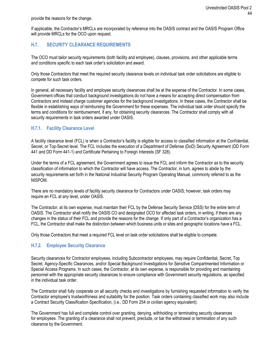provide the reasons for the change.

If applicable, the Contractor's MRCLs are incorporated by reference into the OASIS contract and the OASIS Program Office will provide MRCLs for the OCO upon request.

#### <span id="page-43-0"></span>**H.7. SECURITY CLEARANCE REQUIREMENTS**

The OCO must tailor security requirements (both facility and employee), clauses, provisions, and other applicable terms and conditions specific to each task order's solicitation and award.

Only those Contractors that meet the required security clearance levels on individual task order solicitations are eligible to compete for such task orders.

In general, all necessary facility and employee security clearances shall be at the expense of the Contractor. In some cases, Government offices that conduct background investigations do not have a means for accepting direct compensation from Contractors and instead charge customer agencies for the background investigations. In these cases, the Contractor shall be flexible in establishing ways of reimbursing the Government for these expenses. The individual task order should specify the terms and conditions for reimbursement, if any, for obtaining security clearances. The Contractor shall comply with all security requirements in task orders awarded under OASIS.

#### <span id="page-43-1"></span>**H.7.1. Facility Clearance Level**

A facility clearance level (FCL) is when a Contractor's facility is eligible for access to classified information at the Confidential, Secret, or Top-Secret level. The FCL includes the execution of a Department of Defense (DoD) Security Agreement (DD Form 441 and DD Form 441-1) and Certificate Pertaining to Foreign Interests (SF 328).

Under the terms of a FCL agreement, the Government agrees to issue the FCL and inform the Contractor as to the security classification of information to which the Contractor will have access. The Contractor, in turn, agrees to abide by the security requirements set forth in the National Industrial Security Program Operating Manual, commonly referred to as the NISPOM.

There are no mandatory levels of facility security clearance for Contractors under OASIS; however, task orders may require an FCL at any level, under OASIS.

The Contractor, at its own expense, must maintain their FCL by the Defense Security Service (DSS) for the entire term of OASIS. The Contractor shall notify the OASIS CO and designated OCO for affected task orders, in writing, if there are any changes in the status of their FCL and provide the reasons for the change. If only part of a Contractor's organization has a FCL, the Contractor shall make the distinction between which business units or sites and geographic locations have a FCL.

Only those Contractors that meet a required FCL level on task order solicitations shall be eligible to compete.

#### <span id="page-43-2"></span>**H.7.2. Employee Security Clearance**

Security clearances for Contractor employees, including Subcontractor employees, may require Confidential, Secret, Top Secret, Agency-Specific Clearances, and/or Special Background Investigations for Sensitive Compartmented Information or Special Access Programs. In such cases, the Contractor, at its own expense, is responsible for providing and maintaining personnel with the appropriate security clearances to ensure compliance with Government security regulations, as specified in the individual task order.

The Contractor shall fully cooperate on all security checks and investigations by furnishing requested information to verify the Contractor employee's trustworthiness and suitability for the position. Task orders containing classified work may also include a Contract Security Classification Specification, (i.e., DD Form 254 or civilian agency equivalent).

The Government has full and complete control over granting, denying, withholding or terminating security clearances for employees. The granting of a clearance shall not prevent, preclude, or bar the withdrawal or termination of any such clearance by the Government.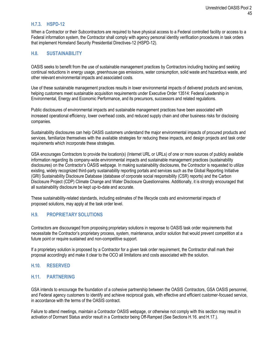#### <span id="page-44-0"></span>**H.7.3. HSPD-12**

When a Contractor or their Subcontractors are required to have physical access to a Federal controlled facility or access to a Federal information system, the Contractor shall comply with agency personal identity verification procedures in task orders that implement Homeland Security Presidential Directives-12 (HSPD-12).

#### <span id="page-44-1"></span>**H.8. SUSTAINABILITY**

OASIS seeks to benefit from the use of sustainable management practices by Contractors including tracking and seeking continual reductions in energy usage, greenhouse gas emissions, water consumption, solid waste and hazardous waste, and other relevant environmental impacts and associated costs.

Use of these sustainable management practices results in lower environmental impacts of delivered products and services, helping customers meet sustainable acquisition requirements under Executive Order 13514: Federal Leadership in Environmental, Energy and Economic Performance, and its precursors, successors and related regulations.

Public disclosures of environmental impacts and sustainable management practices have been associated with increased operational efficiency, lower overhead costs, and reduced supply chain and other business risks for disclosing companies.

Sustainability disclosures can help OASIS customers understand the major environmental impacts of procured products and services, familiarize themselves with the available strategies for reducing these impacts, and design projects and task order requirements which incorporate these strategies.

GSA encourages Contractors to provide the location(s) (Internet URL or URLs) of one or more sources of publicly available information regarding its company-wide environmental impacts and sustainable management practices (sustainability disclosures) on the Contractor's OASIS webpage. In making sustainability disclosures, the Contractor is requested to utilize existing, widely recognized third-party sustainability reporting portals and services such as the Global Reporting Initiative (GRI) Sustainability Disclosure Database (database of corporate social responsibility (CSR) reports) and the Carbon Disclosure Project (CDP) Climate Change and Water Disclosure Questionnaires. Additionally, it is strongly encouraged that all sustainability disclosure be kept up-to-date and accurate.

These sustainability-related standards, including estimates of the lifecycle costs and environmental impacts of proposed solutions, may apply at the task order level.

#### <span id="page-44-2"></span>**H.9. PROPRIETARY SOLUTIONS**

Contractors are discouraged from proposing proprietary solutions in response to OASIS task order requirements that necessitate the Contractor's proprietary process, system, maintenance, and/or solution that would prevent competition at a future point or require sustained and non-competitive support.

If a proprietary solution is proposed by a Contractor for a given task order requirement, the Contractor shall mark their proposal accordingly and make it clear to the OCO all limitations and costs associated with the solution.

#### <span id="page-44-3"></span>**H.10. RESERVED**

#### <span id="page-44-4"></span>**H.11. PARTNERING**

GSA intends to encourage the foundation of a cohesive partnership between the OASIS Contractors, GSA OASIS personnel, and Federal agency customers to identify and achieve reciprocal goals, with effective and efficient customer-focused service, in accordance with the terms of the OASIS contract.

Failure to attend meetings, maintain a Contractor OASIS webpage, or otherwise not comply with this section may result in activation of Dormant Status and/or result in a Contractor being Off-Ramped (See Sections H.16. and H.17.).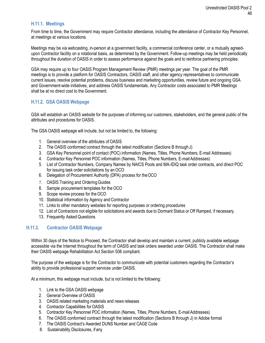#### <span id="page-45-0"></span>**H.11.1. Meetings**

From time to time, the Government may require Contractor attendance, including the attendance of Contractor Key Personnel, at meetings at various locations.

Meetings may be via webcasting, in-person at a government facility, a commercial conference center, or a mutually agreedupon Contractor facility on a rotational basis, as determined by the Government. Follow-up meetings may be held periodically throughout the duration of OASIS in order to assess performance against the goals and to reinforce partnering principles.

GSA may require up to four OASIS Program Management Review (PMR) meetings per year. The goal of the PMR meetings is to provide a platform for OASIS Contractors, OASIS staff, and other agency representatives to communicate current issues, resolve potential problems, discuss business and marketing opportunities, review future and ongoing GSA and Government-wide initiatives, and address OASIS fundamentals. Any Contractor costs associated to PMR Meetings shall be at no direct cost to the Government.

#### <span id="page-45-1"></span>**H.11.2. GSA OASIS Webpage**

GSA will establish an OASIS website for the purposes of informing our customers, stakeholders, and the general public of the attributes and procedures for OASIS.

The GSA OASIS webpage will include, but not be limited to, the following:

- 1. General overview of the attributes of OASIS
- 2. The OASIS conformed contract through the latest modification (Sections B through J)
- 3. GSA Key Personnel point of contact (POC) information (Names, Titles, Phone Numbers, E-mail Addresses)
- 4. Contractor Key Personnel POC information (Names, Titles, Phone Numbers, E-mailAddresses)
- 5. List of Contractor Numbers, Company Names by NAICS Pools and MA-IDIQ task order contracts, and direct POC for issuing task order solicitations by an OCO
- 6. Delegation of Procurement Authority (DPA) process for theOCO
- 7. OASIS Training and Ordering Guides
- 8. Sample procurement templates for the OCO
- 9. Scope review process for the OCO
- 10. Statistical information by Agency and Contractor
- 11. Links to other mandatory websites for reporting purposes or ordering procedures
- 12. List of Contractors not eligible for solicitations and awards due to Dormant Status or Off Ramped, if necessary.
- 13. Frequently Asked Questions

#### <span id="page-45-2"></span>**H.11.3. Contractor OASIS Webpage**

Within 30 days of the Notice to Proceed, the Contractor shall develop and maintain a current, publicly available webpage accessible via the Internet throughout the term of OASIS and task orders awarded under OASIS. The Contractor shall make their OASIS webpage Rehabilitation Act Section 508 compliant.

The purpose of the webpage is for the Contractor to communicate with potential customers regarding the Contractor's ability to provide professional support services under OASIS.

At a minimum, this webpage must include, but is not limited to the following:

- 1. Link to the GSA OASIS webpage
- 2. General Overview of OASIS
- 3. OASIS related marketing materials and news releases
- 4. Contractor Capabilities for OASIS
- 5. Contractor Key Personnel POC information (Names, Titles, Phone Numbers, E-mailAddresses)
- 6. The OASIS conformed contract through the latest modification (Sections B through J) in Adobe format
- 7. The OASIS Contract's Awarded DUNS Number and CAGECode
- 8. Sustainability Disclosures, if any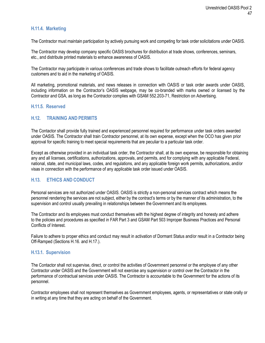#### <span id="page-46-0"></span>**H.11.4. Marketing**

The Contractor must maintain participation by actively pursuing work and competing for task order solicitations under OASIS.

The Contractor may develop company specific OASIS brochures for distribution at trade shows, conferences, seminars, etc., and distribute printed materials to enhance awareness of OASIS.

The Contractor may participate in various conferences and trade shows to facilitate outreach efforts for federal agency customers and to aid in the marketing of OASIS.

All marketing, promotional materials, and news releases in connection with OASIS or task order awards under OASIS, including information on the Contractor's OASIS webpage, may be co-branded with marks owned or licensed by the Contractor and GSA, as long as the Contractor complies with GSAM 552.203-71, Restriction on Advertising.

#### <span id="page-46-1"></span>**H.11.5. Reserved**

#### <span id="page-46-2"></span>**H.12. TRAINING AND PERMITS**

The Contactor shall provide fully trained and experienced personnel required for performance under task orders awarded under OASIS. The Contractor shall train Contractor personnel, at its own expense, except when the OCO has given prior approval for specific training to meet special requirements that are peculiar to a particular task order.

Except as otherwise provided in an individual task order, the Contractor shall, at its own expense, be responsible for obtaining any and all licenses, certifications, authorizations, approvals, and permits, and for complying with any applicable Federal, national, state, and municipal laws, codes, and regulations, and any applicable foreign work permits, authorizations, and/or visas in connection with the performance of any applicable task order issued under OASIS.

#### <span id="page-46-3"></span>**H.13. ETHICS AND CONDUCT**

Personal services are not authorized under OASIS. OASIS is strictly a non-personal services contract which means the personnel rendering the services are not subject, either by the contract's terms or by the manner of its administration, to the supervision and control usually prevailing in relationships between the Government and its employees.

The Contractor and its employees must conduct themselves with the highest degree of integrity and honesty and adhere to the policies and procedures as specified in FAR Part 3 and GSAM Part 503 Improper Business Practices and Personal Conflicts of Interest.

Failure to adhere to proper ethics and conduct may result in activation of Dormant Status and/or result in a Contractor being Off-Ramped (Sections H.16. and H.17.).

#### <span id="page-46-4"></span>**H.13.1. Supervision**

The Contactor shall not supervise, direct, or control the activities of Government personnel or the employee of any other Contractor under OASIS and the Government will not exercise any supervision or control over the Contractor in the performance of contractual services under OASIS. The Contractor is accountable to the Government for the actions of its personnel.

Contractor employees shall not represent themselves as Government employees, agents, or representatives or state orally or in writing at any time that they are acting on behalf of the Government.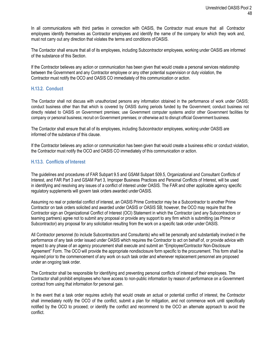In all communications with third parties in connection with OASIS, the Contractor must ensure that all Contractor employees identify themselves as Contractor employees and identify the name of the company for which they work and, must not carry out any direction that violates the terms and conditions ofOASIS.

The Contactor shall ensure that all of its employees, including Subcontractor employees, working under OASIS are informed of the substance of this Section.

If the Contractor believes any action or communication has been given that would create a personal services relationship between the Government and any Contractor employee or any other potential supervision or duty violation, the Contractor must notify the OCO and OASIS CO immediately of this communication or action.

#### <span id="page-47-0"></span>**H.13.2. Conduct**

The Contactor shall not discuss with unauthorized persons any information obtained in the performance of work under OASIS; conduct business other than that which is covered by OASIS during periods funded by the Government; conduct business not directly related to OASIS on Government premises; use Government computer systems and/or other Government facilities for company or personal business; recruit on Government premises; or otherwise act to disrupt official Government business.

The Contactor shall ensure that all of its employees, including Subcontractor employees, working under OASIS are informed of the substance of this clause.

If the Contractor believes any action or communication has been given that would create a business ethic or conduct violation, the Contractor must notify the OCO and OASIS CO immediately of this communication or action.

#### <span id="page-47-1"></span>**H.13.3. Conflicts of Interest**

The guidelines and procedures of FAR Subpart 9.5 and GSAM Subpart 509.5, Organizational and Consultant Conflicts of Interest, and FAR Part 3 and GSAM Part 3, Improper Business Practices and Personal Conflicts of Interest, will be used in identifying and resolving any issues of a conflict of interest under OASIS. The FAR and other applicable agency specific regulatory supplements will govern task orders awarded under OASIS.

Assuming no real or potential conflict of interest, an OASIS Prime Contractor may be a Subcontractor to another Prime Contractor on task orders solicited and awarded under OASIS or OASIS SB; however, the OCO may require that the Contractor sign an Organizational Conflict of Interest (OCI) Statement in which the Contractor (and any Subcontractors or teaming partners) agree not to submit any proposal or provide any support to any firm which is submitting (as Prime or Subcontractor) any proposal for any solicitation resulting from the work on a specific task order under OASIS.

All Contractor personnel (to include Subcontractors and Consultants) who will be personally and substantially involved in the performance of any task order issued under OASIS which requires the Contractor to act on behalf of, or provide advice with respect to any phase of an agency procurement shall execute and submit an "Employee/Contractor Non-Disclosure Agreement" Form. The OCO will provide the appropriate nondisclosure form specific to the procurement. This form shall be required prior to the commencement of any work on such task order and whenever replacement personnel are proposed under an ongoing task order.

The Contractor shall be responsible for identifying and preventing personal conflicts of interest of their employees. The Contractor shall prohibit employees who have access to non-public information by reason of performance on a Government contract from using that information for personal gain.

In the event that a task order requires activity that would create an actual or potential conflict of interest, the Contractor shall immediately notify the OCO of the conflict, submit a plan for mitigation, and not commence work until specifically notified by the OCO to proceed; or identify the conflict and recommend to the OCO an alternate approach to avoid the conflict.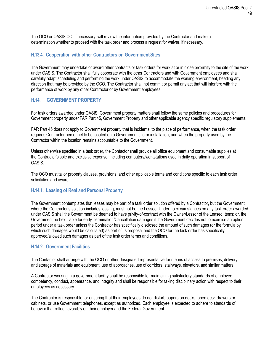The OCO or OASIS CO, if necessary, will review the information provided by the Contractor and make a determination whether to proceed with the task order and process a request for waiver, if necessary.

#### <span id="page-48-0"></span>**H.13.4. Cooperation with other Contractors on GovernmentSites**

The Government may undertake or award other contracts or task orders for work at or in close proximity to the site of the work under OASIS. The Contractor shall fully cooperate with the other Contractors and with Government employees and shall carefully adapt scheduling and performing the work under OASIS to accommodate the working environment, heeding any direction that may be provided by the OCO. The Contractor shall not commit or permit any act that will interfere with the performance of work by any other Contractor or by Government employees.

#### <span id="page-48-1"></span>**H.14. GOVERNMENT PROPERTY**

For task orders awarded under OASIS, Government property matters shall follow the same policies and procedures for Government property under FAR Part 45, Government Property and other applicable agency specific regulatory supplements.

FAR Part 45 does not apply to Government property that is incidental to the place of performance, when the task order requires Contractor personnel to be located on a Government site or installation, and when the property used by the Contractor within the location remains accountable to the Government.

Unless otherwise specified in a task order, the Contactor shall provide all office equipment and consumable supplies at the Contractor's sole and exclusive expense, including computers/workstations used in daily operation in support of OASIS.

The OCO must tailor property clauses, provisions, and other applicable terms and conditions specific to each task order solicitation and award.

#### <span id="page-48-2"></span>**H.14.1. Leasing of Real and Personal Property**

The Government contemplates that leases may be part of a task order solution offered by a Contractor, but the Government, where the Contractor's solution includes leasing, must not be the Lessee. Under no circumstances on any task order awarded under OASIS shall the Government be deemed to have privity-of-contract with the Owner/Lessor of the Leased Items; or, the Government be held liable for early Termination/Cancellation damages if the Government decides not to exercise an option period under a task order unless the Contractor has specifically disclosed the amount of such damages (or the formula by which such damages would be calculated) as part of its proposal and the OCO for the task order has specifically approved/allowed such damages as part of the task order terms and conditions.

#### <span id="page-48-3"></span>**H.14.2. Government Facilities**

The Contactor shall arrange with the OCO or other designated representative for means of access to premises, delivery and storage of materials and equipment, use of approaches, use of corridors, stairways, elevators, and similar matters.

A Contractor working in a government facility shall be responsible for maintaining satisfactory standards of employee competency, conduct, appearance, and integrity and shall be responsible for taking disciplinary action with respect to their employees as necessary.

The Contractor is responsible for ensuring that their employees do not disturb papers on desks, open desk drawers or cabinets, or use Government telephones, except as authorized. Each employee is expected to adhere to standards of behavior that reflect favorably on their employer and the Federal Government.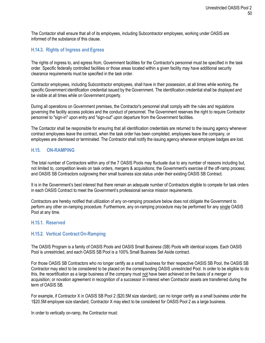The Contactor shall ensure that all of its employees, including Subcontractor employees, working under OASIS are informed of the substance of this clause.

#### <span id="page-49-0"></span>**H.14.3. Rights of Ingress and Egress**

The rights of ingress to, and egress from, Government facilities for the Contractor's personnel must be specified in the task order. Specific federally controlled facilities or those areas located within a given facility may have additional security clearance requirements must be specified in the task order.

Contractor employees, including Subcontractor employees, shall have in their possession, at all times while working, the specific Government identification credential issued by the Government. The identification credential shall be displayed and be visible at all times while on Government property.

During all operations on Government premises, the Contractor's personnel shall comply with the rules and regulations governing the facility access policies and the conduct of personnel. The Government reserves the right to require Contractor personnel to "sign-in" upon entry and "sign-out" upon departure from the Government facilities.

The Contactor shall be responsible for ensuring that all identification credentials are returned to the issuing agency whenever contract employees leave the contract, when the task order has been completed, employees leave the company, or employees are dismissed or terminated. The Contractor shall notify the issuing agency whenever employee badges are lost.

#### <span id="page-49-1"></span>**H.15. ON-RAMPING**

The total number of Contractors within any of the 7 OASIS Pools may fluctuate due to any number of reasons including but, not limited to, competition levels on task orders, mergers & acquisitions; the Government's exercise of the off-ramp process; and OASIS SB Contractors outgrowing their small business size status under their existing OASIS SB Contract.

It is in the Government's best interest that there remain an adequate number of Contractors eligible to compete for task orders in each OASIS Contract to meet the Government's professional service mission requirements.

Contractors are hereby notified that utilization of any on-ramping procedure below does not obligate the Government to perform any other on-ramping procedure. Furthermore, any on-ramping procedure may be performed for any single OASIS Pool at any time.

#### <span id="page-49-3"></span><span id="page-49-2"></span>**H.15.1. Reserved**

#### **H.15.2. Vertical ContractOn-Ramping**

The OASIS Program is a family of OASIS Pools and OASIS Small Business (SB) Pools with identical scopes. Each OASIS Pool is unrestricted, and each OASIS SB Pool is a 100% Small Business Set Aside contract.

For those OASIS SB Contractors who no longer certify as a small business for their respective OASIS SB Pool, the OASIS SB Contractor may elect to be considered to be placed on the corresponding OASIS unrestricted Pool. In order to be eligible to do this, the recertification as a large business of the company must not have been achieved on the basis of a merger or acquisition; or novation agreement in recognition of a successor in interest when Contractor assets are transferred during the term of OASIS SB.

For example, if Contractor X in OASIS SB Pool 2 (\$20.5M size standard), can no longer certify as a small business under the 1\$20.5M employee size standard, Contractor X may elect to be considered for OASIS Pool 2 as a large business.

In order to vertically on-ramp, the Contractor must: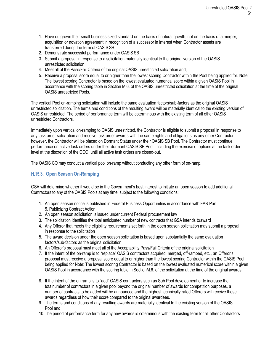- 1. Have outgrown their small business sized standard on the basis of natural growth, not on the basis of a merger, acquisition or novation agreement in recognition of a successor in interest when Contractor assets are transferred during the term of OASIS SB
- 2. Demonstrate successful performance under OASIS SB
- 3. Submit a proposal in response to a solicitation materially identical to the original version of the OASIS unrestricted solicitation
- 4. Meet all of the Pass/Fail Criteria of the original OASIS unrestricted solicitation and,
- 5. Receive a proposal score equal to or higher than the lowest scoring Contractor within the Pool being applied for. Note: The lowest scoring Contractor is based on the lowest evaluated numerical score within a given OASIS Pool in accordance with the scoring table in Section M.6. of the OASIS unrestricted solicitation at the time of the original OASIS unrestricted Pools.

The vertical Pool on-ramping solicitation will include the same evaluation factors/sub-factors as the original OASIS unrestricted solicitation. The terms and conditions of the resulting award will be materially identical to the existing version of OASIS unrestricted. The period of performance term will be coterminous with the existing term of all other OASIS unrestricted Contractors.

Immediately upon vertical on-ramping to OASIS unrestricted, the Contractor is eligible to submit a proposal in response to any task order solicitation and receive task order awards with the same rights and obligations as any other Contractor; however, the Contractor will be placed on Dormant Status under their OASIS SB Pool. The Contractor must continue performance on active task orders under their dormant OASIS SB Pool, including the exercise of options at the task order level at the discretion of the OCO, until all active task orders are closed-out.

The OASIS CO may conduct a vertical pool on-ramp without conducting any other form of on-ramp.

#### <span id="page-50-0"></span>**H.15.3. Open Season On-Ramping**

GSA will determine whether it would be in the Government's best interest to initiate an open season to add additional Contractors to any of the OASIS Pools at any time, subject to the following conditions:

- 1. An open season notice is published in Federal Business Opportunities in accordance with FAR Part 5, Publicizing Contract Action
- 2. An open season solicitation is issued under current Federal procurement law
- 3. The solicitation identifies the total anticipated number of new contracts that GSA intends toaward
- 4. Any Offeror that meets the eligibility requirements set forth in the open season solicitation may submit a proposal in response to the solicitation
- 5. The award decision under the open season solicitation is based upon substantially the same evaluation factors/sub-factors as the original solicitation
- 6. An Offeror's proposal must meet all of the Acceptability Pass/Fail Criteria of the original solicitation
- 7. If the intent of the on-ramp is to "replace" OASIS contractors acquired, merged, off-ramped, etc., an Offeror's proposal must receive a proposal score equal to or higher than the lowest scoring Contractor within the OASIS Pool being applied for Note: The lowest scoring Contractor is based on the lowest evaluated numerical score within a given OASIS Pool in accordance with the scoring table in SectionM.6. of the solicitation at the time of the original awards
- 8. If the intent of the on ramp is to "add" OASIS contractors such as Sub Pool development or to increase the totalnumber of contractors in a given pool beyond the original number of awards for competition purposes, a number of contracts to be added will be announced and the highest technically rated Offerors will receive those awards regardless of how their score compared to the original awardees.
- 9. The terms and conditions of any resulting awards are materially identical to the existing version of the OASIS Pool and,
- 10. The period of performance term for any new awards is coterminous with the existing term for all other Contractors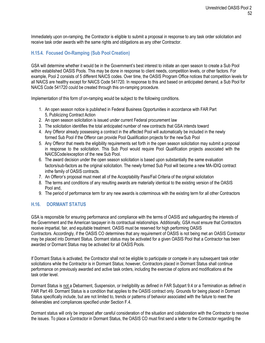Immediately upon on-ramping, the Contractor is eligible to submit a proposal in response to any task order solicitation and receive task order awards with the same rights and obligations as any other Contractor.

#### <span id="page-51-0"></span>**H.15.4. Focused On-Ramping (Sub Pool Creation)**

GSA will determine whether it would be in the Government's best interest to initiate an open season to create a Sub Pool within established OASIS Pools. This may be done in response to client needs, competition levels, or other factors. For example, Pool 2 consists of 5 different NAICS codes. Over time, the OASIS Program Office notices that competition levels for all NAICS are healthy except for NAICS Code 541720. In response to this and based on anticipated demand, a Sub Pool for NAICS Code 541720 could be created through this on-ramping procedure.

Implementation of this form of on-ramping would be subject to the following conditions.

- 1. An open season notice is published in Federal Business Opportunities in accordance with FAR Part 5, Publicizing Contract Action
- 2. An open season solicitation is issued under current Federal procurement law
- 3. The solicitation identifies the total anticipated number of new contracts that GSA intends toward
- 4. Any Offeror already possessing a contract in the affected Pool will automatically be included in the newly formed Sub Pool if the Offeror can provide Pool Qualification projects for the newSub Pool
- 5. Any Offeror that meets the eligibility requirements set forth in the open season solicitation may submit a proposal in response to the solicitation. This Sub Pool would require Pool Qualification projects associated with the NAICSCode/exception of the new Sub Pool.
- 6. The award decision under the open season solicitation is based upon substantially the same evaluation factors/sub-factors as the original solicitation. The newly formed Sub Pool will become a new MA-IDIQ contract inthe family of OASIS contracts.
- 7. An Offeror's proposal must meet all of the Acceptability Pass/Fail Criteria of the original solicitation
- 8. The terms and conditions of any resulting awards are materially identical to the existing version of the OASIS Pool and,
- 9. The period of performance term for any new awards is coterminous with the existing term for all other Contractors

#### <span id="page-51-1"></span>**H.16. DORMANT STATUS**

GSA is responsible for ensuring performance and compliance with the terms of OASIS and safeguarding the interests of the Government and the American taxpayer in its contractual relationships. Additionally, GSA must ensure that Contractors receive impartial, fair, and equitable treatment. OASIS must be reserved for high performing OASIS Contractors. Accordingly, if the OASIS CO determines that any requirement of OASIS is not being met an OASIS Contractor may be placed into Dormant Status. Dormant status may be activated for a given OASIS Pool that a Contractor has been awarded or Dormant Status may be activated for all OASIS Pools.

If Dormant Status is activated, the Contractor shall not be eligible to participate or compete in any subsequent task order solicitations while the Contractor is in Dormant Status; however, Contractors placed in Dormant Status shall continue performance on previously awarded and active task orders, including the exercise of options and modifications at the task order level.

Dormant Status is not a Debarment, Suspension, or Ineligibility as defined in FAR Subpart 9.4 or a Termination as defined in FAR Part 49. Dormant Status is a condition that applies to the OASIS contract only. Grounds for being placed in Dormant Status specifically include, but are not limited to, trends or patterns of behavior associated with the failure to meet the deliverables and compliances specified under Section F.4.

Dormant status will only be imposed after careful consideration of the situation and collaboration with the Contractor to resolve the issues. To place a Contractor in Dormant Status, the OASIS CO must first send a letter to the Contractor regarding the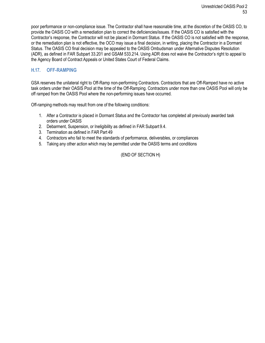poor performance or non-compliance issue. The Contractor shall have reasonable time, at the discretion of the OASIS CO, to provide the OASIS CO with a remediation plan to correct the deficiencies/issues. If the OASIS CO is satisfied with the Contractor's response, the Contractor will not be placed in Dormant Status. If the OASIS CO is not satisfied with the response, or the remediation plan is not effective, the OCO may issue a final decision, in writing, placing the Contractor in a Dormant Status. The OASIS CO final decision may be appealed to the OASIS Ombudsman under Alternative Disputes Resolution (ADR), as defined in FAR Subpart 33.201 and GSAM 533.214. Using ADR does not waive the Contractor's right to appeal to the Agency Board of Contract Appeals or United States Court of Federal Claims.

#### <span id="page-52-0"></span>**H.17. OFF-RAMPING**

GSA reserves the unilateral right to Off-Ramp non-performing Contractors. Contractors that are Off-Ramped have no active task orders under their OASIS Pool at the time of the Off-Ramping. Contractors under more than one OASIS Pool will only be off ramped from the OASIS Pool where the non-performing issues have occurred.

Off-ramping methods may result from one of the following conditions:

- 1. After a Contractor is placed in Dormant Status and the Contractor has completed all previously awarded task orders under OASIS
- 2. Debarment, Suspension, or Ineligibility as defined in FAR Subpart 9.4.
- 3. Termination as defined in FAR Part 49
- 4. Contractors who fail to meet the standards of performance, deliverables, or compliances
- 5. Taking any other action which may be permitted under the OASIS terms and conditions

(END OF SECTION H)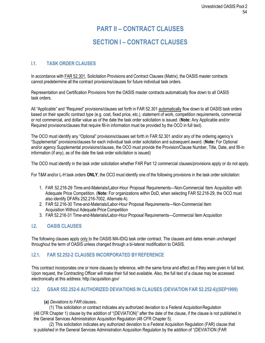## **PART II – CONTRACT CLAUSES SECTION I – CONTRACT CLAUSES**

#### <span id="page-53-1"></span><span id="page-53-0"></span>**I.1. TASK ORDER CLAUSES**

In accordance with FAR 52.301, Solicitation Provisions and Contract Clauses (Matrix), the OASIS master contracts cannot predetermine all the contract provisions/clauses for future individual task orders.

Representation and Certification Provisions from the OASIS master contracts automatically flow down to all OASIS task orders.

All "Applicable" and "Required" provisions/clauses set forth in FAR 52.301 automatically flow down to all OASIS task orders based on their specific contract type (e.g. cost, fixed price, etc.), statement of work, competition requirements, commercial or not commercial, and dollar value as of the date the task order solicitation is issued. (**Note:** Any Applicable and/or Required provisions/clauses that require fill-in information must be provided by the OCO in full text).

The OCO must identify any "Optional" provisions/clauses set forth in FAR 52.301 and/or any of the ordering agency's "Supplemental" provisions/clauses for each individual task order solicitation and subsequent award. (**Note:** For Optional and/or agency Supplemental provisions/clauses, the OCO must provide the Provision/Clause Number, Title, Date, and fill-in information (if any), as of the date the task order solicitation is issued)

The OCO must identify in the task order solicitation whether FAR Part 12 commercial clauses/provisions apply or do not apply.

For T&M and/or L-H task orders **ONLY**, the OCO must identify one of the following provisions in the task order solicitation:

- 1. FAR 52.216-29 Time-and-Materials/Labor-Hour Proposal Requirements—Non-Commercial Item Acquisition with Adequate Price Competition. (**Note:** For organizations within DoD, when selecting FAR 52.216-29, the OCO must also identify DFARs 252.216-7002, Alternate A).
- 2. FAR 52.216-30 Time-and-Materials/Labor-Hour Proposal Requirements—Non-Commercial Item Acquisition Without Adequate Price Competition
- 3. FAR 52.216-31 Time-and-Materials/Labor-Hour Proposal Requirements—Commercial Item Acquisition

#### <span id="page-53-2"></span>**I.2. OASIS CLAUSES**

The following clauses apply only to the OASIS MA-IDIQ task order contract. The clauses and dates remain unchanged throughout the term of OASIS unless changed through a bi-lateral modification to OASIS.

#### <span id="page-53-3"></span>**I.2.1. FAR 52.252-2 CLAUSES INCORPORATED BYREFERENCE**

This contract incorporates one or more clauses by reference, with the same force and effect as if they were given in full text. Upon request, the Contracting Officer will make their full text available. Also, the full text of a clause may be accessed electronically at this address: <http://acquisition.gov/>

#### <span id="page-53-4"></span>**I.2.2. GSAR 552.252-6 AUTHORIZED DEVIATIONS IN CLAUSES (DEVIATION FAR 52.252-6)(SEP1999)**

#### **(a)** *Deviations to FAR clauses***.**

(1) This solicitation or contract indicates any authorized deviation to a Federal AcquisitionRegulation (48 CFR Chapter 1) clause by the addition of "(DEVIATION)" after the date of the clause, if the clause is not published in the General Services Administration Acquisition Regulation (48 CFR Chapter 5).

(2) This solicitation indicates any authorized deviation to a Federal Acquisition Regulation (FAR) clause that is published in the General Services Administration Acquisition Regulation by the addition of "(DEVIATION (FAR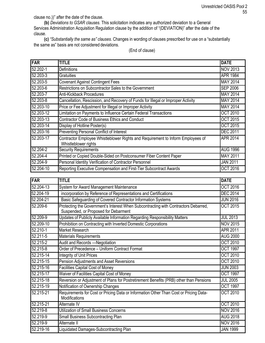clause no.))" after the date of the clause.

**(b)** *Deviations to GSAR clauses.* This solicitation indicates any authorized deviation to a General Services Administration Acquisition Regulation clause by the addition of "(DEVIATION)" after the date of the clause.

**(c)** *"Substantially the same as" clauses.* Changes in wording of clauses prescribed for use on a "substantially the same as" basis are not considered deviations.

| <b>FAR</b> | <b>TITLE</b>                                                                                            | <b>DATE</b>     |
|------------|---------------------------------------------------------------------------------------------------------|-----------------|
| 52.202-1   | Definitions                                                                                             | <b>NOV 2013</b> |
| 52.203-3   | <b>Gratuities</b>                                                                                       | <b>APR 1984</b> |
| 52.203-5   | <b>Covenant Against Contingent Fees</b>                                                                 | <b>MAY 2014</b> |
| 52.203-6   | Restrictions on Subcontractor Sales to the Government                                                   | <b>SEP 2006</b> |
| 52.203-7   | <b>Anti-Kickback Procedures</b>                                                                         | <b>MAY 2014</b> |
| 52.203-8   | Cancellation, Rescission, and Recovery of Funds for Illegal or Improper Activity                        | <b>MAY 2014</b> |
| 52.203-10  | Price or Fee Adjustment for Illegal or Improper Activity                                                | <b>MAY 2014</b> |
| 52.203-12  | Limitation on Payments to Influence Certain Federal Transactions                                        | <b>OCT 2010</b> |
| 52.203-13  | <b>Contractor Code of Business Ethics and Conduct</b>                                                   | <b>OCT 2015</b> |
| 52.203-14  | Display of Hotline Poster(s)                                                                            | <b>OCT 2015</b> |
| 52.203-16  | Preventing Personal Conflict of Interest                                                                | <b>DEC 2011</b> |
| 52.203-17  | Contractor Employee Whistleblower Rights and Requirement to Inform Employees of<br>Whistleblower rights | <b>APR 2014</b> |
| 52.204-2   | <b>Security Requirements</b>                                                                            | <b>AUG 1996</b> |
| 52.204-4   | Printed or Copied Double-Sided on Postconsumer Fiber Content Paper                                      | MAY 2011        |
| 52.204-9   | Personal Identity Verification of Contractor Personnel                                                  | <b>JAN 2011</b> |
| 52.204-10  | Reporting Executive Compensation and First-Tier Subcontract Awards                                      | <b>OCT 2016</b> |

|  |  | (End of clause) |  |
|--|--|-----------------|--|
|--|--|-----------------|--|

| <b>FAR</b> | <b>TITLE</b>                                                                                                                | <b>DATE</b>     |
|------------|-----------------------------------------------------------------------------------------------------------------------------|-----------------|
| 52.204-13  | System for Award Management Maintenance                                                                                     | OCT 2016        |
| 52.204-19  | incorporation by Reference of Representations and Certifications                                                            | <b>DEC 2014</b> |
| 52.204-21  | Basic Safeguarding of Covered Contractor Information Systems                                                                | <b>JUN 2016</b> |
| 52.209-6   | Protecting the Government's Interest When Subcontracting with Contractors Debarred,<br>Suspended, or Proposed for Debarment | <b>OCT 2015</b> |
| 52.209-9   | Updates of Publicly Available Information Regarding Responsibility Matters                                                  | <b>JUL 2013</b> |
| 52.209-10  | Prohibition on Contracting with Inverted Domestic Corporations                                                              | <b>NOV 2015</b> |
| 52.210-1   | <b>Market Research</b>                                                                                                      | <b>APR 2011</b> |
| 52.211-5   | <b>Materials Requirements</b>                                                                                               | <b>AUG 2000</b> |
| 52.215-2   | Audit and Records -Negotiation                                                                                              | <b>OCT 2010</b> |
| 52.215-8   | Order of Precedence - Uniform Contract Format                                                                               | <b>OCT 1997</b> |
| 52.215-14  | <b>Integrity of Unit Prices</b>                                                                                             | <b>OCT 2010</b> |
| 52.215-15  | Pension Adjustments and Asset Reversions                                                                                    | <b>OCT 2010</b> |
| 52.215-16  | <b>Facilities Capital Cost of Money</b>                                                                                     | <b>JUN 2003</b> |
| 52.215-17  | Waiver of Facilities Capital Cost of Money                                                                                  | OCT 1997        |
| 52.215-18  | Reversion or Adjustment of Plans for Postretirement Benefits (PRB) other than Pensions                                      | <b>JUL 2005</b> |
| 52.215-19  | Notification of Ownership Changes                                                                                           | <b>OCT 1997</b> |
| 52.215-21  | Requirements for Cost or Pricing Data or Information Other Than Cost or Pricing Data-<br>Modifications                      | <b>OCT 2010</b> |
| 52.215-21  | Alternate IV                                                                                                                | <b>OCT 2010</b> |
| 52.219-8   | <b>Utilization of Small Business Concerns</b>                                                                               | <b>NOV 2016</b> |
| 52.219-9   | <b>Small Business Subcontracting Plan</b>                                                                                   | <b>AUG 2018</b> |
| 52.219-9   | Alternate II                                                                                                                | <b>NOV 2016</b> |
| 52.219-16  | Liquidated Damages-Subcontracting Plan                                                                                      | <b>JAN 1999</b> |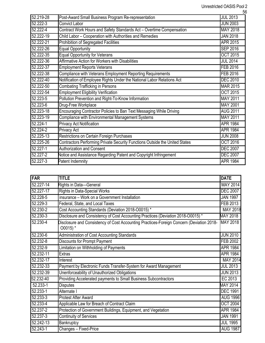|                                                                             | 56              |
|-----------------------------------------------------------------------------|-----------------|
| Post-Award Small Business Program Re-representation                         | <b>JUL 2013</b> |
| <b>Convict Labor</b>                                                        | <b>JUN 2003</b> |
| Contract Work Hours and Safety Standards Act - Overtime Compensation        | <b>MAY 2018</b> |
| Child Labor - Cooperation with Authorities and Remedies                     | <b>JAN 2018</b> |
| Prohibition of Segregated Facilities                                        | APR 2015        |
| <b>Equal Opportunity</b>                                                    | <b>SEP 2016</b> |
| <b>Equal Opportunity for Veterans</b>                                       | <b>OCT 2015</b> |
| Affirmative Action for Workers with Disabilities                            | <b>JUL 2014</b> |
| <b>Employment Reports Veterans</b>                                          | FEB 2016        |
| Compliance with Veterans Employment Reporting Requirements                  | FEB 2016        |
| Notification of Employee Rights Under the National Labor Relations Act      | <b>DEC 2010</b> |
| <b>Combating Trafficking in Persons</b>                                     | <b>MAR 2015</b> |
| <b>Employment Eligibility Verification</b>                                  | <b>OCT 2015</b> |
| Pollution Prevention and Right-To-Know Information                          | <b>MAY 2011</b> |
| Drug-Free Workplace                                                         | <b>MAY 2001</b> |
| Encouraging Contractor Policies to Ban Text Messaging While Driving         | <b>AUG 2011</b> |
| <b>Compliance with Environmental Management Systems</b>                     | <b>MAY 2011</b> |
| Privacy Act Notification                                                    | <b>APR 1984</b> |
| Privacy Act                                                                 | <b>APR 1984</b> |
| Restrictions on Certain Foreign Purchases                                   | <b>JUN 2008</b> |
| Contractors Performing Private Security Functions Outside the United States | <b>OCT 2016</b> |
| <b>Authorization and Consent</b>                                            | <b>DEC 2007</b> |
| Notice and Assistance Regarding Patent and Copyright Infringement           | <b>DEC 2007</b> |
| Patent Indemnity                                                            | <b>APR 1984</b> |
|                                                                             |                 |

| <b>FAR</b>    | <b>TITLE</b>                                                                                                     | <b>DATE</b>     |
|---------------|------------------------------------------------------------------------------------------------------------------|-----------------|
| 52.227-14     | <b>Rights in Data-General</b>                                                                                    | <b>MAY 2014</b> |
| 52.227-17     | <b>Rights in Data-Special Works</b>                                                                              | <b>DEC 2007</b> |
| 52.228-5      | insurance - Work on a Government Installation                                                                    | <b>JAN 1997</b> |
| 52.229-3      | Federal, State, and Local Taxes                                                                                  | FEB 2013        |
| 52.230-2      | Cost Accounting Standards (Deviation 2018-O0015) *                                                               | <b>MAY 2018</b> |
| 52.230-3      | Disclosure and Consistency of Cost Accounting Practices (Deviation 2018-O0015) *                                 | MAY 2018        |
| 52.230-4      | Disclosure and Consistency of Cost Accounting Practices-Foreign Concern (Deviation 2018-<br>$00015$ <sup>*</sup> | <b>MAY 2018</b> |
| 52.230-6      | Administration of Cost Accounting Standards                                                                      | <b>JUN 2010</b> |
| 52.232-8      | Discounts for Prompt Payment                                                                                     | <b>FEB 2002</b> |
| 52.232-9      | Limitation on Withholding of Payments                                                                            | <b>APR 1984</b> |
| 52.232-11     | <b>Extras</b>                                                                                                    | <b>APR 1984</b> |
| $52.232 - 17$ | Interest                                                                                                         | <b>MAY 2014</b> |
| 52.232-33     | Payment by Electronic Funds Transfer-System for Award Management                                                 | <b>JUL 2013</b> |
| 52.232-39     | Unenforceability of Unauthorized Obligations                                                                     | <b>JUN 2013</b> |
| 52.232-40     | Providing Accelerated payments to Small Business Subcontractors                                                  | EC 2013         |
| 52.233-1      | <b>Disputes</b>                                                                                                  | <b>MAY 2014</b> |
| 52.233-1      | Alternate I                                                                                                      | <b>DEC 1991</b> |
| 52.233-3      | <b>Protest After Award</b>                                                                                       | <b>AUG 1996</b> |
| 52.233-4      | Applicable Law for Breach of Contract Claim                                                                      | <b>OCT 2004</b> |
| 52.237-2      | Protection of Government Buildings, Equipment, and Vegetation                                                    | <b>APR 1984</b> |
| 52.237-3      | <b>Continuity of Services</b>                                                                                    | <b>JAN 1991</b> |
| 52.242-13     | <b>Bankruptcy</b>                                                                                                | <b>JUL 1995</b> |
| 52.243-1      | Changes - Fixed-Price                                                                                            | <b>AUG 1987</b> |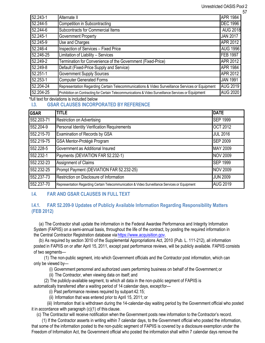| 52.243-1  | Alternate II                                                                                         | <b>APR 1984</b> |
|-----------|------------------------------------------------------------------------------------------------------|-----------------|
| 52.244-5  | <b>Competition in Subcontracting</b>                                                                 | <b>DEC 1996</b> |
| 52.244-6  | Subcontracts for Commercial Items                                                                    | <b>AUG 2018</b> |
| 52.245-1  | Government Property                                                                                  | <b>JAN 2017</b> |
| 52.245-9  | Use and Charges                                                                                      | APR 2012        |
| 52.246-4  | <b>Inspection of Services - Fixed Price</b>                                                          | <b>AUG 1996</b> |
| 52.246-25 | Limitation of Liability - Services                                                                   | <b>FEB 1997</b> |
| 52.249-2  | Termination for Convenience of the Government (Fixed-Price)                                          | <b>APR 2012</b> |
| 52.249-8  | Default (Fixed-Price Supply and Service)                                                             | <b>APR 1984</b> |
| 52.251-1  | <b>Government Supply Sources</b>                                                                     | APR 2012        |
| 52.253-1  | <b>Computer Generated Forms</b>                                                                      | <b>JAN 1991</b> |
| 52.204-24 | Representation Regarding Certain Telecommunications & Video Surveillance Services or Equipment       | <b>AUG 2019</b> |
| 52.204-25 | Prohibition on Contracting for Certain Telecommunications & Video Surveillance Services or Equipment | <b>AUG 2020</b> |

<span id="page-56-0"></span>\*full text for deviations is included below

#### **I.3. GSAR CLAUSES INCORPORATED BY REFERENCE**

| <b>GSAR</b> | <b>TITLE</b>                                                                                  | <b>DATE</b>     |
|-------------|-----------------------------------------------------------------------------------------------|-----------------|
| 552.203-71  | <b>Restriction on Advertising</b>                                                             | <b>SEP 1999</b> |
| 552.204-9   | Personal Identity Verification Requirements                                                   | <b>OCT 2012</b> |
| 552.215-70  | Examination of Records by GSA                                                                 | <b>JUL 2016</b> |
| 552.219-75  | GSA Mentor-Protégé Program                                                                    | <b>SEP 2009</b> |
| 552.228-5   | Government as Additional Insured                                                              | MAY 2009        |
| 552.232-1   | Payments (DEVIATION FAR 52.232-1)                                                             | <b>NOV 2009</b> |
| 552.232-23  | Assignment of Claims                                                                          | <b>SEP 1999</b> |
| 552.232-25  | Prompt Payment (DEVIATION FAR 52.232-25)                                                      | <b>NOV 2009</b> |
| 552.237-73  | Restriction on Disclosure of Information                                                      | <b>JUN 2009</b> |
| 552.237-70  | Representation Regarding Certain Telecommunication & Video Surveillance Services or Equipment | <b>AUG 2019</b> |

#### <span id="page-56-2"></span><span id="page-56-1"></span>**I.4. FAR AND GSAR CLAUSES IN FULL TEXT**

#### **I.4.1. FAR 52.209-9 Updates of Publicly Available Information Regarding Responsibility Matters (FEB 2012)**

(a) The Contractor shall update the information in the Federal Awardee Performance and Integrity Information System (FAPIIS) on a semi-annual basis, throughout the life of the contract, by posting the required information in the Central Contractor Registration database via [https://www.acquisition.gov.](https://www.acquisition.gov/)

(b) As required by section 3010 of the Supplemental Appropriations Act, 2010 (Pub. L. 111-212), all information posted in FAPIIS on or after April 15, 2011, except past performance reviews, will be publicly available. FAPIIS consists of two segments—

(1) The non-public segment, into which Government officials and the Contractor post information, which can only be viewed by—

(i) Government personnel and authorized users performing business on behalf of the Government;or

(ii) The Contractor, when viewing data on itself; and

(2) The publicly-available segment, to which all data in the non-public segment of FAPIIS is automatically transferred after a waiting period of 14 calendar days, except for—

(i) Past performance reviews required by subpart [42.15;](https://www.acquisition.gov/far/current/html/Subpart%2042_15.html#wp1075411)

(ii) Information that was entered prior to April 15, 2011; or

(iii) Information that is withdrawn during the 14-calendar-day waiting period by the Government official who posted it in accordance with paragraph (c)(1) of this clause.

(c) The Contractor will receive notification when the Government posts new information to the Contractor's record.

(1) If the Contractor asserts in writing within 7 calendar days, to the Government official who posted the information, that some of the information posted to the non-public segment of FAPIIS is covered by a disclosure exemption under the Freedom of Information Act, the Government official who posted the information shall within 7 calendar days remove the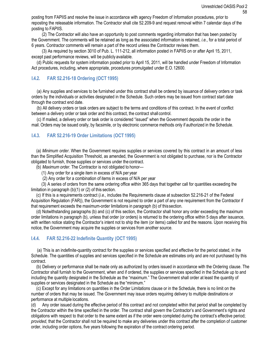posting from FAPIIS and resolve the issue in accordance with agency Freedom of Information procedures, prior to reposting the releasable information. The Contractor shall cit[e 52.209-9 a](https://www.acquisition.gov/far/current/html/52_207_211.html#wp1145644)nd request removal within 7 calendar days of the posting to FAPIIS.

(2) The Contractor will also have an opportunity to post comments regarding information that has been posted by the Government. The comments will be retained as long as the associated information is retained, *i.e.*, for a total period of 6 years. Contractor comments will remain a part of the record unless the Contractor revises them.

(3) As required by section 3010 of Pub. L. 111-212, all information posted in FAPIIS on or after April 15, 2011, except past performance reviews, will be publicly available.

(d) Public requests for system information posted prior to April 15, 2011, will be handled under Freedom of Information Act procedures, including, where appropriate, procedures promulgated under E.O.12600.

#### <span id="page-57-0"></span>**I.4.2. FAR 52.216-18 Ordering (OCT 1995)**

(a) Any supplies and services to be furnished under this contract shall be ordered by issuance of delivery orders or task orders by the individuals or activities designated in the Schedule. Such orders may be issued from contract start date through the contract end date.

(b) All delivery orders or task orders are subject to the terms and conditions of this contract. In the event of conflict between a delivery order or task order and this contract, the contract shall control.

(c) If mailed, a delivery order or task order is considered "issued" when the Government deposits the order in the mail. Orders may be issued orally, by facsimile, or by electronic commerce methods only if authorized in the Schedule.

#### <span id="page-57-1"></span>**I.4.3. FAR 52.216-19 Order Limitations (OCT 1995)**

(a) *Minimum order*. When the Government requires supplies or services covered by this contract in an amount of less than the Simplified Acquisition Threshold, as amended, the Government is not obligated to purchase, nor is the Contractor obligated to furnish, those supplies or services under the contract.

(b) *Maximum order*. The Contractor is not obligated to honor—

(1) Any order for a single item in excess of N/A per year

(2) Any order for a combination of items in excess of N/A per year

(3) A series of orders from the same ordering office within 365 days that together call for quantities exceeding the limitation in paragraph (b)(1) or (2) of this section.

(c) If this is a requirements contract (*i.e.,* includes the Requirements clause at subsection [52.216-21 o](https://www.acquisition.gov/far/current/html/52_216.html#wp1115057)f the Federal Acquisition Regulation (FAR)), the Government is not required to order a part of any one requirement from the Contractor if that requirement exceeds the maximum-order limitations in paragraph (b) of thissection.

(d) Notwithstanding paragraphs (b) and (c) of this section, the Contractor shall honor any order exceeding the maximum order limitations in paragraph (b), unless that order (or orders) is returned to the ordering office within 5 days after issuance, with written notice stating the Contractor's intent not to ship the item (or items) called for and the reasons. Upon receiving this notice, the Government may acquire the supplies or services from another source.

#### <span id="page-57-2"></span>**I.4.4. FAR 52.216-22 Indefinite Quantity (OCT 1995)**

(a) This is an indefinite-quantity contract for the supplies or services specified and effective for the period stated, in the Schedule. The quantities of supplies and services specified in the Schedule are estimates only and are not purchased by this contract.

(b) Delivery or performance shall be made only as authorized by orders issued in accordance with the Ordering clause. The Contractor shall furnish to the Government, when and if ordered, the supplies or services specified in the Schedule up to and including the quantity designated in the Schedule as the "maximum." The Government shall order at least the quantity of supplies or services designated in the Schedule as the "minimum."

(c) Except for any limitations on quantities in the Order Limitations clause or in the Schedule, there is no limit on the number of orders that may be issued. The Government may issue orders requiring delivery to multiple destinations or performance at multiple locations.

(d) Any order issued during the effective period of this contract and not completed within that period shall be completed by the Contractor within the time specified in the order. The contract shall govern the Contractor's and Government's rights and obligations with respect to that order to the same extent as if the order were completed during the contract's effective period; *provided*, that the Contractor shall not be required to make any deliveries under this contract after the completion of customer order, including order options, five years following the expiration of the contract ordering period.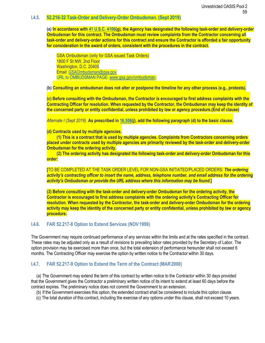#### <span id="page-58-0"></span>**I.4.5. 52.216-32 Task-Order and Delivery-Order Ombudsman. (Sept 2019)**

**(a) In accordance with [41 U.S.C. 4106\(](https://www.govinfo.gov/content/pkg/USCODE-2017-title41/html/USCODE-2017-title41-subtitleI-divsnC-chap41-sec4106.htm)g), the Agency has designated the following task-order and delivery-order Ombudsman for this contract. The Ombudsman must review complaints from the Contractor concerning all task-order and delivery-order actions for this contract and ensure the Contractor is afforded a fair opportunity for consideration in the award of orders, consistent with the procedures in the contract.**

GSA Ombudsman (only for GSA issued Task Orders) 1800 F St NW, 2nd Floor Washington, D.C. 20405 Email: [GSAOmbudsman@gsa.gov](mailto:GSAOmbudsman@gsa.gov) URL to OMBUDSMAN PAGE: [www.gsa.gov/ombudsman.](http://www.gsa.gov/ombudsman)

**(b) Consulting an ombudsman does not alter or postpone the timeline for any other process (e.g., protests).**

**(c) Before consulting with the Ombudsman, the Contractor is encouraged to first address complaints with the Contracting Officer for resolution. When requested by the Contractor, the Ombudsman may keep the identity of the concerned party or entity confidential, unless prohibited by law or agency procedure.(End of clause)**

*Alternate I (Sept 2019)*. **As prescribed in [16.506\(](https://www.acquisition.gov/far/16.506#FAR_16_506)j), add the following paragraph (d) to the basic clause.**

**(d) Contracts used by multiple agencies.**

**(1) This is a contract that is used by multiple agencies. Complaints from Contractors concerning orders placed under contracts used by multiple agencies are primarily reviewed by the task-order and delivery-order Ombudsman for the ordering activity.**

**(2) The ordering activity has designated the following task-order and delivery-order Ombudsman for this order:**

**[**TO BE COMPLETED AT THE TASK ORDER LEVEL FOR NON-GSA INITIATED/PLACED ORDERS: *The ordering activity's contracting officer to insert the name, address, telephone number, and email address for the ordering activity's Ombudsman or provide the URL address where this information may be found.***]**

**(3) Before consulting with the task-order and delivery-order Ombudsman for the ordering activity, the Contractor is encouraged to first address complaints with the ordering activity's Contracting Officer for resolution. When requested by the Contractor, the task-order and delivery-order Ombudsman for the ordering activity may keep the identity of the concerned party or entity confidential, unless prohibited by law or agency procedure.**

#### <span id="page-58-1"></span>**I.4.6. FAR 52.217-8 Option to Extend Services (NOV1999)**

The Government may require continued performance of any services within the limits and at the rates specified in the contract. These rates may be adjusted only as a result of revisions to prevailing labor rates provided by the Secretary of Labor. The option provision may be exercised more than once, but the total extension of performance hereunder shall not exceed 6 months. The Contracting Officer may exercise the option by written notice to the Contractor within 30 days.

#### <span id="page-58-2"></span>**I.4.7. FAR 52.217-9 Option to Extend the Term of the Contract (MAR2000)**

(a) The Government may extend the term of this contract by written notice to the Contractor within 30 days provided that the Government gives the Contractor a preliminary written notice of its intent to extend at least 60 days before the contract expires. The preliminary notice does not commit the Government to an extension.

(b) If the Government exercises this option, the extended contract shall be considered to include this option clause.

(c) The total duration of this contract, including the exercise of any options under this clause, shall not exceed 10 years.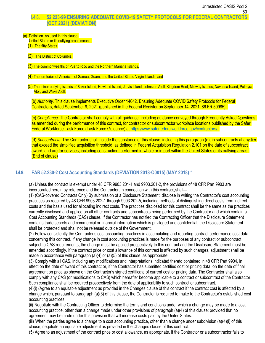#### **I.4.8. 52.223-99 ENSURING ADEQUATE COVID-19 SAFETY PROTOCOLS FOR FEDERAL CONTRACTORS (OCT 2021) (DEVIATION)**

(a) Definition. As used in this clause-

United States or its outlying areas means-

(1) The fifty States.

- (2) The District of Columbia.
- (3) The commonwealths of Puerto Rico and the Northern Mariana Islands.
- (4) The territories of American of Samoa, Guam, and the United Stated Virgin Islands; and
- (5) The minor outlying islands of Baker Island, Howland Island, Jarvis Island, Johnston Atoll, Kingdom Reef, Midway Islands, Navassa Island, Palmyra Atoll, and Wake Atoll.

(b) *Authority.* This clause implements Executive Order 14042, Ensuring Adequate COVID Safety Protocols for Federal Contractors, dated September 9, 2021 (published in the Federal Register on September 14, 2021, 86 FR 50985).

(c) *Compliance.* The Contractor shall comply with all guidance, including guidance conveyed through Frequently Asked Questions, as amended during the performance of this contract, for contractor or subcontractor workplace locations published by the Safer Federal Workforce Task Force (Task Force Guidance) at https:/www.saferfederalworkforce.gov/contractors/.

(d) *Subcontracts*. The Contractor shall include the substance of this clause, including this paragraph (d), in subcontracts at any tier that exceed the simplified acquisition threshold, as defined in Federal Acquisition Regulation 2.101 on the date of subcontract award, and are for services, including construction, performed in whole or in part within the United States or its outlying areas. (End of clause)

#### **I.4.9. FAR 52.230-2 Cost Accounting Standards (DEVIATION 2018-O0015) (MAY 2018) \***

(a) Unless the contract is exempt under 48 CFR 9903.201-1 and 9903.201-2, the provisions of 48 CFR Part 9903 are incorporated herein by reference and the Contractor, in connection with this contract, shall—

(1) (CAS-covered Contracts Only) By submission of a Disclosure Statement, disclose in writing the Contractor's cost accounting practices as required by 48 CFR 9903.202-1 through 9903.202-5, including methods of distinguishing direct costs from indirect costs and the basis used for allocating indirect costs. The practices disclosed for this contract shall be the same as the practices currently disclosed and applied on all other contracts and subcontracts being performed by the Contractor and which contain a Cost Accounting Standards (CAS) clause. If the Contractor has notified the Contracting Officer that the Disclosure Statement contains trade secrets and commercial or financial information which is privileged and confidential, the Disclosure Statement shall be protected and shall not be released outside of theGovernment.

(2) Follow consistently the Contractor's cost accounting practices in accumulating and reporting contract performance cost data concerning this contract. If any change in cost accounting practices is made for the purposes of any contract or subcontract subject to CAS requirements, the change must be applied prospectively to this contract and the Disclosure Statement must be amended accordingly. If the contract price or cost allowance of this contract is affected by such changes, adjustment shall be made in accordance with paragraph (a)(4) or (a)(5) of this clause, as appropriate.

(3) Comply with all CAS, including any modifications and interpretations indicated thereto contained in 48 CFR Part 9904, in effect on the date of award of this contract or, if the Contractor has submitted certified cost or pricing data, on the date of final agreement on price as shown on the Contractor's signed certificate of current cost or pricing data. The Contractor shall also comply with any CAS (or modifications to CAS) which hereafter become applicable to a contract or subcontract of the Contractor. Such compliance shall be required prospectively from the date of applicability to such contract or subcontract.

(4)(i) (Agree to an equitable adjustment as provided in the Changes clause of this contract if the contract cost is affected by a change which, pursuant to paragraph (a)(3) of this clause, the Contractor is required to make to the Contractor's established cost accounting practices.

(ii) Negotiate with the Contracting Officer to determine the terms and conditions under which a change may be made to a cost accounting practice, other than a change made under other provisions of paragraph (a)(4) of this clause; provided that no agreement may be made under this provision that will increase costs paid by the United States.

(iii) When the parties agree to a change to a cost accounting practice, other than a change under subdivision (a)(4)(i) of this clause, negotiate an equitable adjustment as provided in the Changes clause of this contract.

(5) Agree to an adjustment of the contract price or cost allowance, as appropriate, if the Contractor or a subcontractor fails to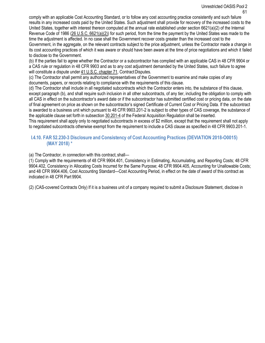comply with an applicable Cost Accounting Standard, or to follow any cost accounting practice consistently and such failure results in any increased costs paid by the United States. Such adjustment shall provide for recovery of the increased costs to the United States, together with interest thereon computed at the annual rate established under section 6621(a)(2) of the Internal Revenue Code of 1986 [\(26 U.S.C. 6621\(a\)\(2\)\)](http://http/uscode.house.gov/) for such period, from the time the payment by the United States was made to the time the adjustment is affected. In no case shall the Government recover costs greater than the increased cost to the Government, in the aggregate, on the relevant contracts subject to the price adjustment, unless the Contractor made a change in its cost accounting practices of which it was aware or should have been aware at the time of price negotiations and which it failed to disclose to the Government.

(b) If the parties fail to agree whether the Contractor or a subcontractor has complied with an applicable CAS in 48 CFR 9904 or a CAS rule or regulation in 48 CFR 9903 and as to any cost adjustment demanded by the United States, such failure to agree will constitute a dispute under [41 U.S.C. chapter](http://uscode.house.gov/) 71, Contract Disputes.

(c) The Contractor shall permit any authorized representatives of the Government to examine and make copies of any documents, papers, or records relating to compliance with the requirements of this clause.

(d) The Contractor shall include in all negotiated subcontracts which the Contractor enters into, the substance of this clause, except paragraph (b), and shall require such inclusion in all other subcontracts, of any tier, including the obligation to comply with all CAS in effect on the subcontractor's award date or if the subcontractor has submitted certified cost or pricing data, on the date of final agreement on price as shown on the subcontractor's signed Certificate of Current Cost or Pricing Data. If the subcontract is awarded to a business unit which pursuant to 48 CFR 9903.201-2 is subject to other types of CAS coverage, the substance of the applicable clause set forth in subsection [30.201-4](https://www.acquisition.gov/sites/default/files/current/far/html/Subpart%2030_2.html#wp1068153) of the Federal Acquisition Regulation shall be inserted.

This requirement shall apply only to negotiated subcontracts in excess of \$2 million, except that the requirement shall not apply to negotiated subcontracts otherwise exempt from the requirement to include a CAS clause as specified in 48 CFR 9903.201-1.

#### <span id="page-60-0"></span>**I.4.10. FAR 52.230-3 Disclosure and Consistency of Cost Accounting Practices (DEVIATION 2018-O0015) (MAY 2018) \***

(a) The Contractor, in connection with this contract, shall—

(1) Comply with the requirements of 48 CFR 9904.401, Consistency in Estimating, Accumulating, and Reporting Costs; 48 CFR 9904.402, Consistency in Allocating Costs Incurred for the Same Purpose; 48 CFR 9904.405, Accounting for Unallowable Costs; and 48 CFR 9904.406, Cost Accounting Standard—Cost Accounting Period, in effect on the date of award of this contract as indicated in 48 CFR Part 9904.

(2) (CAS-covered Contracts Only) If it is a business unit of a company required to submit a Disclosure Statement, disclose in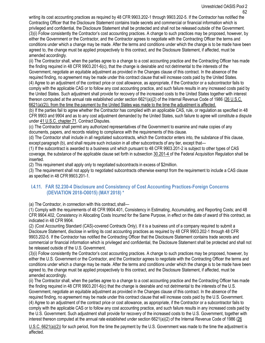writing its cost accounting practices as required by 48 CFR 9903.202-1 through 9903.202-5. If the Contractor has notified the Contracting Officer that the Disclosure Statement contains trade secrets and commercial or financial information which is privileged and confidential, the Disclosure Statement shall be protected and shall not be released outside of the Government. (3)(i) Follow consistently the Contractor's cost accounting practices. A change to such practices may be proposed, however, by either the Government or the Contractor, and the Contractor agrees to negotiate with the Contracting Officer the terms and conditions under which a change may be made. After the terms and conditions under which the change is to be made have been agreed to, the change must be applied prospectively to this contract, and the Disclosure Statement, if affected, must be amended accordingly.

(ii) The Contractor shall, when the parties agree to a change to a cost accounting practice and the Contracting Officer has made the finding required in 48 CFR 9903.201-6(c), that the change is desirable and not detrimental to the interests of the Government, negotiate an equitable adjustment as provided in the Changes clause of this contract. In the absence of the required finding, no agreement may be made under this contract clause that will increase costs paid by the United States. (4) Agree to an adjustment of the contract price or cost allowance, as appropriate, if the Contractor or a subcontractor fails to comply with the applicable CAS or to follow any cost accounting practice, and such failure results in any increased costs paid by the United States. Such adjustment shall provide for recovery of the increased costs to the United States together with interest thereon computed at the annual rate established under section 6621(a)(2) of the Internal Revenue Code of 1986 [\(26 U.S.C.](http://uscode.house.gov/uscode) [6621\(a\)\(2\)\)](http://uscode.house.gov/uscode), from the time the payment by the United States was made to the time the adjustment is affected.

(b) If the parties fail to agree whether the Contractor has complied with an applicable CAS, rule, or regulation as specified in 48 CFR 9903 and 9904 and as to any cost adjustment demanded by the United States, such failure to agree will constitute a dispute under [41 U.S.C. chapter](http://uscode.house.gov/) 71, Contract Disputes.

(c) The Contractor shall permit any authorized representatives of the Government to examine and make copies of any documents, papers, and records relating to compliance with the requirements of this clause.

(d) The Contractor shall include in all negotiated subcontracts, which the Contractor enters into, the substance of this clause, except paragraph (b), and shall require such inclusion in all other subcontracts of any tier, except that—

(1) If the subcontract is awarded to a business unit which pursuant to 48 CFR 9903.201-2 is subject to other types of CAS coverage, the substance of the applicable clause set forth in subsection [30.201-4 o](https://www.acquisition.gov/sites/default/files/current/far/html/Subpart%2030_2.html#wp1068153)f the Federal Acquisition Regulation shall be inserted.

(2) This requirement shall apply only to negotiated subcontracts in excess of \$2million.

(3) The requirement shall not apply to negotiated subcontracts otherwise exempt from the requirement to include a CAS clause as specified in 48 CFR 9903.201-1.

#### <span id="page-61-0"></span>**I.4.11. FAR 52.230-4 Disclosure and Consistency of Cost Accounting Practices-Foreign Concerns (DEVIATION 2018-O0015) (MAY 2018) \***

(a) The Contractor, in connection with this contract, shall—

(1) Comply with the requirements of 48 CFR 9904.401, Consistency in Estimating, Accumulating, and Reporting Costs; and 48 CFR 9904.402, Consistency in Allocating Costs Incurred for the Same Purpose, in effect on the date of award of this contract, as indicated in 48 CFR 9904.

(2) (Cost Accounting Standard (CAS)-covered Contracts Only). If it is a business unit of a company required to submit a Disclosure Statement, disclose in writing its cost accounting practices as required by 48 CFR 9903.202-1 through 48 CFR 9903.202-5. If the Contractor has notified the Contracting Officer that the Disclosure Statement contains trade secrets and commercial or financial information which is privileged and confidential, the Disclosure Statement shall be protected and shall not be released outside of the U.S. Government.

(3)(i) Follow consistently the Contractor's cost accounting practices. A change to such practices may be proposed, however, by either the U.S. Government or the Contractor, and the Contractor agrees to negotiate with the Contracting Officer the terms and conditions under which a change may be made. After the terms and conditions under which the change is to be made have been agreed to, the change must be applied prospectively to this contract, and the Disclosure Statement, if affected, must be amended accordingly.

(ii) The Contractor shall, when the parties agree to a change to a cost accounting practice and the Contracting Officer has made the finding required in 48 CFR 9903.201-6(c) that the change is desirable and not detrimental to the interests of the U.S. Government, negotiate an equitable adjustment as provided in the Changes clause of this contract. In the absence of the required finding, no agreement may be made under this contract clause that will increase costs paid by the U.S. Government. (4) Agree to an adjustment of the contract price or cost allowance, as appropriate, if the Contractor or a subcontractor fails to comply with the applicable CAS or to follow any cost accounting practice, and such failure results in any increased costs paid by the U.S. Government. Such adjustment shall provide for recovery of the increased costs to the U.S. Government, together with interest thereon computed at the annual rate established under section 6621(a)(2) of the Internal Revenue Code of 1986 [\(26](http://uscode.house.gov/)

[U.S.C. 6621\(a\)\(2\)\)](http://uscode.house.gov/) for such period, from the time the payment by the U.S. Government was made to the time the adjustment is affected.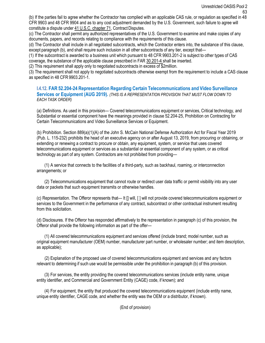(b) If the parties fail to agree whether the Contractor has complied with an applicable CAS rule, or regulation as specified in 48 CFR 9903 and 48 CFR 9904 and as to any cost adjustment demanded by the U.S. Government, such failure to agree will constitute a dispute under 41 [U.S.C. chapter](http://uscode.house.gov/) 71, Contract Disputes.

(c) The Contractor shall permit any authorized representatives of the U.S. Government to examine and make copies of any documents, papers, and records relating to compliance with the requirements of this clause.

(d) The Contractor shall include in all negotiated subcontracts, which the Contractor enters into, the substance of this clause, except paragraph (b), and shall require such inclusion in all other subcontracts of any tier, except that—

(1) If the subcontract is awarded to a business unit which pursuant to 48 CFR 9903.201-2 is subject to other types of CAS coverage, the substance of the applicable clause prescribed in FAR [30.201-4](https://www.acquisition.gov/sites/default/files/current/far/html/Subpart%2030_2.html#wp1068153) shall be inserted.

(2) This requirement shall apply only to negotiated subcontracts in excess of \$2million.

<span id="page-62-0"></span>(3) The requirement shall not apply to negotiated subcontracts otherwise exempt from the requirement to include a CAS clause as specified in 48 CFR 9903.201-1.

#### **I.4.12. FAR 52.204-24 Representation Regarding Certain Telecommunications and Video Surveillance Services or Equipment (AUG 2019).** *(THIS IS A REPRESENTATION PROVISION THAT MUST FLOW DOWN TO EACH TASK ORDER)*

(a) Definitions. As used in this provision— Covered telecommunications equipment or services, Critical technology, and Substantial or essential component have the meanings provided in clause 52.204-25, Prohibition on Contracting for Certain Telecommunications and Video Surveillance Services or Equipment.

(b) Prohibition. Section 889(a)(1)(A) of the John S. McCain National Defense Authorization Act for Fiscal Year 2019 (Pub. L. 115-232) prohibits the head of an executive agency on or after August 13, 2019, from procuring or obtaining, or extending or renewing a contract to procure or obtain, any equipment, system, or service that uses covered telecommunications equipment or services as a substantial or essential component of any system, or as critical technology as part of any system. Contractors are not prohibited from providing—

(1) A service that connects to the facilities of a third-party, such as backhaul, roaming, or interconnection arrangements; or

(2) Telecommunications equipment that cannot route or redirect user data traffic or permit visibility into any user data or packets that such equipment transmits or otherwise handles.

(c) Representation. The Offeror represents that— It [] will, [ ] will not provide covered telecommunications equipment or services to the Government in the performance of any contract, subcontract or other contractual instrument resulting from this solicitation.

(d) Disclosures. If the Offeror has responded affirmatively to the representation in paragraph (c) of this provision, the Offeror shall provide the following information as part of the offer—

(1) All covered telecommunications equipment and services offered (include brand; model number, such as original equipment manufacturer (OEM) number, manufacturer part number, or wholesaler number; and item description, as applicable);

(2) Explanation of the proposed use of covered telecommunications equipment and services and any factors relevant to determining if such use would be permissible under the prohibition in paragraph (b) of this provision.

(3) For services, the entity providing the covered telecommunications services (include entity name, unique entity identifier, and Commercial and Government Entity (CAGE) code, if known); and

(4) For equipment, the entity that produced the covered telecommunications equipment (include entity name, unique entity identifier, CAGE code, and whether the entity was the OEM or a distributor, if known).

(End of provision)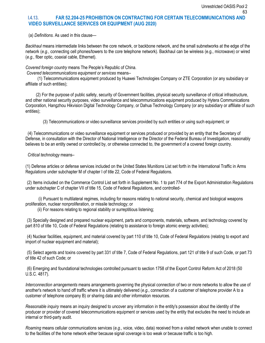#### **I.4.13. FAR 52.204-25 PROHIBITION ON CONTRACTING FOR CERTAIN TELECOMMUNICATIONS AND VIDEO SURVEILLANCE SERVICES OR EQUIPMENT (AUG 2020)**

(a) *Definitions.* As used in this clause—

*Backhaul* means intermediate links between the core network, or backbone network, and the small subnetworks at the edge of the network (*e.g.*, connecting cell phones/towers to the core telephone network). Backhaul can be wireless (e.g., microwave) or wired (*e.g.*, fiber optic, coaxial cable, Ethernet).

*Covered foreign country* means The People's Republic of China.

*Covered telecommunications equipment or services* means–

(1) Telecommunications equipment produced by Huawei Technologies Company or ZTE Corporation (or any subsidiary or affiliate of such entities);

(2) For the purpose of public safety, security of Government facilities, physical security surveillance of critical infrastructure, and other national security purposes, video surveillance and telecommunications equipment produced by Hytera Communications Corporation, Hangzhou Hikvision Digital Technology Company, or Dahua Technology Company (or any subsidiary or affiliate of such entities);

(3) Telecommunications or video surveillance services provided by such entities or using such equipment; or

(4) Telecommunications or video surveillance equipment or services produced or provided by an entity that the Secretary of Defense, in consultation with the Director of National Intelligence or the Director of the Federal Bureau of Investigation, reasonably believes to be an entity owned or controlled by, or otherwise connected to, the government of a covered foreign country.

*Critical technology* means–

(1) Defense articles or defense services included on the United States Munitions List set forth in the International Traffic in Arms Regulations under subchapter M of chapter I of title 22, Code of Federal Regulations.

(2) Items included on the Commerce Control List set forth in Supplement No. 1 to part 774 of the Export Administration Regulations under subchapter C of chapter VII of title 15, Code of Federal Regulations, and controlled-

(i) Pursuant to multilateral regimes, including for reasons relating to national security, chemical and biological weapons proliferation, nuclear nonproliferation, or missile technology; or

(ii) For reasons relating to regional stability or surreptitious listening;

(3) Specially designed and prepared nuclear equipment, parts and components, materials, software, and technology covered by part 810 of title 10, Code of Federal Regulations (relating to assistance to foreign atomic energy activities);

(4) Nuclear facilities, equipment, and material covered by part 110 of title 10, Code of Federal Regulations (relating to export and import of nuclear equipment and material);

(5) Select agents and toxins covered by part 331 of title 7, Code of Federal Regulations, part 121 of title 9 of such Code, or part 73 of title 42 of such Code; or

(6) Emerging and foundational technologies controlled pursuant to section 1758 of the Export Control Reform Act of 2018 (50 U.S.C. 4817).

*Interconnection arrangements* means arrangements governing the physical connection of two or more networks to allow the use of another's network to hand off traffic where it is ultimately delivered (*e.g.*, connection of a customer of telephone provider A to a customer of telephone company B) or sharing data and other information resources.

*Reasonable inquiry* means an inquiry designed to uncover any information in the entity's possession about the identity of the producer or provider of covered telecommunications equipment or services used by the entity that excludes the need to include an internal or third-party audit.

*Roaming* means cellular communications services (*e.g.*, voice, video, data) received from a visited network when unable to connect to the facilities of the home network either because signal coverage is too weak or because traffic is too high.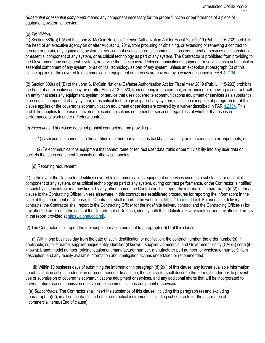*Substantial or essential component* means any component necessary for the proper function or performance of a piece of equipment, system, or service.

#### (b) *Prohibition*.

(1) Section 889(a)(1)(A) of the John S. McCain National Defense Authorization Act for Fiscal Year 2019 (Pub. L. 115-232) prohibits the head of an executive agency on or after August 13, 2019, from procuring or obtaining, or extending or renewing a contract to procure or obtain, any equipment, system, or service that uses covered telecommunications equipment or services as a substantial or essential component of any system, or as critical technology as part of any system. The Contractor is prohibited from providing to the Government any equipment, system, or service that uses covered telecommunications equipment or services as a substantial or essential component of any system, or as critical technology as part of any system, unless an exception at paragraph (c) of this clause applies or the covered telecommunication equipment or services are covered by a waiver described in FAR [4.2104.](https://www.acquisition.gov/far/part-4#FAR_4_2104)

(2) Section 889(a)(1)(B) of the John S. McCain National Defense Authorization Act for Fiscal Year 2019 (Pub. L. 115-232) prohibits the head of an executive agency on or after August 13, 2020, from entering into a contract, or extending or renewing a contract, with an entity that uses any equipment, system, or service that uses covered telecommunications equipment or services as a substantial or essential component of any system, or as critical technology as part of any system, unless an exception at paragraph (c) of this clause applies or the covered telecommunication equipment or services are covered by a waiver described in FAR [4.2104. T](https://www.acquisition.gov/far/part-4#FAR_4_2104)his prohibition applies to the use of covered telecommunications equipment or services, regardless of whether that use is in performance of work under a Federal contract.

(c) *Exceptions.* This clause does not prohibit contractors from providing—

(1) A service that connects to the facilities of a third-party, such as backhaul, roaming, or interconnection arrangements; or

(2) Telecommunications equipment that cannot route or redirect user data traffic or permit visibility into any user data or packets that such equipment transmits or otherwise handles.

#### (d) Reporting requirement.

(1) In the event the Contractor identifies covered telecommunications equipment or services used as a substantial or essential component of any system, or as critical technology as part of any system, during contract performance, or the Contractor is notified of such by a subcontractor at any tier or by any other source, the Contractor shall report the information in paragraph (d)(2) of this clause to the Contracting Officer, unless elsewhere in this contract are established procedures for reporting the information; in the case of the Department of Defense, the Contractor shall report to the website at [https://dibnet.dod.mil. F](https://dibnet.dod.mil/)or indefinite delivery contracts, the Contractor shall report to the Contracting Officer for the indefinite delivery contract and the Contracting Officer(s) for any affected order or, in the case of the Department of Defense, identify both the indefinite delivery contract and any affected orders in the report provided at [https://dibnet.dod.mil.](https://dibnet.dod.mil/)

(2) The Contractor shall report the following information pursuant to paragraph (d)(1) of this clause

(i) Within one business day from the date of such identification or notification: the contract number; the order number(s), if applicable; supplier name; supplier unique entity identifier (if known); supplier Commercial and Government Entity (CAGE) code (if known); brand; model number (original equipment manufacturer number, manufacturer part number, or wholesaler number); item description; and any readily available information about mitigation actions undertaken or recommended.

(ii) Within 10 business days of submitting the information in paragraph (d)(2)(i) of this clause: any further available information about mitigation actions undertaken or recommended. In addition, the Contractor shall describe the efforts it undertook to prevent use or submission of covered telecommunications equipment or services, and any additional efforts that will be incorporated to prevent future use or submission of covered telecommunications equipment or services.

(e) *Subcontracts.* The Contractor shall insert the substance of this clause, including this paragraph (e) and excluding paragraph (b)(2), in all subcontracts and other contractual instruments, including subcontracts for the acquisition of commercial items. (End of clause)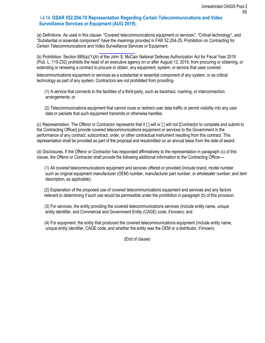#### <span id="page-65-0"></span>**I.4.14. GSAR 552.204-70 Representation Regarding Certain Telecommunications and Video Surveillance Services or Equipment (AUG 2019).**

(a) Definitions. As used in this clause- "Covered telecommunications equipment or services", "Critical technology", and "Substantial or essential component" have the meanings provided in FAR 52.204-25, Prohibition on Contracting for Certain Telecommunications and Video Surveillance Services or Equipment.

(b) Prohibition. Section 889(a)(1)(A) of the John S. McCain National Defense Authorization Act for Fiscal Year 2019 (Pub. L. 115-232) prohibits the head of an executive agency on or after August 13, 2019, from procuring or obtaining, or extending or renewing a contract to procure or obtain, any equipment, system, or service that uses covered

telecommunications equipment or services as a substantial or essential component of any system, or as critical technology as part of any system. Contractors are not prohibited from providing-

(1) A service that connects to the facilities of a third-party, such as backhaul, roaming, or interconnection arrangements; or

(2) Telecommunications equipment that cannot route or redirect user data traffic or permit visibility into any user data or packets that such equipment transmits or otherwise handles.

(c) Representation. The Offeror or Contractor represents that it [ ] will or [ ] will not [Contractor to complete and submit to the Contracting Officer] provide covered telecommunications equipment or services to the Government in the performance of any contract, subcontract, order, or other contractual instrument resulting from this contract. This representation shall be provided as part of the proposal and resubmitted on an annual basis from the date of award.

(d) Disclosures. If the Offeror or Contractor has responded affirmatively to the representation in paragraph (c) of this clause, the Offeror or Contractor shall provide the following additional information to the Contracting Officer—

(1) All covered telecommunications equipment and services offered or provided (include brand, model number, such as original equipment manufacturer (OEM) number, manufacturer part number, or wholesaler number; and item description, as applicable);

(2) Explanation of the proposed use of covered telecommunications equipment and services and any factors relevant to determining if such use would be permissible under the prohibition in paragraph (b) of this provision.

(3) For services, the entity providing the covered telecommunications services (include entity name, unique entity identifier, and Commercial and Government Entity (CAGE) code, if known); and

(4) For equipment, the entity that produced the covered telecommunications equipment (include entity name, unique entity identifier, CAGE code, and whether the entity was the OEM or a distributor, if known).

(End of clause)